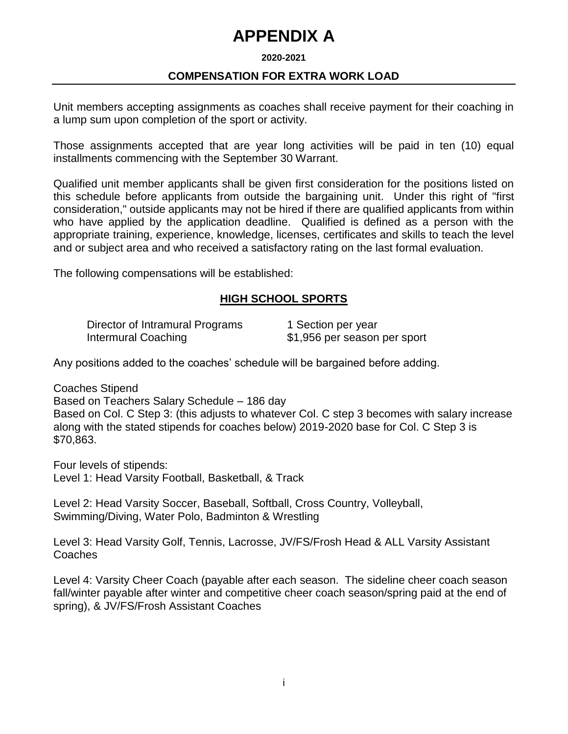#### **2020-2021**

## **COMPENSATION FOR EXTRA WORK LOAD**

Unit members accepting assignments as coaches shall receive payment for their coaching in a lump sum upon completion of the sport or activity.

Those assignments accepted that are year long activities will be paid in ten (10) equal installments commencing with the September 30 Warrant.

Qualified unit member applicants shall be given first consideration for the positions listed on this schedule before applicants from outside the bargaining unit. Under this right of "first consideration," outside applicants may not be hired if there are qualified applicants from within who have applied by the application deadline. Qualified is defined as a person with the appropriate training, experience, knowledge, licenses, certificates and skills to teach the level and or subject area and who received a satisfactory rating on the last formal evaluation.

The following compensations will be established:

## **HIGH SCHOOL SPORTS**

| Director of Intramural Programs | 1 Section per year           |
|---------------------------------|------------------------------|
| Intermural Coaching             | \$1,956 per season per sport |

Any positions added to the coaches' schedule will be bargained before adding.

Coaches Stipend

Based on Teachers Salary Schedule – 186 day

Based on Col. C Step 3: (this adjusts to whatever Col. C step 3 becomes with salary increase along with the stated stipends for coaches below) 2019-2020 base for Col. C Step 3 is \$70,863.

Four levels of stipends: Level 1: Head Varsity Football, Basketball, & Track

Level 2: Head Varsity Soccer, Baseball, Softball, Cross Country, Volleyball, Swimming/Diving, Water Polo, Badminton & Wrestling

Level 3: Head Varsity Golf, Tennis, Lacrosse, JV/FS/Frosh Head & ALL Varsity Assistant Coaches

Level 4: Varsity Cheer Coach (payable after each season. The sideline cheer coach season fall/winter payable after winter and competitive cheer coach season/spring paid at the end of spring), & JV/FS/Frosh Assistant Coaches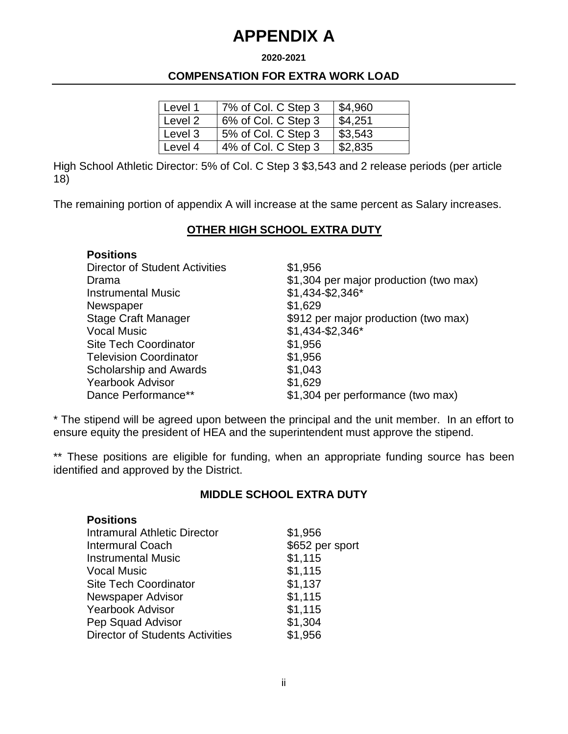#### **2020-2021**

### **COMPENSATION FOR EXTRA WORK LOAD**

| Level 1 | 7% of Col. C Step 3 | \$4,960 |
|---------|---------------------|---------|
| Level 2 | 6% of Col. C Step 3 | \$4,251 |
| Level 3 | 5% of Col. C Step 3 | \$3,543 |
| Level 4 | 4% of Col. C Step 3 | \$2,835 |

High School Athletic Director: 5% of Col. C Step 3 \$3,543 and 2 release periods (per article 18)

The remaining portion of appendix A will increase at the same percent as Salary increases.

## **OTHER HIGH SCHOOL EXTRA DUTY**

**Positions** Director of Student Activities **\$1,956** Instrumental Music  $$1,434-$2,346*$ Newspaper \$1,629 Vocal Music  $$1,434-$2,346*$ Site Tech Coordinator **\$1,956** Television Coordinator **\$1,956** Scholarship and Awards \$1,043 Yearbook Advisor \$1,629

Drama  $$1,304$  per major production (two max) Stage Craft Manager \$912 per major production (two max) Dance Performance\*\* <br>\$1,304 per performance (two max)

\* The stipend will be agreed upon between the principal and the unit member. In an effort to ensure equity the president of HEA and the superintendent must approve the stipend.

\*\* These positions are eligible for funding, when an appropriate funding source has been identified and approved by the District.

## **MIDDLE SCHOOL EXTRA DUTY**

| <b>Positions</b>                       |                 |
|----------------------------------------|-----------------|
| <b>Intramural Athletic Director</b>    | \$1,956         |
| <b>Intermural Coach</b>                | \$652 per sport |
| <b>Instrumental Music</b>              | \$1,115         |
| <b>Vocal Music</b>                     | \$1,115         |
| <b>Site Tech Coordinator</b>           | \$1,137         |
| Newspaper Advisor                      | \$1,115         |
| Yearbook Advisor                       | \$1,115         |
| Pep Squad Advisor                      | \$1,304         |
| <b>Director of Students Activities</b> | \$1,956         |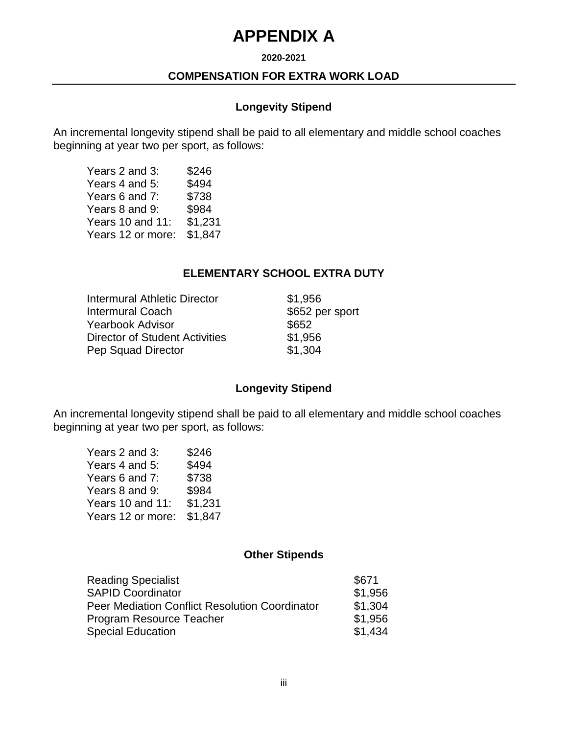#### **2020-2021**

## **COMPENSATION FOR EXTRA WORK LOAD**

## **Longevity Stipend**

An incremental longevity stipend shall be paid to all elementary and middle school coaches beginning at year two per sport, as follows:

Years 2 and 3: \$246 Years 4 and 5: \$494 Years 6 and 7: \$738 Years 8 and 9: \$984 Years 10 and 11: \$1,231 Years 12 or more: \$1,847

## **ELEMENTARY SCHOOL EXTRA DUTY**

| Intermural Athletic Director          | \$1,956         |
|---------------------------------------|-----------------|
| <b>Intermural Coach</b>               | \$652 per sport |
| <b>Yearbook Advisor</b>               | \$652           |
| <b>Director of Student Activities</b> | \$1,956         |
| Pep Squad Director                    | \$1,304         |

## **Longevity Stipend**

An incremental longevity stipend shall be paid to all elementary and middle school coaches beginning at year two per sport, as follows:

| Years 2 and 3:    | \$246   |
|-------------------|---------|
| Years 4 and 5:    | \$494   |
| Years 6 and 7:    | \$738   |
| Years 8 and 9:    | \$984   |
| Years 10 and 11:  | \$1,231 |
| Years 12 or more: | \$1,847 |

#### **Other Stipends**

| <b>Reading Specialist</b>                             | \$671   |
|-------------------------------------------------------|---------|
| <b>SAPID Coordinator</b>                              | \$1,956 |
| <b>Peer Mediation Conflict Resolution Coordinator</b> | \$1,304 |
| Program Resource Teacher                              | \$1,956 |
| <b>Special Education</b>                              | \$1,434 |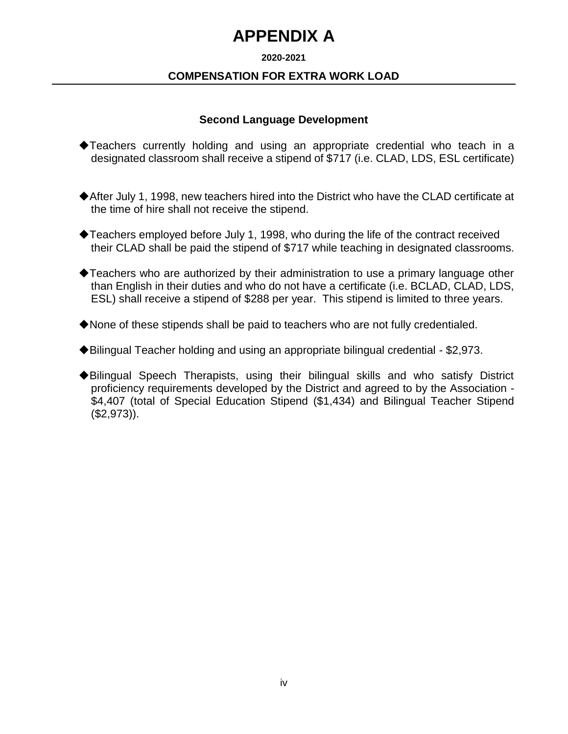#### **2020-2021**

### **COMPENSATION FOR EXTRA WORK LOAD**

### **Second Language Development**

- Teachers currently holding and using an appropriate credential who teach in a designated classroom shall receive a stipend of \$717 (i.e. CLAD, LDS, ESL certificate)
- After July 1, 1998, new teachers hired into the District who have the CLAD certificate at the time of hire shall not receive the stipend.
- Teachers employed before July 1, 1998, who during the life of the contract received their CLAD shall be paid the stipend of \$717 while teaching in designated classrooms.
- Teachers who are authorized by their administration to use a primary language other than English in their duties and who do not have a certificate (i.e. BCLAD, CLAD, LDS, ESL) shall receive a stipend of \$288 per year. This stipend is limited to three years.
- None of these stipends shall be paid to teachers who are not fully credentialed.
- ◆ Bilingual Teacher holding and using an appropriate bilingual credential \$2,973.
- Bilingual Speech Therapists, using their bilingual skills and who satisfy District proficiency requirements developed by the District and agreed to by the Association - \$4,407 (total of Special Education Stipend (\$1,434) and Bilingual Teacher Stipend (\$2,973)).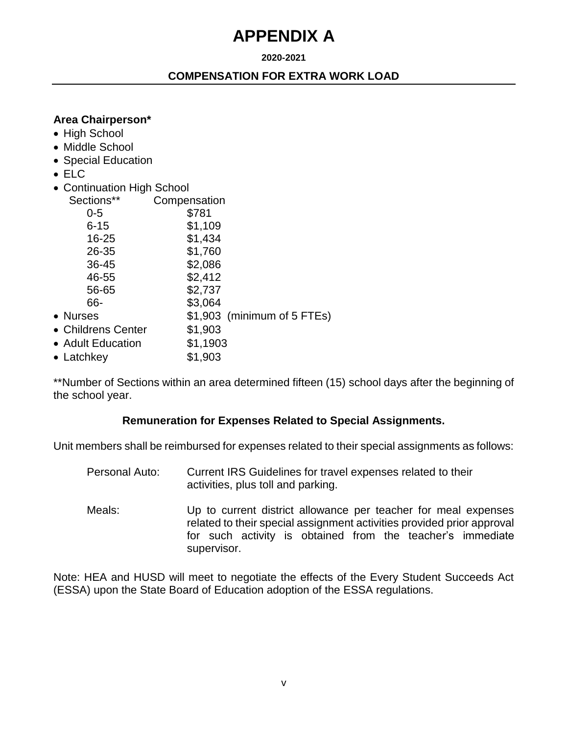#### **2020-2021**

## **COMPENSATION FOR EXTRA WORK LOAD**

## **Area Chairperson\***

- High School
- Middle School
- Special Education
- ELC
- Continuation High School

| Sections**         | Compensation |                             |
|--------------------|--------------|-----------------------------|
| 0-5                | \$781        |                             |
| $6 - 15$           | \$1,109      |                             |
| $16 - 25$          | \$1,434      |                             |
| 26-35              | \$1,760      |                             |
| 36-45              | \$2,086      |                             |
| 46-55              | \$2,412      |                             |
| 56-65              | \$2,737      |                             |
| 66-                | \$3,064      |                             |
| • Nurses           |              | \$1,903 (minimum of 5 FTEs) |
| • Childrens Center | \$1,903      |                             |
| • Adult Education  | \$1,1903     |                             |
|                    |              |                             |

• Latchkey \$1,903

\*\*Number of Sections within an area determined fifteen (15) school days after the beginning of the school year.

## **Remuneration for Expenses Related to Special Assignments.**

Unit members shall be reimbursed for expenses related to their special assignments as follows:

- Personal Auto: Current IRS Guidelines for travel expenses related to their activities, plus toll and parking.
- Meals: Up to current district allowance per teacher for meal expenses related to their special assignment activities provided prior approval for such activity is obtained from the teacher's immediate supervisor.

Note: HEA and HUSD will meet to negotiate the effects of the Every Student Succeeds Act (ESSA) upon the State Board of Education adoption of the ESSA regulations.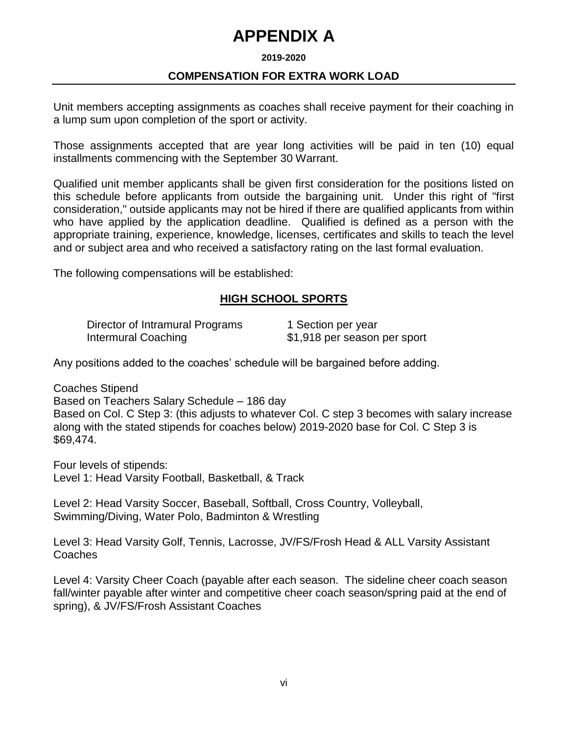#### **2019-2020**

### **COMPENSATION FOR EXTRA WORK LOAD**

Unit members accepting assignments as coaches shall receive payment for their coaching in a lump sum upon completion of the sport or activity.

Those assignments accepted that are year long activities will be paid in ten (10) equal installments commencing with the September 30 Warrant.

Qualified unit member applicants shall be given first consideration for the positions listed on this schedule before applicants from outside the bargaining unit. Under this right of "first consideration," outside applicants may not be hired if there are qualified applicants from within who have applied by the application deadline. Qualified is defined as a person with the appropriate training, experience, knowledge, licenses, certificates and skills to teach the level and or subject area and who received a satisfactory rating on the last formal evaluation.

The following compensations will be established:

## **HIGH SCHOOL SPORTS**

| Director of Intramural Programs | 1 Section per year           |
|---------------------------------|------------------------------|
| Intermural Coaching             | \$1,918 per season per sport |

Any positions added to the coaches' schedule will be bargained before adding.

Coaches Stipend

Based on Teachers Salary Schedule – 186 day

Based on Col. C Step 3: (this adjusts to whatever Col. C step 3 becomes with salary increase along with the stated stipends for coaches below) 2019-2020 base for Col. C Step 3 is \$69,474.

Four levels of stipends: Level 1: Head Varsity Football, Basketball, & Track

Level 2: Head Varsity Soccer, Baseball, Softball, Cross Country, Volleyball, Swimming/Diving, Water Polo, Badminton & Wrestling

Level 3: Head Varsity Golf, Tennis, Lacrosse, JV/FS/Frosh Head & ALL Varsity Assistant Coaches

Level 4: Varsity Cheer Coach (payable after each season. The sideline cheer coach season fall/winter payable after winter and competitive cheer coach season/spring paid at the end of spring), & JV/FS/Frosh Assistant Coaches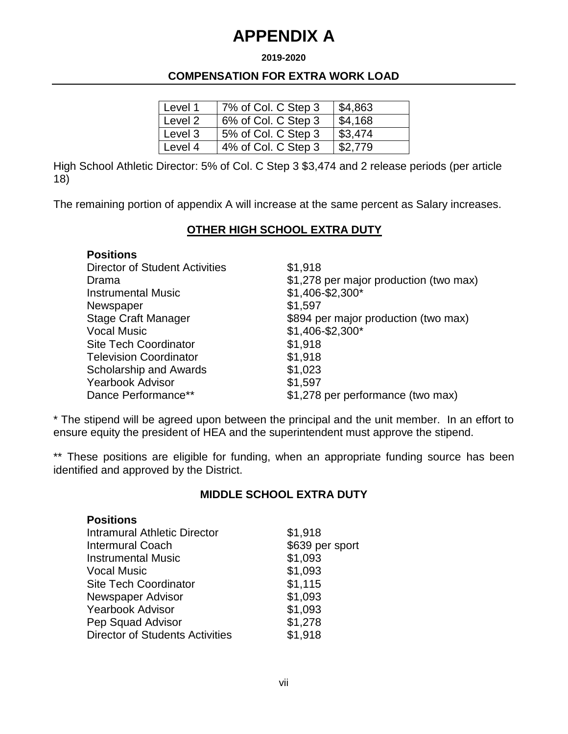#### **2019-2020**

### **COMPENSATION FOR EXTRA WORK LOAD**

| Level 1 | 7% of Col. C Step 3 | \$4,863 |
|---------|---------------------|---------|
| Level 2 | 6% of Col. C Step 3 | \$4,168 |
| Level 3 | 5% of Col. C Step 3 | \$3,474 |
| Level 4 | 4% of Col. C Step 3 | \$2,779 |

High School Athletic Director: 5% of Col. C Step 3 \$3,474 and 2 release periods (per article 18)

The remaining portion of appendix A will increase at the same percent as Salary increases.

## **OTHER HIGH SCHOOL EXTRA DUTY**

**Positions** Director of Student Activities \$1,918 Instrumental Music  $$1,406-$2,300*$ Newspaper \$1,597 Vocal Music  $$1,406-$2,300*$ Site Tech Coordinator **\$1,918** Television Coordinator **\$1,918** Scholarship and Awards \$1,023 Yearbook Advisor \$1,597

Drama \$1,278 per major production (two max) Stage Craft Manager **\$894** per major production (two max) Dance Performance\*\* <br>\$1,278 per performance (two max)

\* The stipend will be agreed upon between the principal and the unit member. In an effort to ensure equity the president of HEA and the superintendent must approve the stipend.

\*\* These positions are eligible for funding, when an appropriate funding source has been identified and approved by the District.

## **MIDDLE SCHOOL EXTRA DUTY**

| <b>Positions</b>                       |                 |
|----------------------------------------|-----------------|
| <b>Intramural Athletic Director</b>    | \$1,918         |
| <b>Intermural Coach</b>                | \$639 per sport |
| <b>Instrumental Music</b>              | \$1,093         |
| <b>Vocal Music</b>                     | \$1,093         |
| <b>Site Tech Coordinator</b>           | \$1,115         |
| Newspaper Advisor                      | \$1,093         |
| <b>Yearbook Advisor</b>                | \$1,093         |
| Pep Squad Advisor                      | \$1,278         |
| <b>Director of Students Activities</b> | \$1,918         |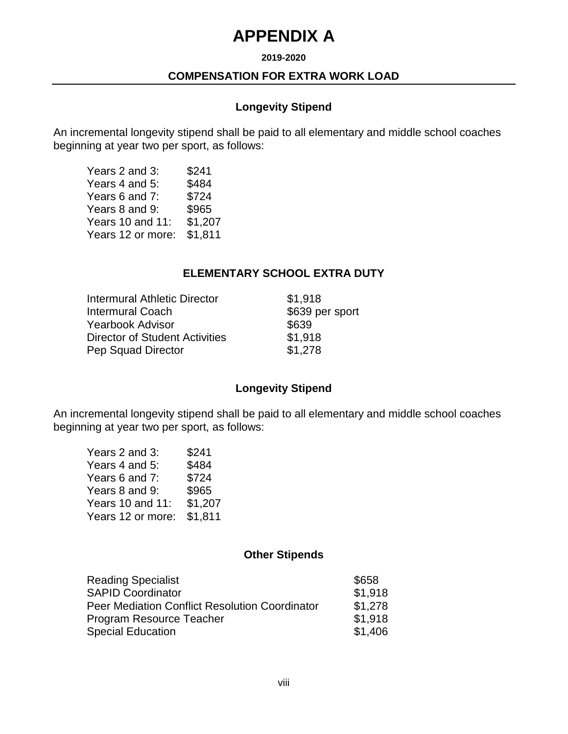#### **2019-2020**

## **COMPENSATION FOR EXTRA WORK LOAD**

## **Longevity Stipend**

An incremental longevity stipend shall be paid to all elementary and middle school coaches beginning at year two per sport, as follows:

Years 2 and 3: \$241 Years 4 and 5: \$484 Years 6 and 7: \$724 Years 8 and 9: \$965 Years 10 and 11: \$1,207 Years 12 or more: \$1,811

## **ELEMENTARY SCHOOL EXTRA DUTY**

| Intermural Athletic Director   | \$1,918         |
|--------------------------------|-----------------|
| <b>Intermural Coach</b>        | \$639 per sport |
| Yearbook Advisor               | \$639           |
| Director of Student Activities | \$1,918         |
| Pep Squad Director             | \$1,278         |

## **Longevity Stipend**

An incremental longevity stipend shall be paid to all elementary and middle school coaches beginning at year two per sport, as follows:

| Years 2 and 3:    | \$241   |
|-------------------|---------|
| Years 4 and 5:    | \$484   |
| Years 6 and 7:    | \$724   |
| Years 8 and 9:    | \$965   |
| Years 10 and 11:  | \$1,207 |
| Years 12 or more: | \$1,811 |

#### **Other Stipends**

| <b>Reading Specialist</b>                             | \$658   |
|-------------------------------------------------------|---------|
| <b>SAPID Coordinator</b>                              | \$1,918 |
| <b>Peer Mediation Conflict Resolution Coordinator</b> | \$1,278 |
| Program Resource Teacher                              | \$1.918 |
| <b>Special Education</b>                              | \$1,406 |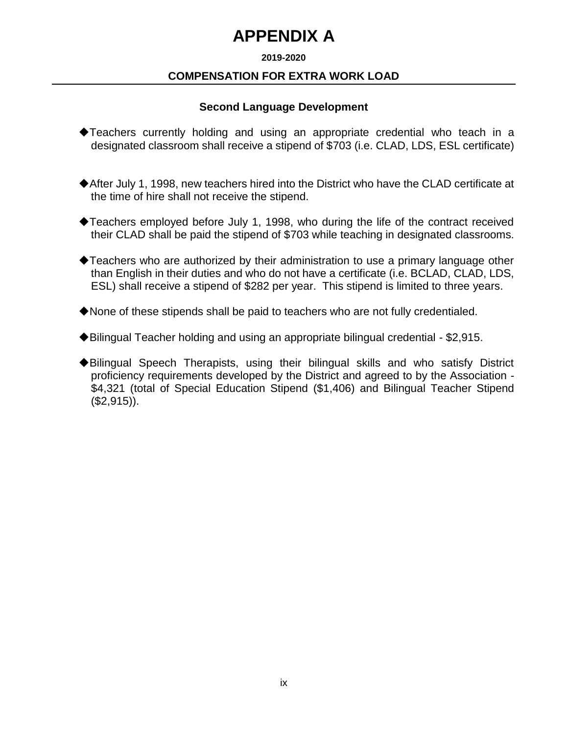#### **2019-2020**

## **COMPENSATION FOR EXTRA WORK LOAD**

### **Second Language Development**

- Teachers currently holding and using an appropriate credential who teach in a designated classroom shall receive a stipend of \$703 (i.e. CLAD, LDS, ESL certificate)
- After July 1, 1998, new teachers hired into the District who have the CLAD certificate at the time of hire shall not receive the stipend.
- Teachers employed before July 1, 1998, who during the life of the contract received their CLAD shall be paid the stipend of \$703 while teaching in designated classrooms.
- Teachers who are authorized by their administration to use a primary language other than English in their duties and who do not have a certificate (i.e. BCLAD, CLAD, LDS, ESL) shall receive a stipend of \$282 per year. This stipend is limited to three years.
- None of these stipends shall be paid to teachers who are not fully credentialed.
- Bilingual Teacher holding and using an appropriate bilingual credential \$2,915.
- Bilingual Speech Therapists, using their bilingual skills and who satisfy District proficiency requirements developed by the District and agreed to by the Association - \$4,321 (total of Special Education Stipend (\$1,406) and Bilingual Teacher Stipend  $($2,915)$ ).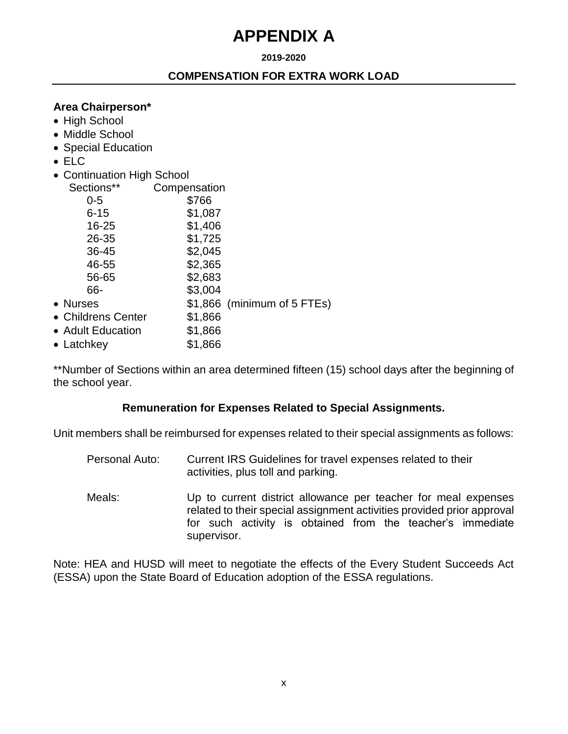#### **2019-2020**

## **COMPENSATION FOR EXTRA WORK LOAD**

### **Area Chairperson\***

- High School
- Middle School
- Special Education
- ELC
- Continuation High School

| Sections**         | Compensation |                             |
|--------------------|--------------|-----------------------------|
| $0 - 5$            | \$766        |                             |
| $6 - 15$           | \$1,087      |                             |
| 16-25              | \$1,406      |                             |
| 26-35              | \$1,725      |                             |
| 36-45              | \$2,045      |                             |
| 46-55              | \$2,365      |                             |
| 56-65              | \$2,683      |                             |
| 66-                | \$3,004      |                             |
| • Nurses           |              | \$1,866 (minimum of 5 FTEs) |
| • Childrens Center | \$1,866      |                             |
| • Adult Education  | \$1,866      |                             |
| $\bullet$ Latchkey | \$1,866      |                             |
|                    |              |                             |

\*\*Number of Sections within an area determined fifteen (15) school days after the beginning of the school year.

## **Remuneration for Expenses Related to Special Assignments.**

Unit members shall be reimbursed for expenses related to their special assignments as follows:

- Personal Auto: Current IRS Guidelines for travel expenses related to their activities, plus toll and parking.
- Meals: Up to current district allowance per teacher for meal expenses related to their special assignment activities provided prior approval for such activity is obtained from the teacher's immediate supervisor.

Note: HEA and HUSD will meet to negotiate the effects of the Every Student Succeeds Act (ESSA) upon the State Board of Education adoption of the ESSA regulations.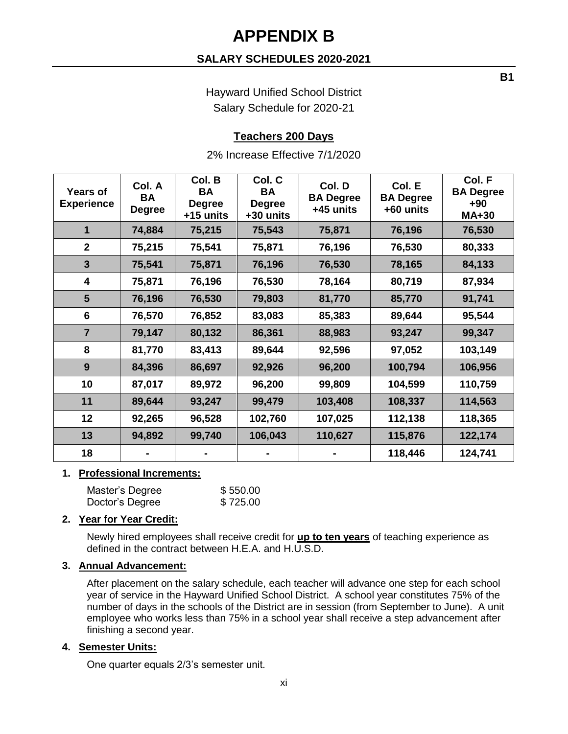## **SALARY SCHEDULES 2020-2021**

**B1**

Hayward Unified School District Salary Schedule for 2020-21

## **Teachers 200 Days**

2% Increase Effective 7/1/2020

| <b>Years of</b><br><b>Experience</b> | Col. A<br>BA<br><b>Degree</b> | Col. B<br><b>BA</b><br><b>Degree</b><br>+15 units | Col. C<br><b>BA</b><br><b>Degree</b><br>+30 units | Col. D<br><b>BA Degree</b><br>+45 units | Col. E<br><b>BA Degree</b><br>+60 units | Col. F<br><b>BA Degree</b><br>$+90$<br><b>MA+30</b> |
|--------------------------------------|-------------------------------|---------------------------------------------------|---------------------------------------------------|-----------------------------------------|-----------------------------------------|-----------------------------------------------------|
| 1                                    | 74,884                        | 75,215                                            | 75,543                                            | 75,871                                  | 76,196                                  | 76,530                                              |
| $\mathbf{2}$                         | 75,215                        | 75,541                                            | 75,871                                            | 76,196                                  | 76,530                                  | 80,333                                              |
| $\mathbf{3}$                         | 75,541                        | 75,871                                            | 76,196                                            | 76,530                                  | 78,165                                  | 84,133                                              |
| 4                                    | 75,871                        | 76,196                                            | 76,530                                            | 78,164                                  | 80,719                                  | 87,934                                              |
| $5\phantom{1}$                       | 76,196                        | 76,530                                            | 79,803                                            | 81,770                                  | 85,770                                  | 91,741                                              |
| 6                                    | 76,570                        | 76,852                                            | 83,083                                            | 85,383                                  | 89,644                                  | 95,544                                              |
| $\overline{7}$                       | 79,147                        | 80,132                                            | 86,361                                            | 88,983                                  | 93,247                                  | 99,347                                              |
| 8                                    | 81,770                        | 83,413                                            | 89,644                                            | 92,596                                  | 97,052                                  | 103,149                                             |
| 9                                    | 84,396                        | 86,697                                            | 92,926                                            | 96,200                                  | 100,794                                 | 106,956                                             |
| 10                                   | 87,017                        | 89,972                                            | 96,200                                            | 99,809                                  | 104,599                                 | 110,759                                             |
| 11                                   | 89,644                        | 93,247                                            | 99,479                                            | 103,408                                 | 108,337                                 | 114,563                                             |
| 12                                   | 92,265                        | 96,528                                            | 102,760                                           | 107,025                                 | 112,138                                 | 118,365                                             |
| 13                                   | 94,892                        | 99,740                                            | 106,043                                           | 110,627                                 | 115,876                                 | 122,174                                             |
| 18                                   |                               |                                                   |                                                   |                                         | 118,446                                 | 124,741                                             |

#### **1. Professional Increments:**

| Master's Degree | \$550.00 |
|-----------------|----------|
| Doctor's Degree | \$725.00 |

### **2. Year for Year Credit:**

Newly hired employees shall receive credit for **up to ten years** of teaching experience as defined in the contract between H.E.A. and H.U.S.D.

#### **3. Annual Advancement:**

After placement on the salary schedule, each teacher will advance one step for each school year of service in the Hayward Unified School District. A school year constitutes 75% of the number of days in the schools of the District are in session (from September to June). A unit employee who works less than 75% in a school year shall receive a step advancement after finishing a second year.

## **4. Semester Units:**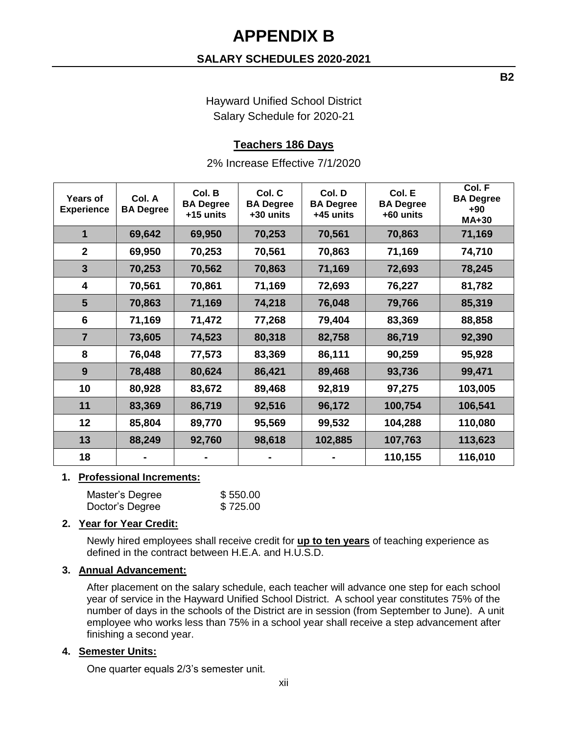## **SALARY SCHEDULES 2020-2021**

**B2**

Hayward Unified School District Salary Schedule for 2020-21

## **Teachers 186 Days**

2% Increase Effective 7/1/2020

| Years of<br><b>Experience</b> | Col. A<br><b>BA Degree</b> | Col. B<br><b>BA Degree</b><br>+15 units | Col. C<br><b>BA Degree</b><br>+30 units | Col. D<br><b>BA Degree</b><br>+45 units | Col. E<br><b>BA Degree</b><br>+60 units | Col. F<br><b>BA Degree</b><br>$+90$<br>MA+30 |
|-------------------------------|----------------------------|-----------------------------------------|-----------------------------------------|-----------------------------------------|-----------------------------------------|----------------------------------------------|
| 1                             | 69,642                     | 69,950                                  | 70,253                                  | 70,561                                  | 70,863                                  | 71,169                                       |
| $\mathbf{2}$                  | 69,950                     | 70,253                                  | 70,561                                  | 70,863                                  | 71,169                                  | 74,710                                       |
| $\mathbf{3}$                  | 70,253                     | 70,562                                  | 70,863                                  | 71,169                                  | 72,693                                  | 78,245                                       |
| 4                             | 70,561                     | 70,861                                  | 71,169                                  | 72,693                                  | 76,227                                  | 81,782                                       |
| $5\phantom{1}$                | 70,863                     | 71,169                                  | 74,218                                  | 76,048                                  | 79,766                                  | 85,319                                       |
| $6\phantom{1}$                | 71,169                     | 71,472                                  | 77,268                                  | 79,404                                  | 83,369                                  | 88,858                                       |
| $\overline{7}$                | 73,605                     | 74,523                                  | 80,318                                  | 82,758                                  | 86,719                                  | 92,390                                       |
| 8                             | 76,048                     | 77,573                                  | 83,369                                  | 86,111                                  | 90,259                                  | 95,928                                       |
| 9                             | 78,488                     | 80,624                                  | 86,421                                  | 89,468                                  | 93,736                                  | 99,471                                       |
| 10                            | 80,928                     | 83,672                                  | 89,468                                  | 92,819                                  | 97,275                                  | 103,005                                      |
| 11                            | 83,369                     | 86,719                                  | 92,516                                  | 96,172                                  | 100,754                                 | 106,541                                      |
| 12                            | 85,804                     | 89,770                                  | 95,569                                  | 99,532                                  | 104,288                                 | 110,080                                      |
| 13                            | 88,249                     | 92,760                                  | 98,618                                  | 102,885                                 | 107,763                                 | 113,623                                      |
| 18                            |                            |                                         |                                         |                                         | 110,155                                 | 116,010                                      |

#### **1. Professional Increments:**

| Master's Degree | \$550.00 |
|-----------------|----------|
| Doctor's Degree | \$725.00 |

#### **2. Year for Year Credit:**

Newly hired employees shall receive credit for **up to ten years** of teaching experience as defined in the contract between H.E.A. and H.U.S.D.

#### **3. Annual Advancement:**

After placement on the salary schedule, each teacher will advance one step for each school year of service in the Hayward Unified School District. A school year constitutes 75% of the number of days in the schools of the District are in session (from September to June). A unit employee who works less than 75% in a school year shall receive a step advancement after finishing a second year.

#### **4. Semester Units:**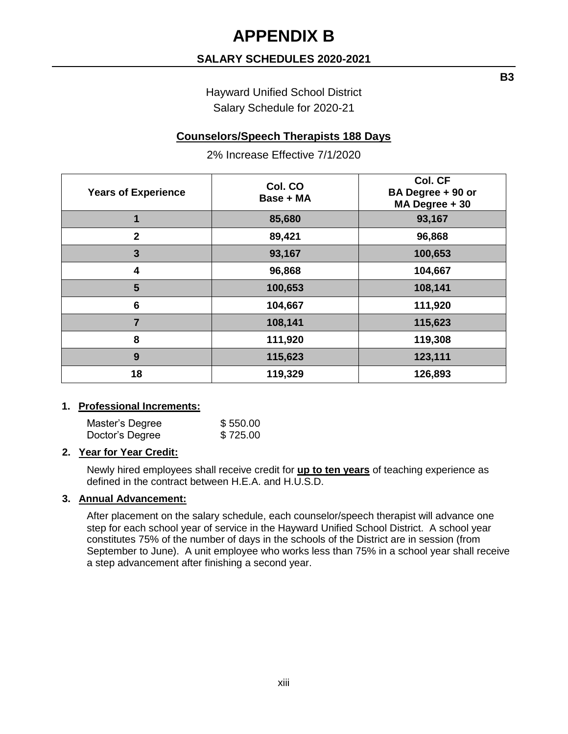## **SALARY SCHEDULES 2020-2021**

**B3**

Hayward Unified School District Salary Schedule for 2020-21

## **Counselors/Speech Therapists 188 Days**

2% Increase Effective 7/1/2020

| <b>Years of Experience</b> | Col. CO<br>Base + MA | Col. CF<br>BA Degree + 90 or<br>MA Degree + 30 |
|----------------------------|----------------------|------------------------------------------------|
| 1                          | 85,680               | 93,167                                         |
| $\mathbf{2}$               | 89,421               | 96,868                                         |
| $\overline{3}$             | 93,167               | 100,653                                        |
| 4                          | 96,868               | 104,667                                        |
| $5\phantom{1}$             | 100,653              | 108,141                                        |
| $6\phantom{1}6$            | 104,667              | 111,920                                        |
| $\overline{7}$             | 108,141              | 115,623                                        |
| 8                          | 111,920              | 119,308                                        |
| 9                          | 115,623              | 123,111                                        |
| 18                         | 119,329              | 126,893                                        |

## **1. Professional Increments:**

| Master's Degree | \$550.00 |
|-----------------|----------|
| Doctor's Degree | \$725.00 |

#### **2. Year for Year Credit:**

Newly hired employees shall receive credit for **up to ten years** of teaching experience as defined in the contract between H.E.A. and H.U.S.D.

#### **3. Annual Advancement:**

After placement on the salary schedule, each counselor/speech therapist will advance one step for each school year of service in the Hayward Unified School District. A school year constitutes 75% of the number of days in the schools of the District are in session (from September to June). A unit employee who works less than 75% in a school year shall receive a step advancement after finishing a second year.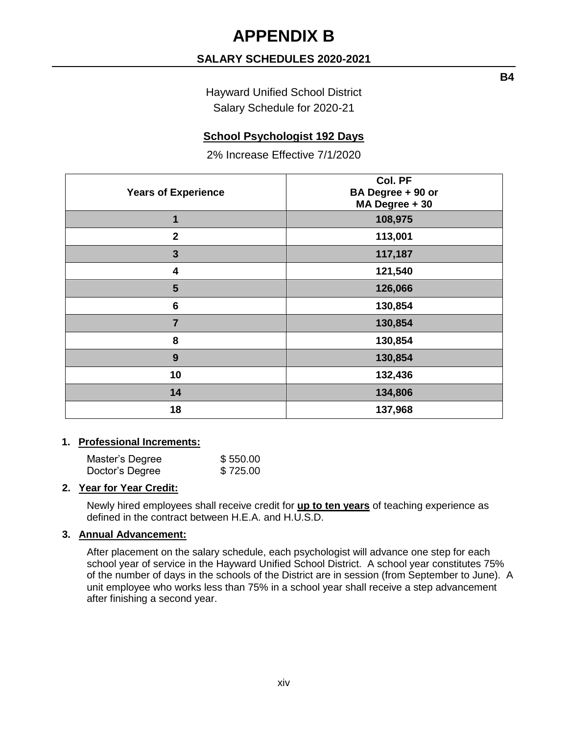# **SALARY SCHEDULES 2020-2021**

Hayward Unified School District Salary Schedule for 2020-21

## **School Psychologist 192 Days**

2% Increase Effective 7/1/2020

| <b>Years of Experience</b> | Col. PF<br>BA Degree + 90 or<br>MA Degree + 30 |
|----------------------------|------------------------------------------------|
| 1                          | 108,975                                        |
| $\mathbf{2}$               | 113,001                                        |
| 3                          | 117,187                                        |
| $\overline{\mathbf{4}}$    | 121,540                                        |
| 5                          | 126,066                                        |
| $6\phantom{1}6$            | 130,854                                        |
| $\overline{7}$             | 130,854                                        |
| 8                          | 130,854                                        |
| 9                          | 130,854                                        |
| 10                         | 132,436                                        |
| 14                         | 134,806                                        |
| 18                         | 137,968                                        |

#### **1. Professional Increments:**

| Master's Degree | \$550.00 |
|-----------------|----------|
| Doctor's Degree | \$725.00 |

## **2. Year for Year Credit:**

Newly hired employees shall receive credit for **up to ten years** of teaching experience as defined in the contract between H.E.A. and H.U.S.D.

## **3. Annual Advancement:**

After placement on the salary schedule, each psychologist will advance one step for each school year of service in the Hayward Unified School District. A school year constitutes 75% of the number of days in the schools of the District are in session (from September to June). A unit employee who works less than 75% in a school year shall receive a step advancement after finishing a second year.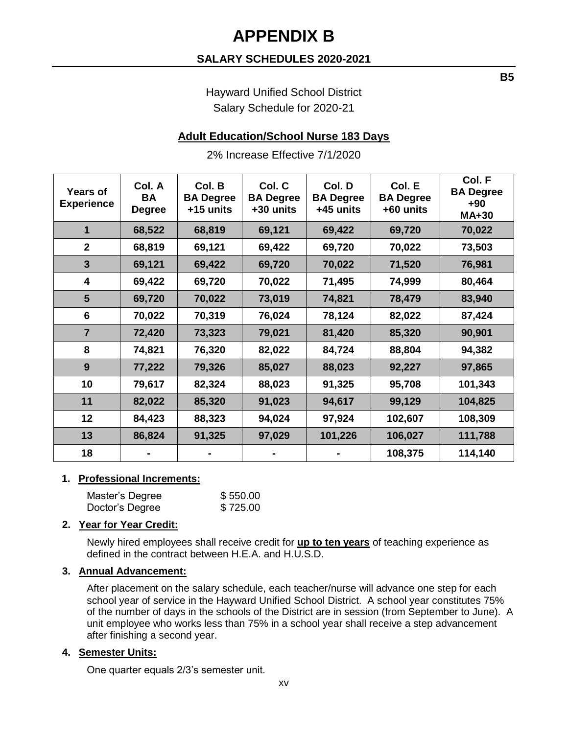## **SALARY SCHEDULES 2020-2021**

**B5**

Hayward Unified School District Salary Schedule for 2020-21

## **Adult Education/School Nurse 183 Days**

2% Increase Effective 7/1/2020

| <b>Years of</b><br><b>Experience</b> | Col. A<br>BA<br><b>Degree</b> | Col. B<br><b>BA Degree</b><br>+15 units | Col. C<br><b>BA Degree</b><br>+30 units | Col. D<br><b>BA Degree</b><br>+45 units | Col. E<br><b>BA Degree</b><br>+60 units | Col. F<br><b>BA Degree</b><br>$+90$<br><b>MA+30</b> |
|--------------------------------------|-------------------------------|-----------------------------------------|-----------------------------------------|-----------------------------------------|-----------------------------------------|-----------------------------------------------------|
| 1                                    | 68,522                        | 68,819                                  | 69,121                                  | 69,422                                  | 69,720                                  | 70,022                                              |
| $\overline{2}$                       | 68,819                        | 69,121                                  | 69,422                                  | 69,720                                  | 70,022                                  | 73,503                                              |
| $\overline{3}$                       | 69,121                        | 69,422                                  | 69,720                                  | 70,022                                  | 71,520                                  | 76,981                                              |
| 4                                    | 69,422                        | 69,720                                  | 70,022                                  | 71,495                                  | 74,999                                  | 80,464                                              |
| 5                                    | 69,720                        | 70,022                                  | 73,019                                  | 74,821                                  | 78,479                                  | 83,940                                              |
| 6                                    | 70,022                        | 70,319                                  | 76,024                                  | 78,124                                  | 82,022                                  | 87,424                                              |
| $\overline{7}$                       | 72,420                        | 73,323                                  | 79,021                                  | 81,420                                  | 85,320                                  | 90,901                                              |
| 8                                    | 74,821                        | 76,320                                  | 82,022                                  | 84,724                                  | 88,804                                  | 94,382                                              |
| 9                                    | 77,222                        | 79,326                                  | 85,027                                  | 88,023                                  | 92,227                                  | 97,865                                              |
| 10                                   | 79,617                        | 82,324                                  | 88,023                                  | 91,325                                  | 95,708                                  | 101,343                                             |
| 11                                   | 82,022                        | 85,320                                  | 91,023                                  | 94,617                                  | 99,129                                  | 104,825                                             |
| 12                                   | 84,423                        | 88,323                                  | 94,024                                  | 97,924                                  | 102,607                                 | 108,309                                             |
| 13                                   | 86,824                        | 91,325                                  | 97,029                                  | 101,226                                 | 106,027                                 | 111,788                                             |
| 18                                   |                               |                                         |                                         |                                         | 108,375                                 | 114,140                                             |

#### **1. Professional Increments:**

| Master's Degree | \$550.00 |
|-----------------|----------|
| Doctor's Degree | \$725.00 |

#### **2. Year for Year Credit:**

Newly hired employees shall receive credit for **up to ten years** of teaching experience as defined in the contract between H.E.A. and H.U.S.D.

#### **3. Annual Advancement:**

After placement on the salary schedule, each teacher/nurse will advance one step for each school year of service in the Hayward Unified School District. A school year constitutes 75% of the number of days in the schools of the District are in session (from September to June). A unit employee who works less than 75% in a school year shall receive a step advancement after finishing a second year.

#### **4. Semester Units:**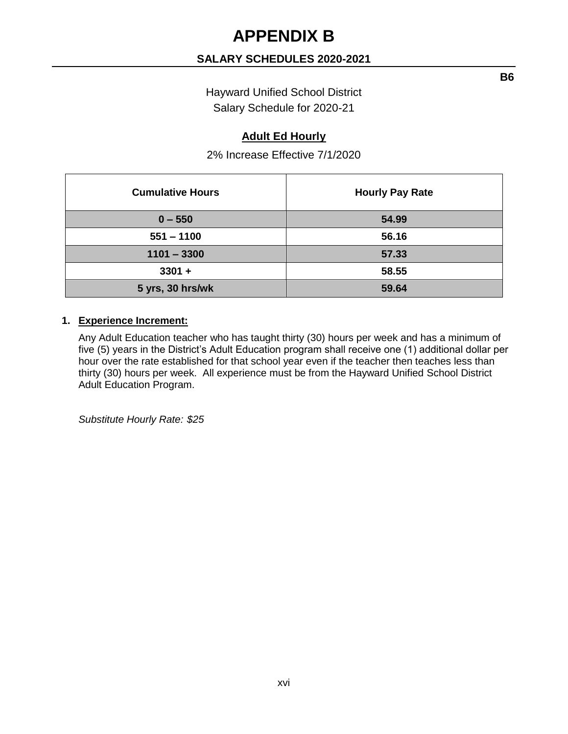# **SALARY SCHEDULES 2020-2021**

Hayward Unified School District Salary Schedule for 2020-21

# **Adult Ed Hourly**

## 2% Increase Effective 7/1/2020

| <b>Cumulative Hours</b> | <b>Hourly Pay Rate</b> |
|-------------------------|------------------------|
| $0 - 550$               | 54.99                  |
| $551 - 1100$            | 56.16                  |
| $1101 - 3300$           | 57.33                  |
| $3301 +$                | 58.55                  |
| 5 yrs, 30 hrs/wk        | 59.64                  |

## **1. Experience Increment:**

Any Adult Education teacher who has taught thirty (30) hours per week and has a minimum of five (5) years in the District's Adult Education program shall receive one (1) additional dollar per hour over the rate established for that school year even if the teacher then teaches less than thirty (30) hours per week. All experience must be from the Hayward Unified School District Adult Education Program.

*Substitute Hourly Rate: \$25*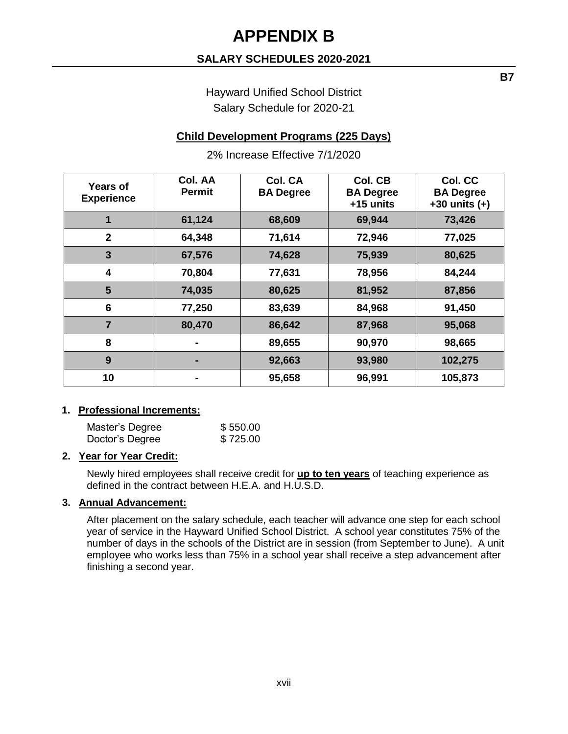# **SALARY SCHEDULES 2020-2021**

**B7**

Hayward Unified School District Salary Schedule for 2020-21

## **Child Development Programs (225 Days)**

2% Increase Effective 7/1/2020

| <b>Years of</b><br><b>Experience</b> | Col. AA<br><b>Permit</b> | Col. CA<br><b>BA Degree</b> | Col. CB<br><b>BA Degree</b><br>+15 units | Col. CC<br><b>BA Degree</b><br>$+30$ units $(+)$ |
|--------------------------------------|--------------------------|-----------------------------|------------------------------------------|--------------------------------------------------|
|                                      | 61,124                   | 68,609                      | 69,944                                   | 73,426                                           |
| $\overline{2}$                       | 64,348                   | 71,614                      | 72,946                                   | 77,025                                           |
| 3                                    | 67,576                   | 74,628                      | 75,939                                   | 80,625                                           |
| 4                                    | 70,804                   | 77,631                      | 78,956                                   | 84,244                                           |
| 5                                    | 74,035                   | 80,625                      | 81,952                                   | 87,856                                           |
| 6                                    | 77,250                   | 83,639                      | 84,968                                   | 91,450                                           |
| $\overline{7}$                       | 80,470                   | 86,642                      | 87,968                                   | 95,068                                           |
| 8                                    |                          | 89,655                      | 90,970                                   | 98,665                                           |
| 9                                    |                          | 92,663                      | 93,980                                   | 102,275                                          |
| 10                                   |                          | 95,658                      | 96,991                                   | 105,873                                          |

## **1. Professional Increments:**

| Master's Degree | \$550.00 |
|-----------------|----------|
| Doctor's Degree | \$725.00 |

## **2. Year for Year Credit:**

Newly hired employees shall receive credit for **up to ten years** of teaching experience as defined in the contract between H.E.A. and H.U.S.D.

#### **3. Annual Advancement:**

After placement on the salary schedule, each teacher will advance one step for each school year of service in the Hayward Unified School District. A school year constitutes 75% of the number of days in the schools of the District are in session (from September to June). A unit employee who works less than 75% in a school year shall receive a step advancement after finishing a second year.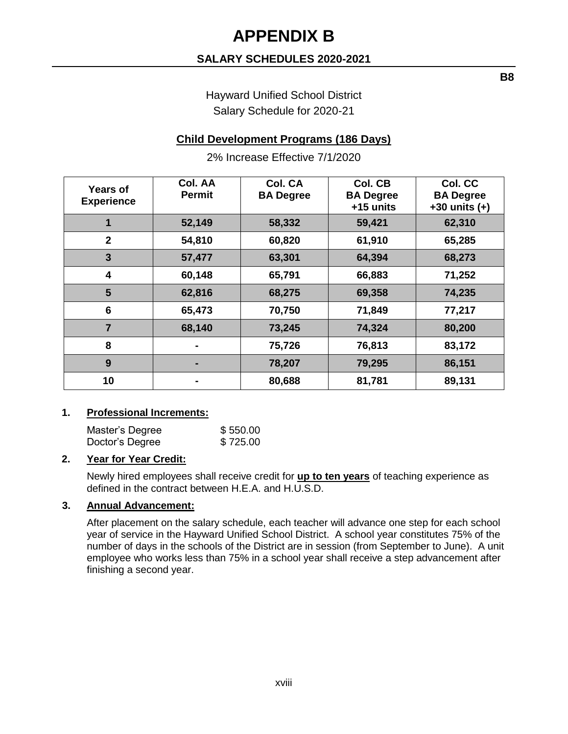# **SALARY SCHEDULES 2020-2021**

**B8**

Hayward Unified School District Salary Schedule for 2020-21

## **Child Development Programs (186 Days)**

2% Increase Effective 7/1/2020

| <b>Years of</b><br><b>Experience</b> | Col. AA<br><b>Permit</b> | Col. CA<br><b>BA Degree</b> | Col. CB<br><b>BA Degree</b><br>+15 units | Col. CC<br><b>BA Degree</b><br>$+30$ units $(+)$ |
|--------------------------------------|--------------------------|-----------------------------|------------------------------------------|--------------------------------------------------|
|                                      | 52,149                   | 58,332                      | 59,421                                   | 62,310                                           |
| $\overline{2}$                       | 54,810                   | 60,820                      | 61,910                                   | 65,285                                           |
| 3                                    | 57,477                   | 63,301                      | 64,394                                   | 68,273                                           |
| 4                                    | 60,148                   | 65,791                      | 66,883                                   | 71,252                                           |
| 5                                    | 62,816                   | 68,275                      | 69,358                                   | 74,235                                           |
| 6                                    | 65,473                   | 70,750                      | 71,849                                   | 77,217                                           |
| $\overline{7}$                       | 68,140                   | 73,245                      | 74,324                                   | 80,200                                           |
| 8                                    |                          | 75,726                      | 76,813                                   | 83,172                                           |
| 9                                    |                          | 78,207                      | 79,295                                   | 86,151                                           |
| 10                                   |                          | 80,688                      | 81,781                                   | 89,131                                           |

## **1. Professional Increments:**

| Master's Degree | \$550.00 |
|-----------------|----------|
| Doctor's Degree | \$725.00 |

## **2. Year for Year Credit:**

Newly hired employees shall receive credit for **up to ten years** of teaching experience as defined in the contract between H.E.A. and H.U.S.D.

## **3. Annual Advancement:**

After placement on the salary schedule, each teacher will advance one step for each school year of service in the Hayward Unified School District. A school year constitutes 75% of the number of days in the schools of the District are in session (from September to June). A unit employee who works less than 75% in a school year shall receive a step advancement after finishing a second year.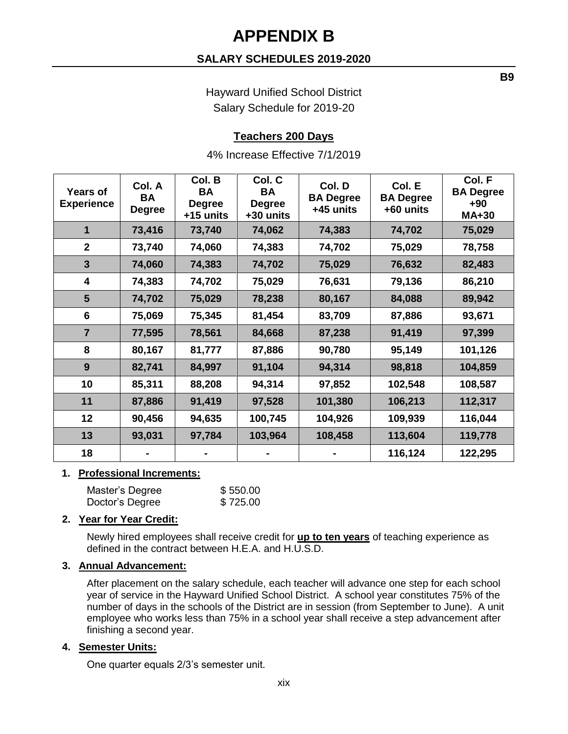## **SALARY SCHEDULES 2019-2020**

**B9**

Hayward Unified School District Salary Schedule for 2019-20

## **Teachers 200 Days**

4% Increase Effective 7/1/2019

| <b>Years of</b><br><b>Experience</b> | Col. A<br>BA<br><b>Degree</b> | Col. B<br><b>BA</b><br><b>Degree</b><br>+15 units | Col. C<br><b>BA</b><br><b>Degree</b><br>+30 units | Col. D<br><b>BA Degree</b><br>+45 units | Col. E<br><b>BA Degree</b><br>+60 units | Col. F<br><b>BA Degree</b><br>+90<br><b>MA+30</b> |
|--------------------------------------|-------------------------------|---------------------------------------------------|---------------------------------------------------|-----------------------------------------|-----------------------------------------|---------------------------------------------------|
| 1                                    | 73,416                        | 73,740                                            | 74,062                                            | 74,383                                  | 74,702                                  | 75,029                                            |
| $\overline{2}$                       | 73,740                        | 74,060                                            | 74,383                                            | 74,702                                  | 75,029                                  | 78,758                                            |
| $\overline{3}$                       | 74,060                        | 74,383                                            | 74,702                                            | 75,029                                  | 76,632                                  | 82,483                                            |
| 4                                    | 74,383                        | 74,702                                            | 75,029                                            | 76,631                                  | 79,136                                  | 86,210                                            |
| $5\phantom{1}$                       | 74,702                        | 75,029                                            | 78,238                                            | 80,167                                  | 84,088                                  | 89,942                                            |
| $6\phantom{1}$                       | 75,069                        | 75,345                                            | 81,454                                            | 83,709                                  | 87,886                                  | 93,671                                            |
| $\overline{7}$                       | 77,595                        | 78,561                                            | 84,668                                            | 87,238                                  | 91,419                                  | 97,399                                            |
| 8                                    | 80,167                        | 81,777                                            | 87,886                                            | 90,780                                  | 95,149                                  | 101,126                                           |
| 9                                    | 82,741                        | 84,997                                            | 91,104                                            | 94,314                                  | 98,818                                  | 104,859                                           |
| 10                                   | 85,311                        | 88,208                                            | 94,314                                            | 97,852                                  | 102,548                                 | 108,587                                           |
| 11                                   | 87,886                        | 91,419                                            | 97,528                                            | 101,380                                 | 106,213                                 | 112,317                                           |
| 12                                   | 90,456                        | 94,635                                            | 100,745                                           | 104,926                                 | 109,939                                 | 116,044                                           |
| 13                                   | 93,031                        | 97,784                                            | 103,964                                           | 108,458                                 | 113,604                                 | 119,778                                           |
| 18                                   |                               |                                                   |                                                   |                                         | 116,124                                 | 122,295                                           |

#### **1. Professional Increments:**

| Master's Degree | \$550.00 |
|-----------------|----------|
| Doctor's Degree | \$725.00 |

## **2. Year for Year Credit:**

Newly hired employees shall receive credit for **up to ten years** of teaching experience as defined in the contract between H.E.A. and H.U.S.D.

#### **3. Annual Advancement:**

After placement on the salary schedule, each teacher will advance one step for each school year of service in the Hayward Unified School District. A school year constitutes 75% of the number of days in the schools of the District are in session (from September to June). A unit employee who works less than 75% in a school year shall receive a step advancement after finishing a second year.

## **4. Semester Units:**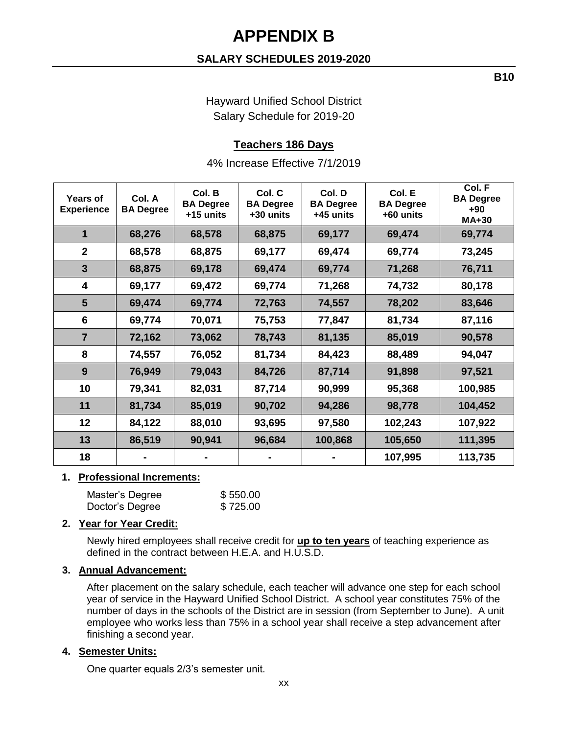## **SALARY SCHEDULES 2019-2020**

**B10**

Hayward Unified School District Salary Schedule for 2019-20

## **Teachers 186 Days**

4% Increase Effective 7/1/2019

| Years of<br><b>Experience</b> | Col. A<br><b>BA Degree</b> | Col. B<br><b>BA Degree</b><br>+15 units | Col. C<br><b>BA Degree</b><br>+30 units | Col. D<br><b>BA Degree</b><br>+45 units | Col. E<br><b>BA Degree</b><br>+60 units | Col. F<br><b>BA Degree</b><br>$+90$<br>MA+30 |
|-------------------------------|----------------------------|-----------------------------------------|-----------------------------------------|-----------------------------------------|-----------------------------------------|----------------------------------------------|
| 1                             | 68,276                     | 68,578                                  | 68,875                                  | 69,177                                  | 69,474                                  | 69,774                                       |
| $\overline{2}$                | 68,578                     | 68,875                                  | 69,177                                  | 69,474                                  | 69,774                                  | 73,245                                       |
| $\mathbf{3}$                  | 68,875                     | 69,178                                  | 69,474                                  | 69,774                                  | 71,268                                  | 76,711                                       |
| 4                             | 69,177                     | 69,472                                  | 69,774                                  | 71,268                                  | 74,732                                  | 80,178                                       |
| $5\phantom{1}$                | 69,474                     | 69,774                                  | 72,763                                  | 74,557                                  | 78,202                                  | 83,646                                       |
| $6\phantom{1}$                | 69,774                     | 70,071                                  | 75,753                                  | 77,847                                  | 81,734                                  | 87,116                                       |
| $\overline{7}$                | 72,162                     | 73,062                                  | 78,743                                  | 81,135                                  | 85,019                                  | 90,578                                       |
| 8                             | 74,557                     | 76,052                                  | 81,734                                  | 84,423                                  | 88,489                                  | 94,047                                       |
| 9                             | 76,949                     | 79,043                                  | 84,726                                  | 87,714                                  | 91,898                                  | 97,521                                       |
| 10                            | 79,341                     | 82,031                                  | 87,714                                  | 90,999                                  | 95,368                                  | 100,985                                      |
| 11                            | 81,734                     | 85,019                                  | 90,702                                  | 94,286                                  | 98,778                                  | 104,452                                      |
| 12                            | 84,122                     | 88,010                                  | 93,695                                  | 97,580                                  | 102,243                                 | 107,922                                      |
| 13                            | 86,519                     | 90,941                                  | 96,684                                  | 100,868                                 | 105,650                                 | 111,395                                      |
| 18                            |                            |                                         |                                         |                                         | 107,995                                 | 113,735                                      |

#### **1. Professional Increments:**

| Master's Degree | \$550.00 |
|-----------------|----------|
| Doctor's Degree | \$725.00 |

## **2. Year for Year Credit:**

Newly hired employees shall receive credit for **up to ten years** of teaching experience as defined in the contract between H.E.A. and H.U.S.D.

#### **3. Annual Advancement:**

After placement on the salary schedule, each teacher will advance one step for each school year of service in the Hayward Unified School District. A school year constitutes 75% of the number of days in the schools of the District are in session (from September to June). A unit employee who works less than 75% in a school year shall receive a step advancement after finishing a second year.

#### **4. Semester Units:**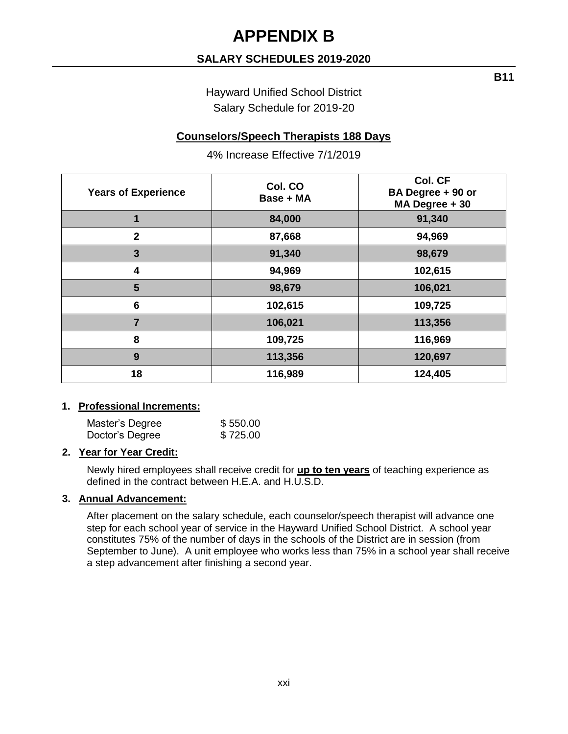## **SALARY SCHEDULES 2019-2020**

**B11**

Hayward Unified School District Salary Schedule for 2019-20

## **Counselors/Speech Therapists 188 Days**

4% Increase Effective 7/1/2019

| <b>Years of Experience</b> | Col. CO<br>Base + MA | Col. CF<br>BA Degree + 90 or<br>MA Degree + 30 |
|----------------------------|----------------------|------------------------------------------------|
| 1                          | 84,000               | 91,340                                         |
| $\mathbf{2}$               | 87,668               | 94,969                                         |
| $\overline{3}$             | 91,340               | 98,679                                         |
| 4                          | 94,969               | 102,615                                        |
| $5\phantom{1}$             | 98,679               | 106,021                                        |
| $6\phantom{1}6$            | 102,615              | 109,725                                        |
| $\overline{7}$             | 106,021              | 113,356                                        |
| 8                          | 109,725              | 116,969                                        |
| 9                          | 113,356              | 120,697                                        |
| 18                         | 116,989              | 124,405                                        |

## **1. Professional Increments:**

| Master's Degree | \$550.00 |
|-----------------|----------|
| Doctor's Degree | \$725.00 |

#### **2. Year for Year Credit:**

Newly hired employees shall receive credit for **up to ten years** of teaching experience as defined in the contract between H.E.A. and H.U.S.D.

#### **3. Annual Advancement:**

After placement on the salary schedule, each counselor/speech therapist will advance one step for each school year of service in the Hayward Unified School District. A school year constitutes 75% of the number of days in the schools of the District are in session (from September to June). A unit employee who works less than 75% in a school year shall receive a step advancement after finishing a second year.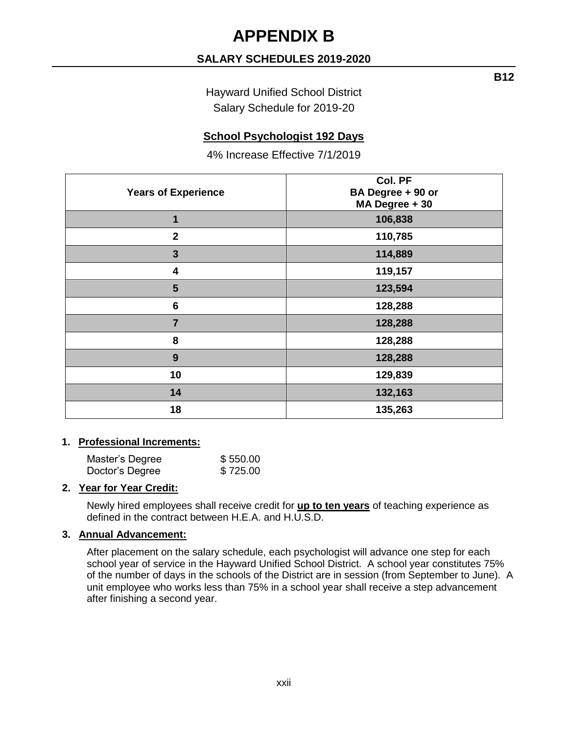# **SALARY SCHEDULES 2019-2020**

**B12**

Hayward Unified School District Salary Schedule for 2019-20

## **School Psychologist 192 Days**

4% Increase Effective 7/1/2019

| <b>Years of Experience</b> | Col. PF<br>BA Degree + 90 or<br>MA Degree + 30 |
|----------------------------|------------------------------------------------|
| 1                          | 106,838                                        |
| $\mathbf{2}$               | 110,785                                        |
| $\mathbf{3}$               | 114,889                                        |
| 4                          | 119,157                                        |
| 5                          | 123,594                                        |
| 6                          | 128,288                                        |
| $\overline{7}$             | 128,288                                        |
| 8                          | 128,288                                        |
| 9                          | 128,288                                        |
| 10                         | 129,839                                        |
| 14                         | 132,163                                        |
| 18                         | 135,263                                        |

## **1. Professional Increments:**

| Master's Degree | \$550.00 |
|-----------------|----------|
| Doctor's Degree | \$725.00 |

## **2. Year for Year Credit:**

Newly hired employees shall receive credit for **up to ten years** of teaching experience as defined in the contract between H.E.A. and H.U.S.D.

## **3. Annual Advancement:**

After placement on the salary schedule, each psychologist will advance one step for each school year of service in the Hayward Unified School District. A school year constitutes 75% of the number of days in the schools of the District are in session (from September to June). A unit employee who works less than 75% in a school year shall receive a step advancement after finishing a second year.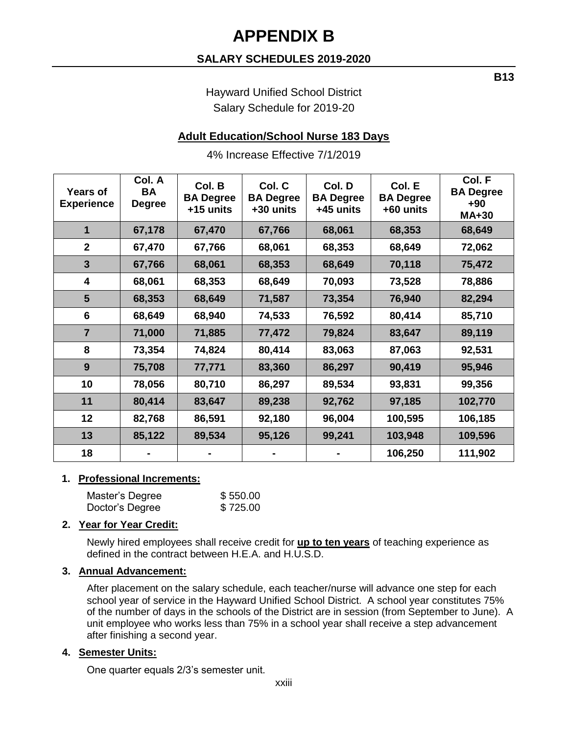## **SALARY SCHEDULES 2019-2020**

**B13**

Hayward Unified School District Salary Schedule for 2019-20

## **Adult Education/School Nurse 183 Days**

4% Increase Effective 7/1/2019

| <b>Years of</b><br><b>Experience</b> | Col. A<br><b>BA</b><br><b>Degree</b> | Col. B<br><b>BA Degree</b><br>+15 units | Col. C<br><b>BA Degree</b><br>+30 units | Col. D<br><b>BA Degree</b><br>+45 units | Col. E<br><b>BA Degree</b><br>+60 units | Col. F<br><b>BA Degree</b><br>$+90$<br><b>MA+30</b> |
|--------------------------------------|--------------------------------------|-----------------------------------------|-----------------------------------------|-----------------------------------------|-----------------------------------------|-----------------------------------------------------|
| 1                                    | 67,178                               | 67,470                                  | 67,766                                  | 68,061                                  | 68,353                                  | 68,649                                              |
| $\overline{2}$                       | 67,470                               | 67,766                                  | 68,061                                  | 68,353                                  | 68,649                                  | 72,062                                              |
| $\mathbf{3}$                         | 67,766                               | 68,061                                  | 68,353                                  | 68,649                                  | 70,118                                  | 75,472                                              |
| $\overline{\mathbf{4}}$              | 68,061                               | 68,353                                  | 68,649                                  | 70,093                                  | 73,528                                  | 78,886                                              |
| 5                                    | 68,353                               | 68,649                                  | 71,587                                  | 73,354                                  | 76,940                                  | 82,294                                              |
| 6                                    | 68,649                               | 68,940                                  | 74,533                                  | 76,592                                  | 80,414                                  | 85,710                                              |
| $\overline{7}$                       | 71,000                               | 71,885                                  | 77,472                                  | 79,824                                  | 83,647                                  | 89,119                                              |
| 8                                    | 73,354                               | 74,824                                  | 80,414                                  | 83,063                                  | 87,063                                  | 92,531                                              |
| 9                                    | 75,708                               | 77,771                                  | 83,360                                  | 86,297                                  | 90,419                                  | 95,946                                              |
| 10                                   | 78,056                               | 80,710                                  | 86,297                                  | 89,534                                  | 93,831                                  | 99,356                                              |
| 11                                   | 80,414                               | 83,647                                  | 89,238                                  | 92,762                                  | 97,185                                  | 102,770                                             |
| 12                                   | 82,768                               | 86,591                                  | 92,180                                  | 96,004                                  | 100,595                                 | 106,185                                             |
| 13                                   | 85,122                               | 89,534                                  | 95,126                                  | 99,241                                  | 103,948                                 | 109,596                                             |
| 18                                   |                                      |                                         |                                         |                                         | 106,250                                 | 111,902                                             |

#### **1. Professional Increments:**

| Master's Degree | \$550.00 |
|-----------------|----------|
| Doctor's Degree | \$725.00 |

#### **2. Year for Year Credit:**

Newly hired employees shall receive credit for **up to ten years** of teaching experience as defined in the contract between H.E.A. and H.U.S.D.

#### **3. Annual Advancement:**

After placement on the salary schedule, each teacher/nurse will advance one step for each school year of service in the Hayward Unified School District. A school year constitutes 75% of the number of days in the schools of the District are in session (from September to June). A unit employee who works less than 75% in a school year shall receive a step advancement after finishing a second year.

#### **4. Semester Units:**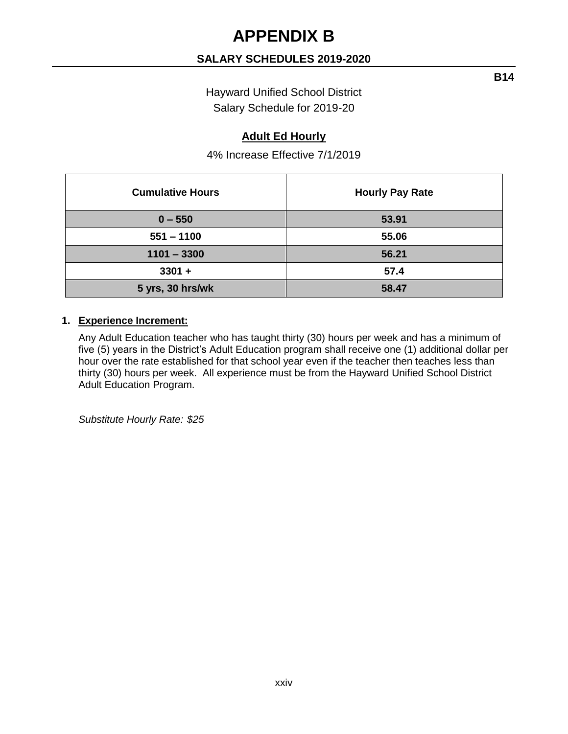# **SALARY SCHEDULES 2019-2020**

Hayward Unified School District Salary Schedule for 2019-20

# **Adult Ed Hourly**

## 4% Increase Effective 7/1/2019

| <b>Cumulative Hours</b> | <b>Hourly Pay Rate</b> |
|-------------------------|------------------------|
| $0 - 550$               | 53.91                  |
| $551 - 1100$            | 55.06                  |
| $1101 - 3300$           | 56.21                  |
| $3301 +$                | 57.4                   |
| 5 yrs, 30 hrs/wk        | 58.47                  |

## **1. Experience Increment:**

Any Adult Education teacher who has taught thirty (30) hours per week and has a minimum of five (5) years in the District's Adult Education program shall receive one (1) additional dollar per hour over the rate established for that school year even if the teacher then teaches less than thirty (30) hours per week. All experience must be from the Hayward Unified School District Adult Education Program.

*Substitute Hourly Rate: \$25*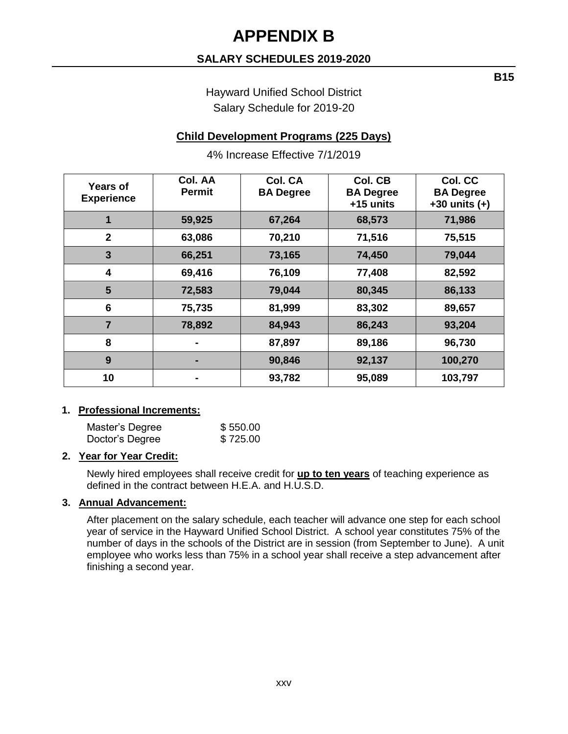## **SALARY SCHEDULES 2019-2020**

**B15**

Hayward Unified School District Salary Schedule for 2019-20

## **Child Development Programs (225 Days)**

4% Increase Effective 7/1/2019

| <b>Years of</b><br><b>Experience</b> | Col. AA<br><b>Permit</b> | Col. CA<br><b>BA Degree</b> | Col. CB<br><b>BA Degree</b><br>+15 units | Col. CC<br><b>BA Degree</b><br>$+30$ units $(+)$ |
|--------------------------------------|--------------------------|-----------------------------|------------------------------------------|--------------------------------------------------|
|                                      | 59,925                   | 67,264                      | 68,573                                   | 71,986                                           |
| $\overline{2}$                       | 63,086                   | 70,210                      | 71,516                                   | 75,515                                           |
| 3                                    | 66,251                   | 73,165                      | 74,450                                   | 79,044                                           |
| 4                                    | 69,416                   | 76,109                      | 77,408                                   | 82,592                                           |
| 5                                    | 72,583                   | 79,044                      | 80,345                                   | 86,133                                           |
| 6                                    | 75,735                   | 81,999                      | 83,302                                   | 89,657                                           |
| $\overline{7}$                       | 78,892                   | 84,943                      | 86,243                                   | 93,204                                           |
| 8                                    |                          | 87,897                      | 89,186                                   | 96,730                                           |
| 9                                    | -                        | 90,846                      | 92,137                                   | 100,270                                          |
| 10                                   |                          | 93,782                      | 95,089                                   | 103,797                                          |

## **1. Professional Increments:**

| Master's Degree | \$550.00 |
|-----------------|----------|
| Doctor's Degree | \$725.00 |

## **2. Year for Year Credit:**

Newly hired employees shall receive credit for **up to ten years** of teaching experience as defined in the contract between H.E.A. and H.U.S.D.

#### **3. Annual Advancement:**

After placement on the salary schedule, each teacher will advance one step for each school year of service in the Hayward Unified School District. A school year constitutes 75% of the number of days in the schools of the District are in session (from September to June). A unit employee who works less than 75% in a school year shall receive a step advancement after finishing a second year.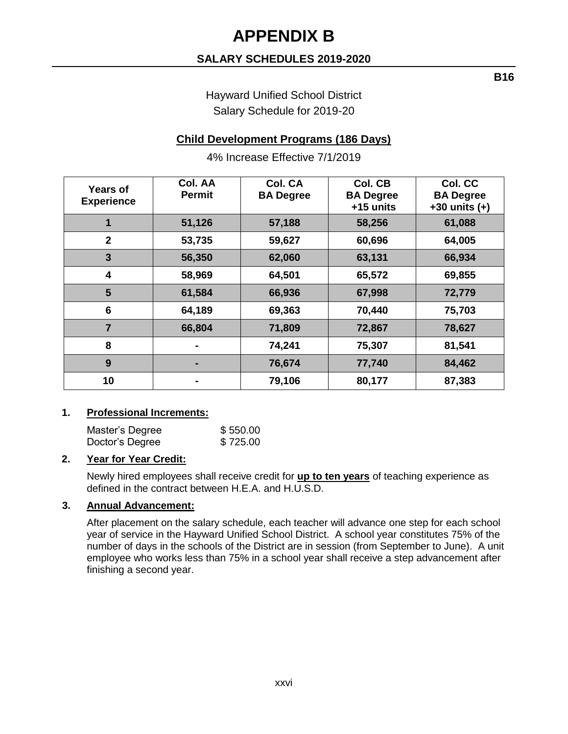# **SALARY SCHEDULES 2019-2020**

**B16**

Hayward Unified School District Salary Schedule for 2019-20

## **Child Development Programs (186 Days)**

4% Increase Effective 7/1/2019

| <b>Years of</b><br><b>Experience</b> | Col. AA<br><b>Permit</b> | Col. CA<br><b>BA Degree</b> | Col. CB<br><b>BA Degree</b><br>+15 units | Col. CC<br><b>BA Degree</b><br>$+30$ units $(+)$ |
|--------------------------------------|--------------------------|-----------------------------|------------------------------------------|--------------------------------------------------|
|                                      | 51,126                   | 57,188                      | 58,256                                   | 61,088                                           |
| $\overline{2}$                       | 53,735                   | 59,627                      | 60,696                                   | 64,005                                           |
| 3                                    | 56,350                   | 62,060                      | 63,131                                   | 66,934                                           |
| 4                                    | 58,969                   | 64,501                      | 65,572                                   | 69,855                                           |
| 5                                    | 61,584                   | 66,936                      | 67,998                                   | 72,779                                           |
| 6                                    | 64,189                   | 69,363                      | 70,440                                   | 75,703                                           |
| $\overline{7}$                       | 66,804                   | 71,809                      | 72,867                                   | 78,627                                           |
| 8                                    |                          | 74,241                      | 75,307                                   | 81,541                                           |
| 9                                    |                          | 76,674                      | 77,740                                   | 84,462                                           |
| 10                                   |                          | 79,106                      | 80,177                                   | 87,383                                           |

## **1. Professional Increments:**

| Master's Degree | \$550.00 |
|-----------------|----------|
| Doctor's Degree | \$725.00 |

## **2. Year for Year Credit:**

Newly hired employees shall receive credit for **up to ten years** of teaching experience as defined in the contract between H.E.A. and H.U.S.D.

## **3. Annual Advancement:**

After placement on the salary schedule, each teacher will advance one step for each school year of service in the Hayward Unified School District. A school year constitutes 75% of the number of days in the schools of the District are in session (from September to June). A unit employee who works less than 75% in a school year shall receive a step advancement after finishing a second year.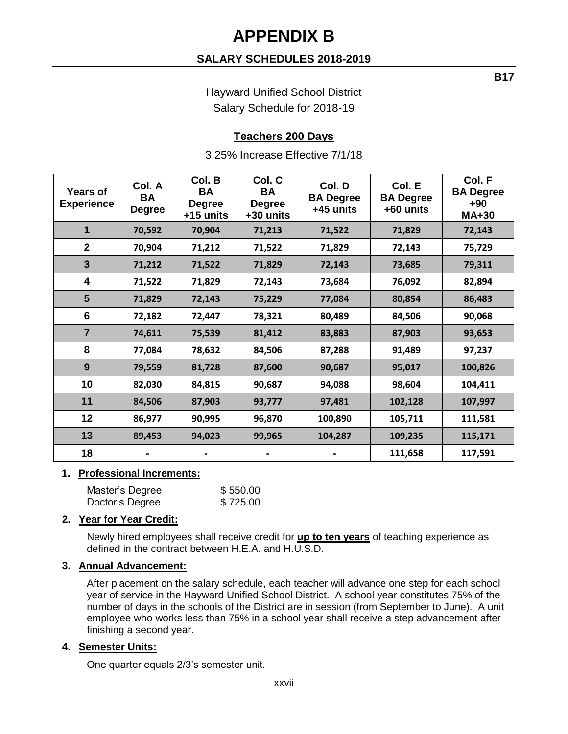## **SALARY SCHEDULES 2018-2019**

**B17**

Hayward Unified School District Salary Schedule for 2018-19

## **Teachers 200 Days**

3.25% Increase Effective 7/1/18

| <b>Years of</b><br><b>Experience</b> | Col. A<br>BA<br><b>Degree</b> | Col. B<br><b>BA</b><br><b>Degree</b><br>+15 units | Col. C<br><b>BA</b><br><b>Degree</b><br>+30 units | Col. D<br><b>BA Degree</b><br>+45 units | Col. E<br><b>BA Degree</b><br>+60 units | Col. F<br><b>BA Degree</b><br>$+90$<br><b>MA+30</b> |
|--------------------------------------|-------------------------------|---------------------------------------------------|---------------------------------------------------|-----------------------------------------|-----------------------------------------|-----------------------------------------------------|
| 1                                    | 70,592                        | 70,904                                            | 71,213                                            | 71,522                                  | 71,829                                  | 72,143                                              |
| $\overline{2}$                       | 70,904                        | 71,212                                            | 71,522                                            | 71,829                                  | 72,143                                  | 75,729                                              |
| $\mathbf{3}$                         | 71,212                        | 71,522                                            | 71,829                                            | 72,143                                  | 73,685                                  | 79,311                                              |
| 4                                    | 71,522                        | 71,829                                            | 72,143                                            | 73,684                                  | 76,092                                  | 82,894                                              |
| $5\phantom{1}$                       | 71,829                        | 72,143                                            | 75,229                                            | 77,084                                  | 80,854                                  | 86,483                                              |
| $6\phantom{1}$                       | 72,182                        | 72,447                                            | 78,321                                            | 80,489                                  | 84,506                                  | 90,068                                              |
| $\overline{7}$                       | 74,611                        | 75,539                                            | 81,412                                            | 83,883                                  | 87,903                                  | 93,653                                              |
| 8                                    | 77,084                        | 78,632                                            | 84,506                                            | 87,288                                  | 91,489                                  | 97,237                                              |
| 9                                    | 79,559                        | 81,728                                            | 87,600                                            | 90,687                                  | 95,017                                  | 100,826                                             |
| 10                                   | 82,030                        | 84,815                                            | 90,687                                            | 94,088                                  | 98,604                                  | 104,411                                             |
| 11                                   | 84,506                        | 87,903                                            | 93,777                                            | 97,481                                  | 102,128                                 | 107,997                                             |
| 12                                   | 86,977                        | 90,995                                            | 96,870                                            | 100,890                                 | 105,711                                 | 111,581                                             |
| 13                                   | 89,453                        | 94,023                                            | 99,965                                            | 104,287                                 | 109,235                                 | 115,171                                             |
| 18                                   |                               |                                                   |                                                   |                                         | 111,658                                 | 117,591                                             |

## **1. Professional Increments:**

| Master's Degree | \$550.00 |
|-----------------|----------|
| Doctor's Degree | \$725.00 |

## **2. Year for Year Credit:**

Newly hired employees shall receive credit for **up to ten years** of teaching experience as defined in the contract between H.E.A. and H.U.S.D.

### **3. Annual Advancement:**

After placement on the salary schedule, each teacher will advance one step for each school year of service in the Hayward Unified School District. A school year constitutes 75% of the number of days in the schools of the District are in session (from September to June). A unit employee who works less than 75% in a school year shall receive a step advancement after finishing a second year.

## **4. Semester Units:**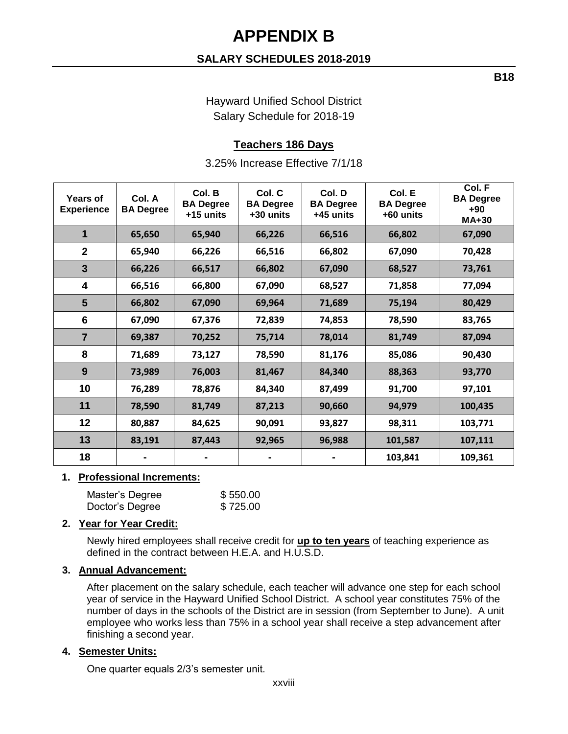## **SALARY SCHEDULES 2018-2019**

**B18**

Hayward Unified School District Salary Schedule for 2018-19

## **Teachers 186 Days**

3.25% Increase Effective 7/1/18

| <b>Years of</b><br><b>Experience</b> | Col. A<br><b>BA Degree</b> | Col. B<br><b>BA Degree</b><br>+15 units | Col. C<br><b>BA Degree</b><br>+30 units | Col. D<br><b>BA Degree</b><br>+45 units | Col. E<br><b>BA Degree</b><br>+60 units | Col. F<br><b>BA Degree</b><br>$+90$<br>MA+30 |
|--------------------------------------|----------------------------|-----------------------------------------|-----------------------------------------|-----------------------------------------|-----------------------------------------|----------------------------------------------|
| 1                                    | 65,650                     | 65,940                                  | 66,226                                  | 66,516                                  | 66,802                                  | 67,090                                       |
| $\overline{2}$                       | 65,940                     | 66,226                                  | 66,516                                  | 66,802                                  | 67,090                                  | 70,428                                       |
| $\mathbf{3}$                         | 66,226                     | 66,517                                  | 66,802                                  | 67,090                                  | 68,527                                  | 73,761                                       |
| 4                                    | 66,516                     | 66,800                                  | 67,090                                  | 68,527                                  | 71,858                                  | 77,094                                       |
| $5\phantom{1}$                       | 66,802                     | 67,090                                  | 69,964                                  | 71,689                                  | 75,194                                  | 80,429                                       |
| $6\phantom{1}$                       | 67,090                     | 67,376                                  | 72,839                                  | 74,853                                  | 78,590                                  | 83,765                                       |
| $\overline{7}$                       | 69,387                     | 70,252                                  | 75,714                                  | 78,014                                  | 81,749                                  | 87,094                                       |
| 8                                    | 71,689                     | 73,127                                  | 78,590                                  | 81,176                                  | 85,086                                  | 90,430                                       |
| 9                                    | 73,989                     | 76,003                                  | 81,467                                  | 84,340                                  | 88,363                                  | 93,770                                       |
| 10                                   | 76,289                     | 78,876                                  | 84,340                                  | 87,499                                  | 91,700                                  | 97,101                                       |
| 11                                   | 78,590                     | 81,749                                  | 87,213                                  | 90,660                                  | 94,979                                  | 100,435                                      |
| 12                                   | 80,887                     | 84,625                                  | 90,091                                  | 93,827                                  | 98,311                                  | 103,771                                      |
| 13                                   | 83,191                     | 87,443                                  | 92,965                                  | 96,988                                  | 101,587                                 | 107,111                                      |
| 18                                   |                            |                                         |                                         |                                         | 103,841                                 | 109,361                                      |

#### **1. Professional Increments:**

| Master's Degree | \$550.00 |
|-----------------|----------|
| Doctor's Degree | \$725.00 |

#### **2. Year for Year Credit:**

Newly hired employees shall receive credit for **up to ten years** of teaching experience as defined in the contract between H.E.A. and H.U.S.D.

#### **3. Annual Advancement:**

After placement on the salary schedule, each teacher will advance one step for each school year of service in the Hayward Unified School District. A school year constitutes 75% of the number of days in the schools of the District are in session (from September to June). A unit employee who works less than 75% in a school year shall receive a step advancement after finishing a second year.

#### **4. Semester Units:**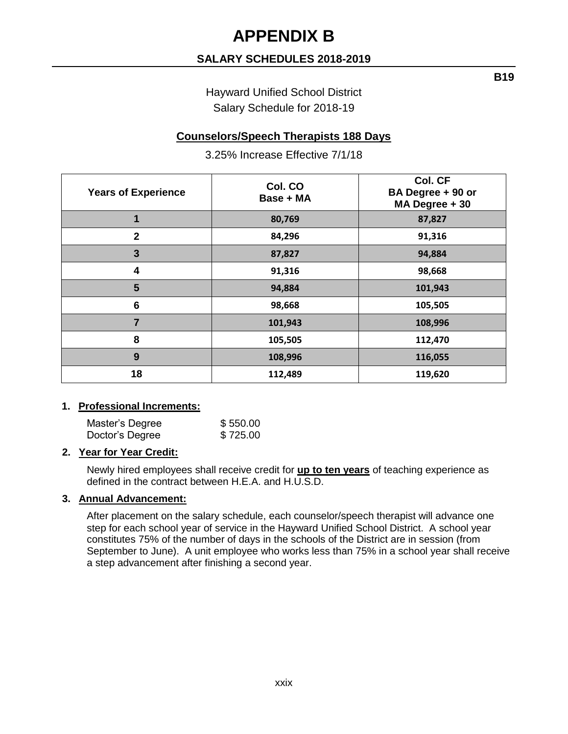# **SALARY SCHEDULES 2018-2019**

**B19**

Hayward Unified School District Salary Schedule for 2018-19

## **Counselors/Speech Therapists 188 Days**

3.25% Increase Effective 7/1/18

| <b>Years of Experience</b> | Col. CO<br>Base + MA | Col. CF<br>BA Degree + 90 or<br>MA Degree + 30 |
|----------------------------|----------------------|------------------------------------------------|
| 1                          | 80,769               | 87,827                                         |
| $\overline{2}$             | 84,296               | 91,316                                         |
| $\mathbf{3}$               | 87,827               | 94,884                                         |
| 4                          | 91,316               | 98,668                                         |
| $5\phantom{1}$             | 94,884               | 101,943                                        |
| 6                          | 98,668               | 105,505                                        |
| $\overline{7}$             | 101,943              | 108,996                                        |
| 8                          | 105,505              | 112,470                                        |
| 9                          | 108,996              | 116,055                                        |
| 18                         | 112,489              | 119,620                                        |

## **1. Professional Increments:**

| Master's Degree | \$550.00 |
|-----------------|----------|
| Doctor's Degree | \$725.00 |

## **2. Year for Year Credit:**

Newly hired employees shall receive credit for **up to ten years** of teaching experience as defined in the contract between H.E.A. and H.U.S.D.

## **3. Annual Advancement:**

After placement on the salary schedule, each counselor/speech therapist will advance one step for each school year of service in the Hayward Unified School District. A school year constitutes 75% of the number of days in the schools of the District are in session (from September to June). A unit employee who works less than 75% in a school year shall receive a step advancement after finishing a second year.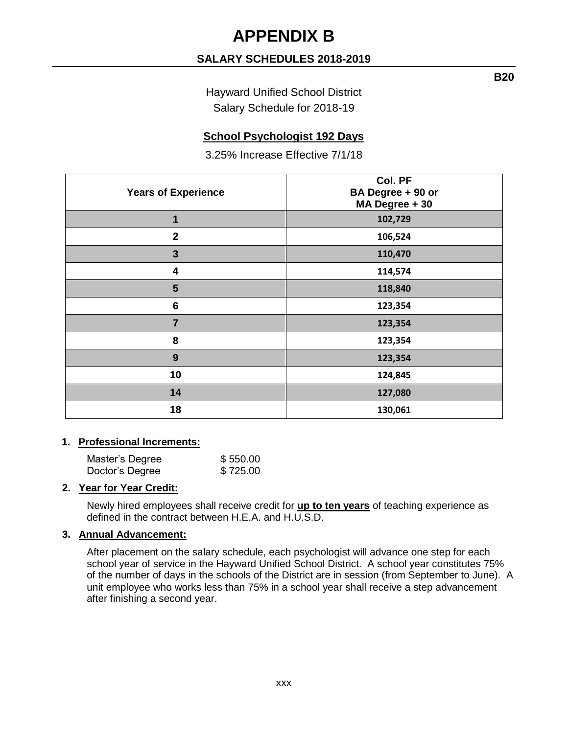# **SALARY SCHEDULES 2018-2019**

**B20**

Hayward Unified School District Salary Schedule for 2018-19

## **School Psychologist 192 Days**

3.25% Increase Effective 7/1/18

| <b>Years of Experience</b> | Col. PF<br>BA Degree + 90 or<br>MA Degree + 30 |  |  |
|----------------------------|------------------------------------------------|--|--|
| 1                          | 102,729                                        |  |  |
| $\mathbf{2}$               | 106,524                                        |  |  |
| $\mathbf{3}$               | 110,470                                        |  |  |
| 4                          | 114,574                                        |  |  |
| 5                          | 118,840                                        |  |  |
| 6                          | 123,354                                        |  |  |
| $\overline{7}$             | 123,354                                        |  |  |
| 8                          | 123,354                                        |  |  |
| 9                          | 123,354                                        |  |  |
| 10                         | 124,845                                        |  |  |
| 14                         | 127,080                                        |  |  |
| 18                         | 130,061                                        |  |  |

#### **1. Professional Increments:**

| Master's Degree | \$550.00 |
|-----------------|----------|
| Doctor's Degree | \$725.00 |

## **2. Year for Year Credit:**

Newly hired employees shall receive credit for **up to ten years** of teaching experience as defined in the contract between H.E.A. and H.U.S.D.

## **3. Annual Advancement:**

After placement on the salary schedule, each psychologist will advance one step for each school year of service in the Hayward Unified School District. A school year constitutes 75% of the number of days in the schools of the District are in session (from September to June). A unit employee who works less than 75% in a school year shall receive a step advancement after finishing a second year.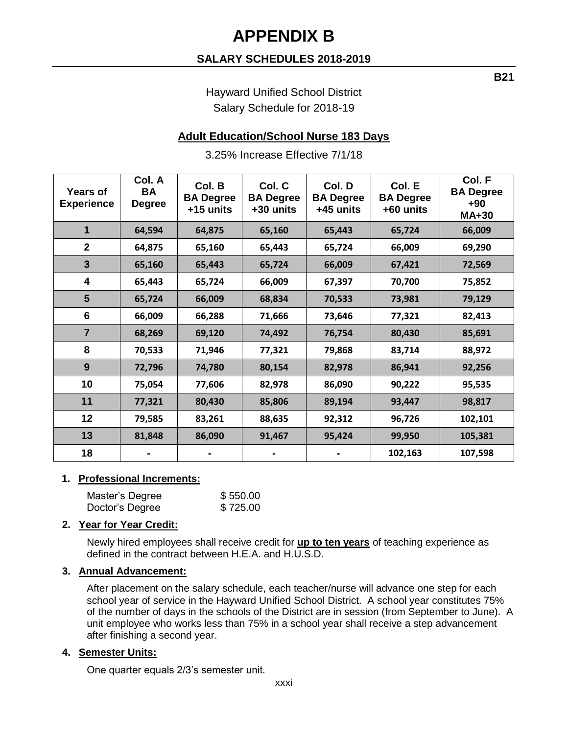## **SALARY SCHEDULES 2018-2019**

**B21**

Hayward Unified School District Salary Schedule for 2018-19

## **Adult Education/School Nurse 183 Days**

3.25% Increase Effective 7/1/18

| <b>Years of</b><br><b>Experience</b> | Col. A<br><b>BA</b><br>Degree | Col. B<br><b>BA Degree</b><br>+15 units | Col. C<br><b>BA Degree</b><br>+30 units | Col. D<br><b>BA Degree</b><br>+45 units | Col. E<br><b>BA Degree</b><br>+60 units | Col. F<br><b>BA Degree</b><br>+90<br><b>MA+30</b> |
|--------------------------------------|-------------------------------|-----------------------------------------|-----------------------------------------|-----------------------------------------|-----------------------------------------|---------------------------------------------------|
| 1                                    | 64,594                        | 64,875                                  | 65,160                                  | 65,443                                  | 65,724                                  | 66,009                                            |
| $\overline{2}$                       | 64,875                        | 65,160                                  | 65,443                                  | 65,724                                  | 66,009                                  | 69,290                                            |
| $\mathbf{3}$                         | 65,160                        | 65,443                                  | 65,724                                  | 66,009                                  | 67,421                                  | 72,569                                            |
| 4                                    | 65,443                        | 65,724                                  | 66,009                                  | 67,397                                  | 70,700                                  | 75,852                                            |
| 5                                    | 65,724                        | 66,009                                  | 68,834                                  | 70,533                                  | 73,981                                  | 79,129                                            |
| 6                                    | 66,009                        | 66,288                                  | 71,666                                  | 73,646                                  | 77,321                                  | 82,413                                            |
| $\overline{7}$                       | 68,269                        | 69,120                                  | 74,492                                  | 76,754                                  | 80,430                                  | 85,691                                            |
| 8                                    | 70,533                        | 71,946                                  | 77,321                                  | 79,868                                  | 83,714                                  | 88,972                                            |
| 9                                    | 72,796                        | 74,780                                  | 80,154                                  | 82,978                                  | 86,941                                  | 92,256                                            |
| 10                                   | 75,054                        | 77,606                                  | 82,978                                  | 86,090                                  | 90,222                                  | 95,535                                            |
| 11                                   | 77,321                        | 80,430                                  | 85,806                                  | 89,194                                  | 93,447                                  | 98,817                                            |
| 12                                   | 79,585                        | 83,261                                  | 88,635                                  | 92,312                                  | 96,726                                  | 102,101                                           |
| 13                                   | 81,848                        | 86,090                                  | 91,467                                  | 95,424                                  | 99,950                                  | 105,381                                           |
| 18                                   |                               |                                         |                                         |                                         | 102,163                                 | 107,598                                           |

#### **1. Professional Increments:**

| Master's Degree | \$550.00 |
|-----------------|----------|
| Doctor's Degree | \$725.00 |

#### **2. Year for Year Credit:**

Newly hired employees shall receive credit for **up to ten years** of teaching experience as defined in the contract between H.E.A. and H.U.S.D.

#### **3. Annual Advancement:**

After placement on the salary schedule, each teacher/nurse will advance one step for each school year of service in the Hayward Unified School District. A school year constitutes 75% of the number of days in the schools of the District are in session (from September to June). A unit employee who works less than 75% in a school year shall receive a step advancement after finishing a second year.

#### **4. Semester Units:**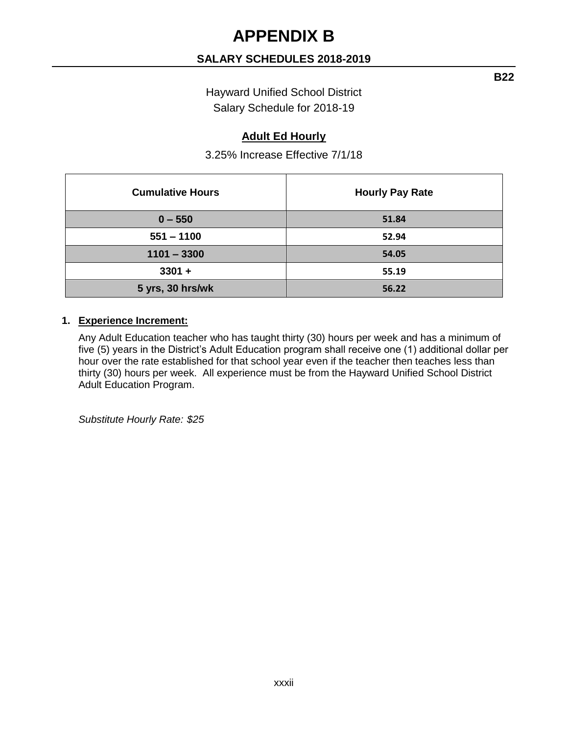# **SALARY SCHEDULES 2018-2019**

Hayward Unified School District Salary Schedule for 2018-19

# **Adult Ed Hourly**

## 3.25% Increase Effective 7/1/18

| <b>Cumulative Hours</b> | <b>Hourly Pay Rate</b> |
|-------------------------|------------------------|
| $0 - 550$               | 51.84                  |
| $551 - 1100$            | 52.94                  |
| $1101 - 3300$           | 54.05                  |
| $3301 +$                | 55.19                  |
| 5 yrs, 30 hrs/wk        | 56.22                  |

## **1. Experience Increment:**

Any Adult Education teacher who has taught thirty (30) hours per week and has a minimum of five (5) years in the District's Adult Education program shall receive one (1) additional dollar per hour over the rate established for that school year even if the teacher then teaches less than thirty (30) hours per week. All experience must be from the Hayward Unified School District Adult Education Program.

*Substitute Hourly Rate: \$25*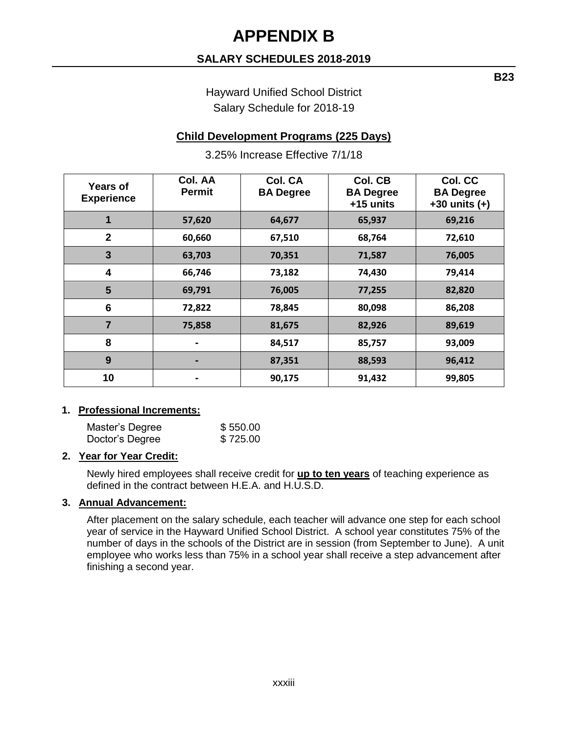# **SALARY SCHEDULES 2018-2019**

**B23**

Hayward Unified School District Salary Schedule for 2018-19

## **Child Development Programs (225 Days)**

3.25% Increase Effective 7/1/18

| <b>Years of</b><br><b>Experience</b> | Col. AA<br><b>Permit</b> | Col. CA<br><b>BA Degree</b> | Col. CB<br><b>BA Degree</b><br>+15 units | Col. CC<br><b>BA Degree</b><br>$+30$ units $(+)$ |
|--------------------------------------|--------------------------|-----------------------------|------------------------------------------|--------------------------------------------------|
|                                      | 57,620                   | 64,677                      | 65,937                                   | 69,216                                           |
| $\overline{2}$                       | 60,660                   | 67,510                      | 68,764                                   | 72,610                                           |
| 3                                    | 63,703                   | 70,351                      | 71,587                                   | 76,005                                           |
| 4                                    | 66,746                   | 73,182                      | 74,430                                   | 79,414                                           |
| 5                                    | 69,791                   | 76,005                      | 77,255                                   | 82,820                                           |
| 6                                    | 72,822                   | 78,845                      | 80,098                                   | 86,208                                           |
| $\overline{7}$                       | 75,858                   | 81,675                      | 82,926                                   | 89,619                                           |
| 8                                    |                          | 84,517                      | 85,757                                   | 93,009                                           |
| 9                                    |                          | 87,351                      | 88,593                                   | 96,412                                           |
| 10                                   |                          | 90,175                      | 91,432                                   | 99,805                                           |

## **1. Professional Increments:**

| Master's Degree | \$550.00 |
|-----------------|----------|
| Doctor's Degree | \$725.00 |

## **2. Year for Year Credit:**

Newly hired employees shall receive credit for **up to ten years** of teaching experience as defined in the contract between H.E.A. and H.U.S.D.

## **3. Annual Advancement:**

After placement on the salary schedule, each teacher will advance one step for each school year of service in the Hayward Unified School District. A school year constitutes 75% of the number of days in the schools of the District are in session (from September to June). A unit employee who works less than 75% in a school year shall receive a step advancement after finishing a second year.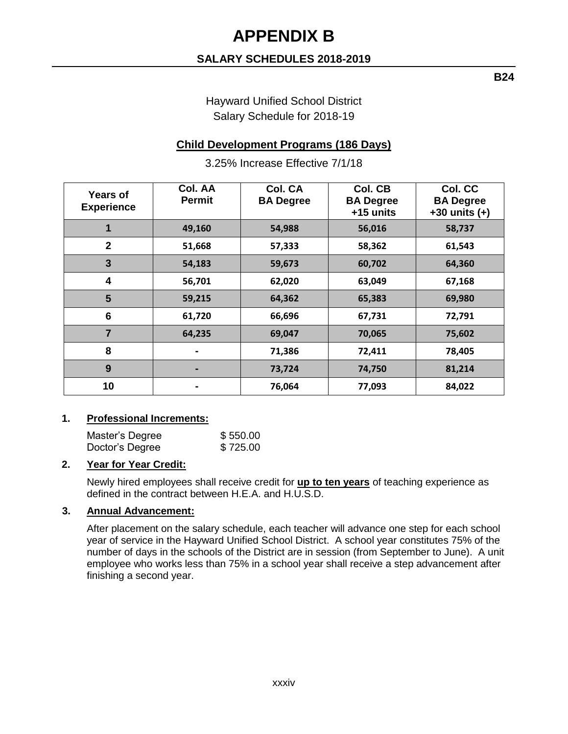# **SALARY SCHEDULES 2018-2019**

Hayward Unified School District Salary Schedule for 2018-19

## **Child Development Programs (186 Days)**

3.25% Increase Effective 7/1/18

| <b>Years of</b><br><b>Experience</b> | Col. AA<br><b>Permit</b> | Col. CA<br><b>BA Degree</b> | Col. CB<br><b>BA Degree</b><br>+15 units | Col. CC<br><b>BA Degree</b><br>$+30$ units $(+)$ |
|--------------------------------------|--------------------------|-----------------------------|------------------------------------------|--------------------------------------------------|
| 1                                    | 49,160                   | 54,988                      | 56,016                                   | 58,737                                           |
| $\mathbf{2}$                         | 51,668                   | 57,333                      | 58,362                                   | 61,543                                           |
| 3                                    | 54,183                   | 59,673                      | 60,702                                   | 64,360                                           |
| 4                                    | 56,701                   | 62,020                      | 63,049                                   | 67,168                                           |
| 5                                    | 59,215                   | 64,362                      | 65,383                                   | 69,980                                           |
| 6                                    | 61,720                   | 66,696                      | 67,731                                   | 72,791                                           |
| $\overline{7}$                       | 64,235                   | 69,047                      | 70,065                                   | 75,602                                           |
| 8                                    | ۰                        | 71,386                      | 72,411                                   | 78,405                                           |
| 9                                    | н                        | 73,724                      | 74,750                                   | 81,214                                           |
| 10                                   |                          | 76,064                      | 77,093                                   | 84,022                                           |

### **1. Professional Increments:**

| Master's Degree | \$550.00 |
|-----------------|----------|
| Doctor's Degree | \$725.00 |

## **2. Year for Year Credit:**

Newly hired employees shall receive credit for **up to ten years** of teaching experience as defined in the contract between H.E.A. and H.U.S.D.

## **3. Annual Advancement:**

After placement on the salary schedule, each teacher will advance one step for each school year of service in the Hayward Unified School District. A school year constitutes 75% of the number of days in the schools of the District are in session (from September to June). A unit employee who works less than 75% in a school year shall receive a step advancement after finishing a second year.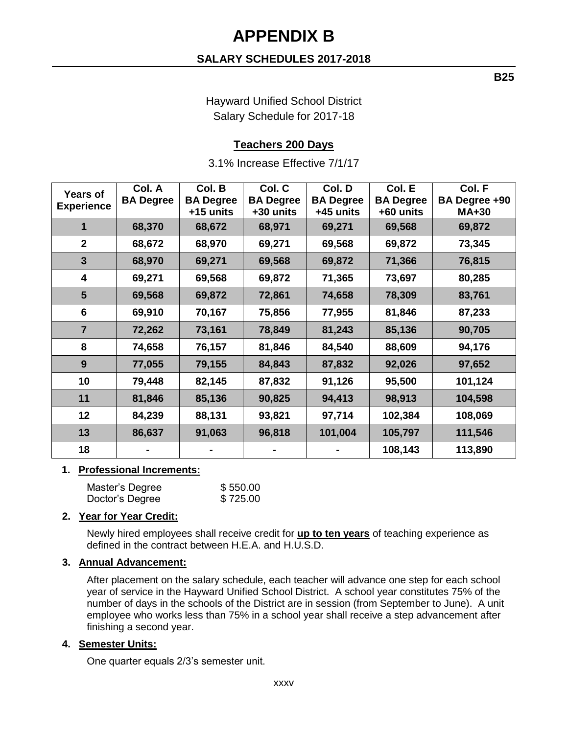## **SALARY SCHEDULES 2017-2018**

**B25**

Hayward Unified School District Salary Schedule for 2017-18

## **Teachers 200 Days**

3.1% Increase Effective 7/1/17

| <b>Years of</b>         | Col. A           | Col. B           | Col. C           | Col. D           | Col. E           | Col. F        |
|-------------------------|------------------|------------------|------------------|------------------|------------------|---------------|
| <b>Experience</b>       | <b>BA Degree</b> | <b>BA Degree</b> | <b>BA Degree</b> | <b>BA Degree</b> | <b>BA Degree</b> | BA Degree +90 |
|                         |                  | +15 units        | +30 units        | +45 units        | +60 units        | <b>MA+30</b>  |
| 1                       | 68,370           | 68,672           | 68,971           | 69,271           | 69,568           | 69,872        |
| $\overline{2}$          | 68,672           | 68,970           | 69,271           | 69,568           | 69,872           | 73,345        |
| $\mathbf{3}$            | 68,970           | 69,271           | 69,568           | 69,872           | 71,366           | 76,815        |
| $\overline{\mathbf{4}}$ | 69,271           | 69,568           | 69,872           | 71,365           | 73,697           | 80,285        |
| $5\phantom{1}$          | 69,568           | 69,872           | 72,861           | 74,658           | 78,309           | 83,761        |
| 6                       | 69,910           | 70,167           | 75,856           | 77,955           | 81,846           | 87,233        |
| $\overline{7}$          | 72,262           | 73,161           | 78,849           | 81,243           | 85,136           | 90,705        |
| 8                       | 74,658           | 76,157           | 81,846           | 84,540           | 88,609           | 94,176        |
| 9                       | 77,055           | 79,155           | 84,843           | 87,832           | 92,026           | 97,652        |
| 10                      | 79,448           | 82,145           | 87,832           | 91,126           | 95,500           | 101,124       |
| 11                      | 81,846           | 85,136           | 90,825           | 94,413           | 98,913           | 104,598       |
| 12 <sub>2</sub>         | 84,239           | 88,131           | 93,821           | 97,714           | 102,384          | 108,069       |
| 13                      | 86,637           | 91,063           | 96,818           | 101,004          | 105,797          | 111,546       |
| 18                      |                  |                  |                  |                  | 108,143          | 113,890       |

#### **1. Professional Increments:**

| Master's Degree | \$550.00 |
|-----------------|----------|
| Doctor's Degree | \$725.00 |

#### **2. Year for Year Credit:**

Newly hired employees shall receive credit for **up to ten years** of teaching experience as defined in the contract between H.E.A. and H.U.S.D.

#### **3. Annual Advancement:**

After placement on the salary schedule, each teacher will advance one step for each school year of service in the Hayward Unified School District. A school year constitutes 75% of the number of days in the schools of the District are in session (from September to June). A unit employee who works less than 75% in a school year shall receive a step advancement after finishing a second year.

#### **4. Semester Units:**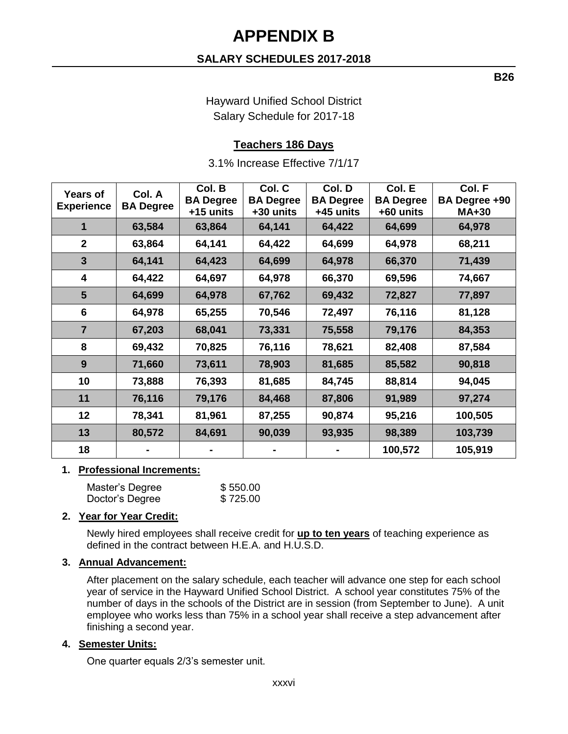## **SALARY SCHEDULES 2017-2018**

**B26**

Hayward Unified School District Salary Schedule for 2017-18

## **Teachers 186 Days**

3.1% Increase Effective 7/1/17

| <b>Years of</b><br><b>Experience</b> | Col. A<br><b>BA Degree</b> | Col. B<br><b>BA Degree</b><br>+15 units | Col. C<br><b>BA Degree</b><br>+30 units | Col. D<br><b>BA Degree</b><br>+45 units | Col. E<br><b>BA Degree</b><br>+60 units | Col. F<br>BA Degree +90<br><b>MA+30</b> |
|--------------------------------------|----------------------------|-----------------------------------------|-----------------------------------------|-----------------------------------------|-----------------------------------------|-----------------------------------------|
| 1                                    | 63,584                     | 63,864                                  | 64,141                                  | 64,422                                  | 64,699                                  | 64,978                                  |
| $\overline{2}$                       | 63,864                     | 64,141                                  | 64,422                                  | 64,699                                  | 64,978                                  | 68,211                                  |
| $\overline{3}$                       | 64,141                     | 64,423                                  | 64,699                                  | 64,978                                  | 66,370                                  | 71,439                                  |
| $\overline{\mathbf{4}}$              | 64,422                     | 64,697                                  | 64,978                                  | 66,370                                  | 69,596                                  | 74,667                                  |
| $5\phantom{1}$                       | 64,699                     | 64,978                                  | 67,762                                  | 69,432                                  | 72,827                                  | 77,897                                  |
| 6                                    | 64,978                     | 65,255                                  | 70,546                                  | 72,497                                  | 76,116                                  | 81,128                                  |
| $\overline{7}$                       | 67,203                     | 68,041                                  | 73,331                                  | 75,558                                  | 79,176                                  | 84,353                                  |
| 8                                    | 69,432                     | 70,825                                  | 76,116                                  | 78,621                                  | 82,408                                  | 87,584                                  |
| 9                                    | 71,660                     | 73,611                                  | 78,903                                  | 81,685                                  | 85,582                                  | 90,818                                  |
| 10                                   | 73,888                     | 76,393                                  | 81,685                                  | 84,745                                  | 88,814                                  | 94,045                                  |
| 11                                   | 76,116                     | 79,176                                  | 84,468                                  | 87,806                                  | 91,989                                  | 97,274                                  |
| 12                                   | 78,341                     | 81,961                                  | 87,255                                  | 90,874                                  | 95,216                                  | 100,505                                 |
| 13                                   | 80,572                     | 84,691                                  | 90,039                                  | 93,935                                  | 98,389                                  | 103,739                                 |
| 18                                   |                            |                                         |                                         |                                         | 100,572                                 | 105,919                                 |

#### **1. Professional Increments:**

| Master's Degree | \$550.00 |
|-----------------|----------|
| Doctor's Degree | \$725.00 |

#### **2. Year for Year Credit:**

Newly hired employees shall receive credit for **up to ten years** of teaching experience as defined in the contract between H.E.A. and H.U.S.D.

#### **3. Annual Advancement:**

After placement on the salary schedule, each teacher will advance one step for each school year of service in the Hayward Unified School District. A school year constitutes 75% of the number of days in the schools of the District are in session (from September to June). A unit employee who works less than 75% in a school year shall receive a step advancement after finishing a second year.

#### **4. Semester Units:**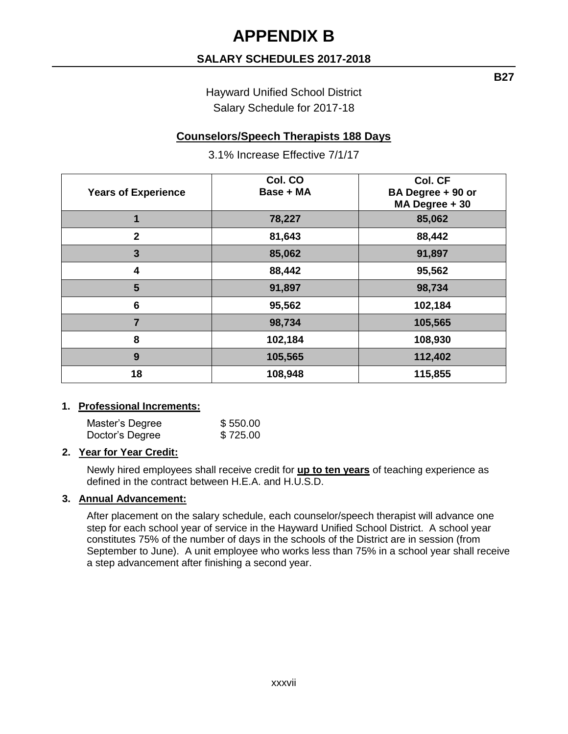# **SALARY SCHEDULES 2017-2018**

**B27**

Hayward Unified School District Salary Schedule for 2017-18

## **Counselors/Speech Therapists 188 Days**

3.1% Increase Effective 7/1/17

| <b>Years of Experience</b> | Col. CO<br>Base + MA | Col. CF<br>BA Degree + 90 or<br>MA Degree + 30 |
|----------------------------|----------------------|------------------------------------------------|
| 1                          | 78,227               | 85,062                                         |
| $\overline{2}$             | 81,643               | 88,442                                         |
| $\mathbf{3}$               | 85,062               | 91,897                                         |
| 4                          | 88,442               | 95,562                                         |
| 5                          | 91,897               | 98,734                                         |
| $6\phantom{1}$             | 95,562               | 102,184                                        |
| $\overline{7}$             | 98,734               | 105,565                                        |
| 8                          | 102,184              | 108,930                                        |
| 9                          | 105,565              | 112,402                                        |
| 18                         | 108,948              | 115,855                                        |

## **1. Professional Increments:**

| Master's Degree | \$550.00 |
|-----------------|----------|
| Doctor's Degree | \$725.00 |

## **2. Year for Year Credit:**

Newly hired employees shall receive credit for **up to ten years** of teaching experience as defined in the contract between H.E.A. and H.U.S.D.

## **3. Annual Advancement:**

After placement on the salary schedule, each counselor/speech therapist will advance one step for each school year of service in the Hayward Unified School District. A school year constitutes 75% of the number of days in the schools of the District are in session (from September to June). A unit employee who works less than 75% in a school year shall receive a step advancement after finishing a second year.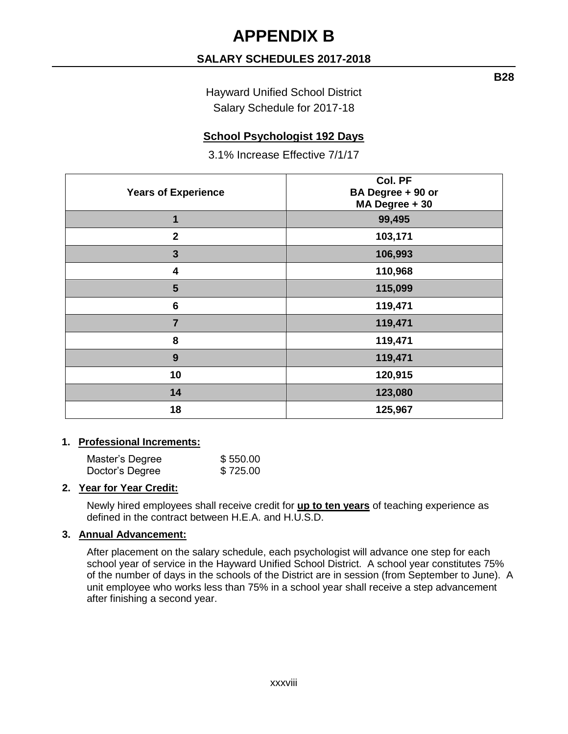# **SALARY SCHEDULES 2017-2018**

**B28**

Hayward Unified School District Salary Schedule for 2017-18

## **School Psychologist 192 Days**

3.1% Increase Effective 7/1/17

| <b>Years of Experience</b> | Col. PF<br>BA Degree + 90 or<br>MA Degree + 30 |
|----------------------------|------------------------------------------------|
| 1                          | 99,495                                         |
| $\mathbf{2}$               | 103,171                                        |
| $\mathbf{3}$               | 106,993                                        |
| $\overline{\mathbf{4}}$    | 110,968                                        |
| 5                          | 115,099                                        |
| $6\phantom{1}6$            | 119,471                                        |
| $\overline{7}$             | 119,471                                        |
| 8                          | 119,471                                        |
| 9                          | 119,471                                        |
| 10                         | 120,915                                        |
| 14                         | 123,080                                        |
| 18                         | 125,967                                        |

#### **1. Professional Increments:**

| Master's Degree | \$550.00 |
|-----------------|----------|
| Doctor's Degree | \$725.00 |

## **2. Year for Year Credit:**

Newly hired employees shall receive credit for **up to ten years** of teaching experience as defined in the contract between H.E.A. and H.U.S.D.

## **3. Annual Advancement:**

After placement on the salary schedule, each psychologist will advance one step for each school year of service in the Hayward Unified School District. A school year constitutes 75% of the number of days in the schools of the District are in session (from September to June). A unit employee who works less than 75% in a school year shall receive a step advancement after finishing a second year.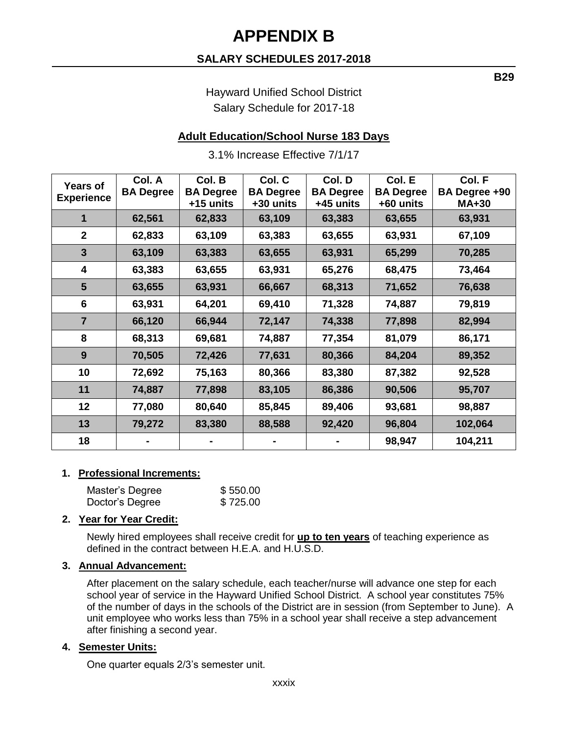# **SALARY SCHEDULES 2017-2018**

**B29**

Hayward Unified School District Salary Schedule for 2017-18

## **Adult Education/School Nurse 183 Days**

3.1% Increase Effective 7/1/17

| <b>Years of</b><br><b>Experience</b> | Col. A<br><b>BA Degree</b> | Col. B<br><b>BA Degree</b><br>+15 units | Col. C<br><b>BA Degree</b><br>+30 units | Col. D<br><b>BA Degree</b><br>+45 units | Col. E<br><b>BA Degree</b><br>+60 units | Col. F<br>BA Degree +90<br><b>MA+30</b> |
|--------------------------------------|----------------------------|-----------------------------------------|-----------------------------------------|-----------------------------------------|-----------------------------------------|-----------------------------------------|
| 1                                    | 62,561                     | 62,833                                  | 63,109                                  | 63,383                                  | 63,655                                  | 63,931                                  |
| $\overline{2}$                       | 62,833                     | 63,109                                  | 63,383                                  | 63,655                                  | 63,931                                  | 67,109                                  |
| $\mathbf{3}$                         | 63,109                     | 63,383                                  | 63,655                                  | 63,931                                  | 65,299                                  | 70,285                                  |
| 4                                    | 63,383                     | 63,655                                  | 63,931                                  | 65,276                                  | 68,475                                  | 73,464                                  |
| 5                                    | 63,655                     | 63,931                                  | 66,667                                  | 68,313                                  | 71,652                                  | 76,638                                  |
| 6                                    | 63,931                     | 64,201                                  | 69,410                                  | 71,328                                  | 74,887                                  | 79,819                                  |
| $\overline{7}$                       | 66,120                     | 66,944                                  | 72,147                                  | 74,338                                  | 77,898                                  | 82,994                                  |
| 8                                    | 68,313                     | 69,681                                  | 74,887                                  | 77,354                                  | 81,079                                  | 86,171                                  |
| 9                                    | 70,505                     | 72,426                                  | 77,631                                  | 80,366                                  | 84,204                                  | 89,352                                  |
| 10                                   | 72,692                     | 75,163                                  | 80,366                                  | 83,380                                  | 87,382                                  | 92,528                                  |
| 11                                   | 74,887                     | 77,898                                  | 83,105                                  | 86,386                                  | 90,506                                  | 95,707                                  |
| 12                                   | 77,080                     | 80,640                                  | 85,845                                  | 89,406                                  | 93,681                                  | 98,887                                  |
| 13                                   | 79,272                     | 83,380                                  | 88,588                                  | 92,420                                  | 96,804                                  | 102,064                                 |
| 18                                   |                            |                                         |                                         |                                         | 98,947                                  | 104,211                                 |

#### **1. Professional Increments:**

| Master's Degree | \$550.00 |
|-----------------|----------|
| Doctor's Degree | \$725.00 |

## **2. Year for Year Credit:**

Newly hired employees shall receive credit for **up to ten years** of teaching experience as defined in the contract between H.E.A. and H.U.S.D.

### **3. Annual Advancement:**

After placement on the salary schedule, each teacher/nurse will advance one step for each school year of service in the Hayward Unified School District. A school year constitutes 75% of the number of days in the schools of the District are in session (from September to June). A unit employee who works less than 75% in a school year shall receive a step advancement after finishing a second year.

#### **4. Semester Units:**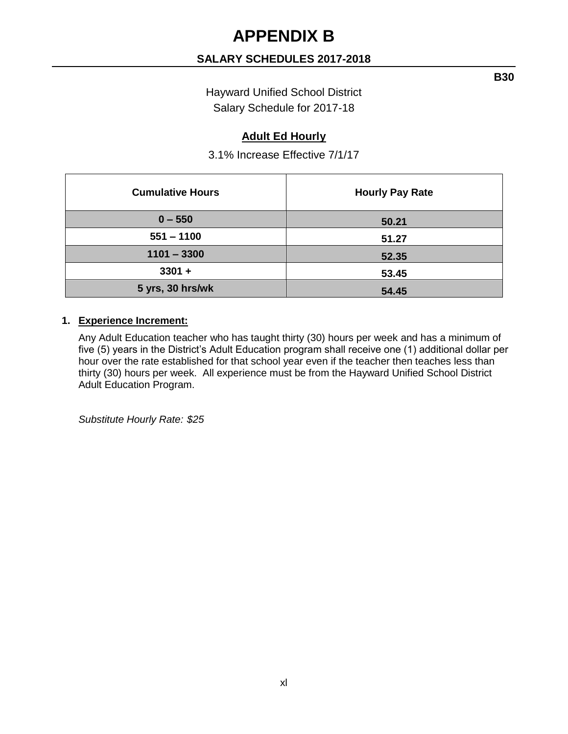# **SALARY SCHEDULES 2017-2018**

Hayward Unified School District Salary Schedule for 2017-18

# **Adult Ed Hourly**

## 3.1% Increase Effective 7/1/17

| <b>Cumulative Hours</b> | <b>Hourly Pay Rate</b> |
|-------------------------|------------------------|
| $0 - 550$               | 50.21                  |
| $551 - 1100$            | 51.27                  |
| $1101 - 3300$           | 52.35                  |
| $3301 +$                | 53.45                  |
| 5 yrs, 30 hrs/wk        | 54.45                  |

## **1. Experience Increment:**

Any Adult Education teacher who has taught thirty (30) hours per week and has a minimum of five (5) years in the District's Adult Education program shall receive one (1) additional dollar per hour over the rate established for that school year even if the teacher then teaches less than thirty (30) hours per week. All experience must be from the Hayward Unified School District Adult Education Program.

*Substitute Hourly Rate: \$25*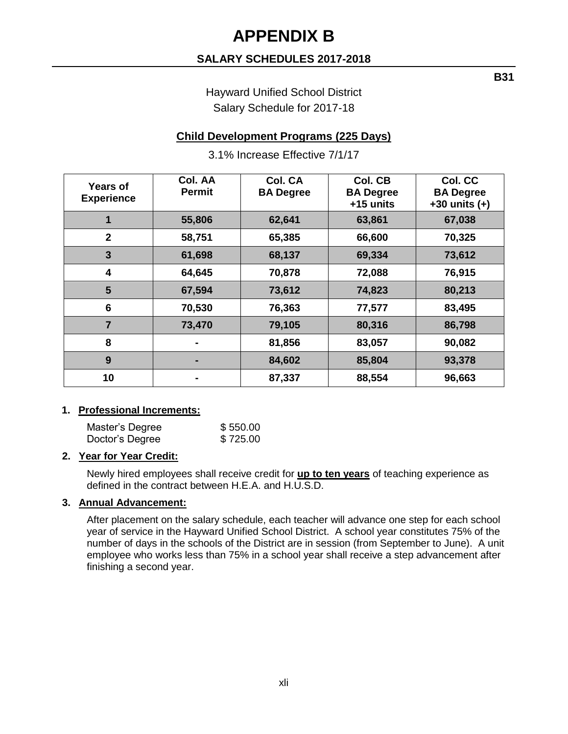## **SALARY SCHEDULES 2017-2018**

**B31**

Hayward Unified School District Salary Schedule for 2017-18

## **Child Development Programs (225 Days)**

3.1% Increase Effective 7/1/17

| <b>Years of</b><br><b>Experience</b> | Col. AA<br><b>Permit</b> | Col. CA<br><b>BA Degree</b> | Col. CB<br><b>BA Degree</b><br>+15 units | Col. CC<br><b>BA Degree</b><br>$+30$ units $(+)$ |
|--------------------------------------|--------------------------|-----------------------------|------------------------------------------|--------------------------------------------------|
| 1                                    | 55,806                   | 62,641                      | 63,861                                   | 67,038                                           |
| $\mathbf{2}$                         | 58,751                   | 65,385                      | 66,600                                   | 70,325                                           |
| 3                                    | 61,698                   | 68,137                      | 69,334                                   | 73,612                                           |
| 4                                    | 64,645                   | 70,878                      | 72,088                                   | 76,915                                           |
| 5                                    | 67,594                   | 73,612                      | 74,823                                   | 80,213                                           |
| 6                                    | 70,530                   | 76,363                      | 77,577                                   | 83,495                                           |
| $\overline{7}$                       | 73,470                   | 79,105                      | 80,316                                   | 86,798                                           |
| 8                                    |                          | 81,856                      | 83,057                                   | 90,082                                           |
| 9                                    |                          | 84,602                      | 85,804                                   | 93,378                                           |
| 10                                   |                          | 87,337                      | 88,554                                   | 96,663                                           |

## **1. Professional Increments:**

| Master's Degree | \$550.00 |
|-----------------|----------|
| Doctor's Degree | \$725.00 |

## **2. Year for Year Credit:**

Newly hired employees shall receive credit for **up to ten years** of teaching experience as defined in the contract between H.E.A. and H.U.S.D.

#### **3. Annual Advancement:**

After placement on the salary schedule, each teacher will advance one step for each school year of service in the Hayward Unified School District. A school year constitutes 75% of the number of days in the schools of the District are in session (from September to June). A unit employee who works less than 75% in a school year shall receive a step advancement after finishing a second year.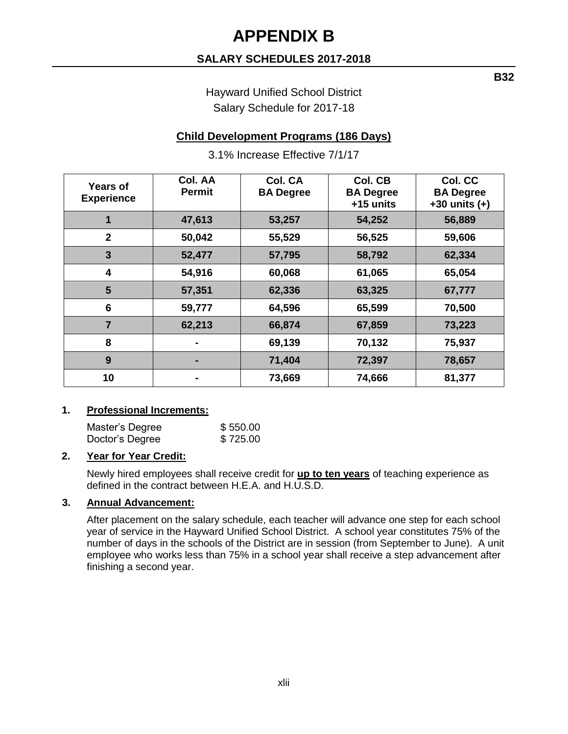# **SALARY SCHEDULES 2017-2018**

**B32**

Hayward Unified School District Salary Schedule for 2017-18

## **Child Development Programs (186 Days)**

3.1% Increase Effective 7/1/17

| <b>Years of</b><br><b>Experience</b> | Col. AA<br><b>Permit</b> | <b>Col. CA</b><br><b>BA Degree</b> | Col. CB<br><b>BA Degree</b><br>+15 units | Col. CC<br><b>BA Degree</b><br>$+30$ units $(+)$ |
|--------------------------------------|--------------------------|------------------------------------|------------------------------------------|--------------------------------------------------|
|                                      | 47,613                   | 53,257                             | 54,252                                   | 56,889                                           |
| $\overline{2}$                       | 50,042                   | 55,529                             | 56,525                                   | 59,606                                           |
| 3                                    | 52,477                   | 57,795                             | 58,792                                   | 62,334                                           |
| 4                                    | 54,916                   | 60,068                             | 61,065                                   | 65,054                                           |
| 5                                    | 57,351                   | 62,336                             | 63,325                                   | 67,777                                           |
| 6                                    | 59,777                   | 64,596                             | 65,599                                   | 70,500                                           |
| $\overline{7}$                       | 62,213                   | 66,874                             | 67,859                                   | 73,223                                           |
| 8                                    |                          | 69,139                             | 70,132                                   | 75,937                                           |
| 9                                    |                          | 71,404                             | 72,397                                   | 78,657                                           |
| 10                                   |                          | 73,669                             | 74,666                                   | 81,377                                           |

## **1. Professional Increments:**

| Master's Degree | \$550.00 |
|-----------------|----------|
| Doctor's Degree | \$725.00 |

## **2. Year for Year Credit:**

Newly hired employees shall receive credit for **up to ten years** of teaching experience as defined in the contract between H.E.A. and H.U.S.D.

## **3. Annual Advancement:**

After placement on the salary schedule, each teacher will advance one step for each school year of service in the Hayward Unified School District. A school year constitutes 75% of the number of days in the schools of the District are in session (from September to June). A unit employee who works less than 75% in a school year shall receive a step advancement after finishing a second year.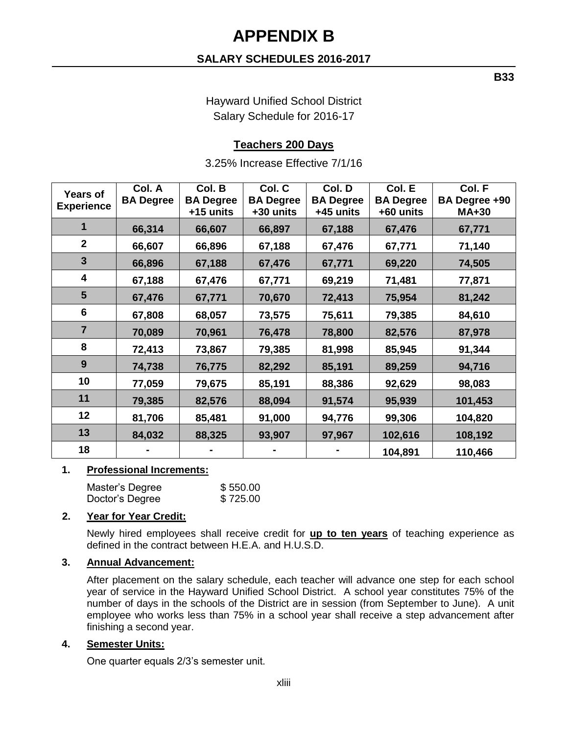## **SALARY SCHEDULES 2016-2017**

**B33**

Hayward Unified School District Salary Schedule for 2016-17

## **Teachers 200 Days**

3.25% Increase Effective 7/1/16

| <b>Years of</b><br><b>Experience</b> | Col. A<br><b>BA Degree</b> | Col. B<br><b>BA Degree</b><br>+15 units | Col. C<br><b>BA Degree</b><br>+30 units | Col. D<br><b>BA Degree</b><br>+45 units | Col. E<br><b>BA Degree</b><br>+60 units | Col. F<br>BA Degree +90<br><b>MA+30</b> |
|--------------------------------------|----------------------------|-----------------------------------------|-----------------------------------------|-----------------------------------------|-----------------------------------------|-----------------------------------------|
| 1                                    | 66,314                     | 66,607                                  | 66,897                                  | 67,188                                  | 67,476                                  | 67,771                                  |
| $\mathbf{2}$                         | 66,607                     | 66,896                                  | 67,188                                  | 67,476                                  | 67,771                                  | 71,140                                  |
| $\mathbf{3}$                         | 66,896                     | 67,188                                  | 67,476                                  | 67,771                                  | 69,220                                  | 74,505                                  |
| 4                                    | 67,188                     | 67,476                                  | 67,771                                  | 69,219                                  | 71,481                                  | 77,871                                  |
| $5\phantom{1}$                       | 67,476                     | 67,771                                  | 70,670                                  | 72,413                                  | 75,954                                  | 81,242                                  |
| 6                                    | 67,808                     | 68,057                                  | 73,575                                  | 75,611                                  | 79,385                                  | 84,610                                  |
| $\overline{7}$                       | 70,089                     | 70,961                                  | 76,478                                  | 78,800                                  | 82,576                                  | 87,978                                  |
| 8                                    | 72,413                     | 73,867                                  | 79,385                                  | 81,998                                  | 85,945                                  | 91,344                                  |
| 9                                    | 74,738                     | 76,775                                  | 82,292                                  | 85,191                                  | 89,259                                  | 94,716                                  |
| 10                                   | 77,059                     | 79,675                                  | 85,191                                  | 88,386                                  | 92,629                                  | 98,083                                  |
| 11                                   | 79,385                     | 82,576                                  | 88,094                                  | 91,574                                  | 95,939                                  | 101,453                                 |
| 12 <sub>2</sub>                      | 81,706                     | 85,481                                  | 91,000                                  | 94,776                                  | 99,306                                  | 104,820                                 |
| 13                                   | 84,032                     | 88,325                                  | 93,907                                  | 97,967                                  | 102,616                                 | 108,192                                 |
| 18                                   |                            |                                         |                                         |                                         | 104,891                                 | 110,466                                 |

#### **1. Professional Increments:**

| Master's Degree | \$550.00 |
|-----------------|----------|
| Doctor's Degree | \$725.00 |

### **2. Year for Year Credit:**

Newly hired employees shall receive credit for **up to ten years** of teaching experience as defined in the contract between H.E.A. and H.U.S.D.

#### **3. Annual Advancement:**

After placement on the salary schedule, each teacher will advance one step for each school year of service in the Hayward Unified School District. A school year constitutes 75% of the number of days in the schools of the District are in session (from September to June). A unit employee who works less than 75% in a school year shall receive a step advancement after finishing a second year.

#### **4. Semester Units:**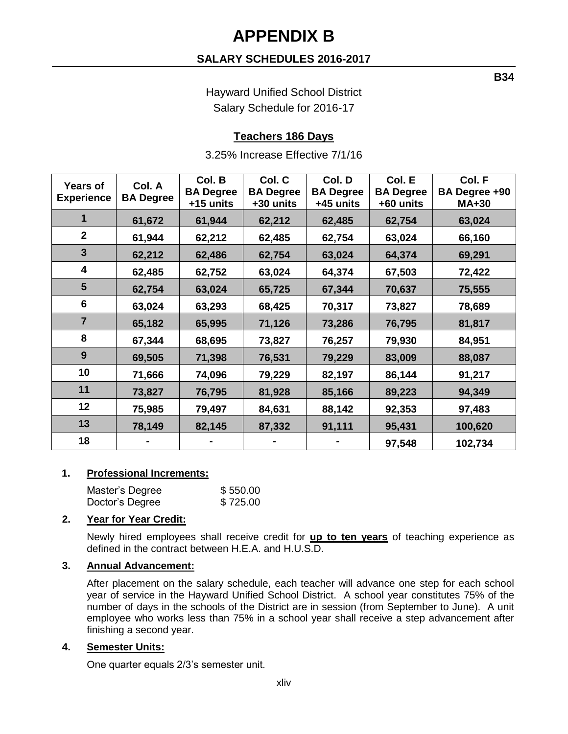## **SALARY SCHEDULES 2016-2017**

**B34**

Hayward Unified School District Salary Schedule for 2016-17

## **Teachers 186 Days**

3.25% Increase Effective 7/1/16

| <b>Years of</b><br><b>Experience</b> | Col. A<br><b>BA Degree</b> | Col. B<br><b>BA Degree</b><br>+15 units | Col. C<br><b>BA Degree</b><br>+30 units | Col. D<br><b>BA Degree</b><br>+45 units | Col. E<br><b>BA Degree</b><br>+60 units | Col. F<br>BA Degree +90<br><b>MA+30</b> |
|--------------------------------------|----------------------------|-----------------------------------------|-----------------------------------------|-----------------------------------------|-----------------------------------------|-----------------------------------------|
| 1                                    | 61,672                     | 61,944                                  | 62,212                                  | 62,485                                  | 62,754                                  | 63,024                                  |
| $\mathbf{2}$                         | 61,944                     | 62,212                                  | 62,485                                  | 62,754                                  | 63,024                                  | 66,160                                  |
| $\mathbf{3}$                         | 62,212                     | 62,486                                  | 62,754                                  | 63,024                                  | 64,374                                  | 69,291                                  |
| 4                                    | 62,485                     | 62,752                                  | 63,024                                  | 64,374                                  | 67,503                                  | 72,422                                  |
| 5                                    | 62,754                     | 63,024                                  | 65,725                                  | 67,344                                  | 70,637                                  | 75,555                                  |
| 6                                    | 63,024                     | 63,293                                  | 68,425                                  | 70,317                                  | 73,827                                  | 78,689                                  |
| $\overline{7}$                       | 65,182                     | 65,995                                  | 71,126                                  | 73,286                                  | 76,795                                  | 81,817                                  |
| 8                                    | 67,344                     | 68,695                                  | 73,827                                  | 76,257                                  | 79,930                                  | 84,951                                  |
| 9                                    | 69,505                     | 71,398                                  | 76,531                                  | 79,229                                  | 83,009                                  | 88,087                                  |
| 10                                   | 71,666                     | 74,096                                  | 79,229                                  | 82,197                                  | 86,144                                  | 91,217                                  |
| 11                                   | 73,827                     | 76,795                                  | 81,928                                  | 85,166                                  | 89,223                                  | 94,349                                  |
| 12                                   | 75,985                     | 79,497                                  | 84,631                                  | 88,142                                  | 92,353                                  | 97,483                                  |
| 13                                   | 78,149                     | 82,145                                  | 87,332                                  | 91,111                                  | 95,431                                  | 100,620                                 |
| 18                                   |                            |                                         |                                         |                                         | 97,548                                  | 102,734                                 |

#### **1. Professional Increments:**

| Master's Degree | \$550.00 |
|-----------------|----------|
| Doctor's Degree | \$725.00 |

### **2. Year for Year Credit:**

Newly hired employees shall receive credit for **up to ten years** of teaching experience as defined in the contract between H.E.A. and H.U.S.D.

#### **3. Annual Advancement:**

After placement on the salary schedule, each teacher will advance one step for each school year of service in the Hayward Unified School District. A school year constitutes 75% of the number of days in the schools of the District are in session (from September to June). A unit employee who works less than 75% in a school year shall receive a step advancement after finishing a second year.

## **4. Semester Units:**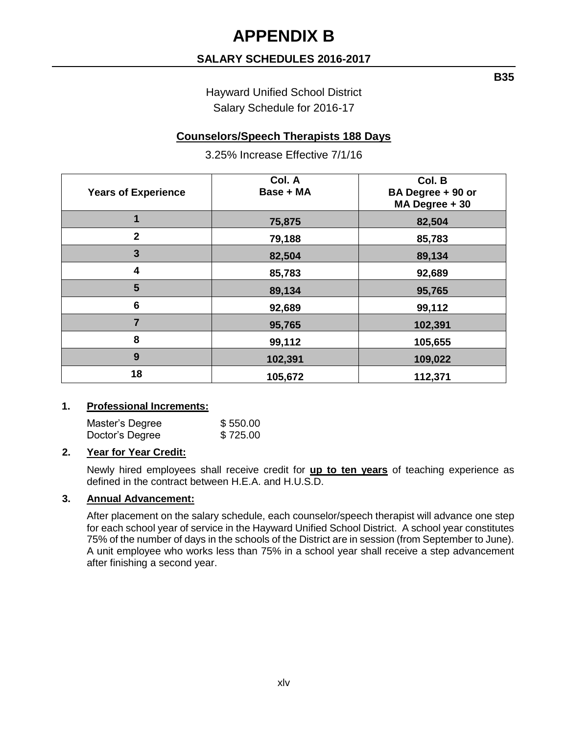# **SALARY SCHEDULES 2016-2017**

**B35**

Hayward Unified School District Salary Schedule for 2016-17

## **Counselors/Speech Therapists 188 Days**

3.25% Increase Effective 7/1/16

| <b>Years of Experience</b> | Col. A<br>Base + MA | Col. B<br>BA Degree + 90 or<br>$MA$ Degree + 30 |
|----------------------------|---------------------|-------------------------------------------------|
| 1                          | 75,875              | 82,504                                          |
| $\mathbf{2}$               | 79,188              | 85,783                                          |
| 3                          | 82,504              | 89,134                                          |
| 4                          | 85,783              | 92,689                                          |
| 5                          | 89,134              | 95,765                                          |
| 6                          | 92,689              | 99,112                                          |
| $\overline{7}$             | 95,765              | 102,391                                         |
| 8                          | 99,112              | 105,655                                         |
| 9                          | 102,391             | 109,022                                         |
| 18                         | 105,672             | 112,371                                         |

## **1. Professional Increments:**

| Master's Degree | \$550.00 |
|-----------------|----------|
| Doctor's Degree | \$725.00 |

### **2. Year for Year Credit:**

Newly hired employees shall receive credit for **up to ten years** of teaching experience as defined in the contract between H.E.A. and H.U.S.D.

#### **3. Annual Advancement:**

After placement on the salary schedule, each counselor/speech therapist will advance one step for each school year of service in the Hayward Unified School District. A school year constitutes 75% of the number of days in the schools of the District are in session (from September to June). A unit employee who works less than 75% in a school year shall receive a step advancement after finishing a second year.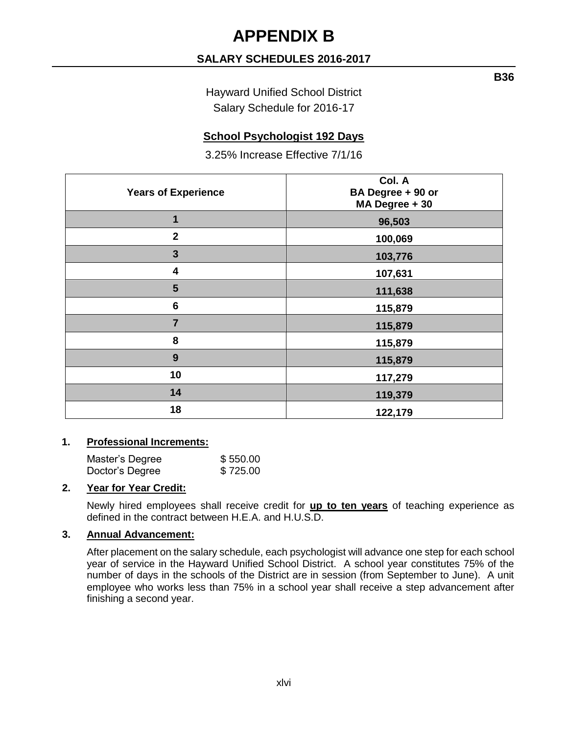# **SALARY SCHEDULES 2016-2017**

**B36**

Hayward Unified School District Salary Schedule for 2016-17

## **School Psychologist 192 Days**

3.25% Increase Effective 7/1/16

| <b>Years of Experience</b> | Col. A<br>BA Degree + 90 or<br>MA Degree + 30 |
|----------------------------|-----------------------------------------------|
| 1                          | 96,503                                        |
| $\mathbf{2}$               | 100,069                                       |
| $\mathbf{3}$               | 103,776                                       |
| $\overline{\mathbf{4}}$    | 107,631                                       |
| $5\phantom{1}$             | 111,638                                       |
| $\bf 6$                    | 115,879                                       |
| $\overline{7}$             | 115,879                                       |
| 8                          | 115,879                                       |
| 9                          | 115,879                                       |
| 10                         | 117,279                                       |
| 14                         | 119,379                                       |
| 18                         | 122,179                                       |

#### **1. Professional Increments:**

| Master's Degree | \$550.00 |
|-----------------|----------|
| Doctor's Degree | \$725.00 |

## **2. Year for Year Credit:**

Newly hired employees shall receive credit for **up to ten years** of teaching experience as defined in the contract between H.E.A. and H.U.S.D.

## **3. Annual Advancement:**

After placement on the salary schedule, each psychologist will advance one step for each school year of service in the Hayward Unified School District. A school year constitutes 75% of the number of days in the schools of the District are in session (from September to June). A unit employee who works less than 75% in a school year shall receive a step advancement after finishing a second year.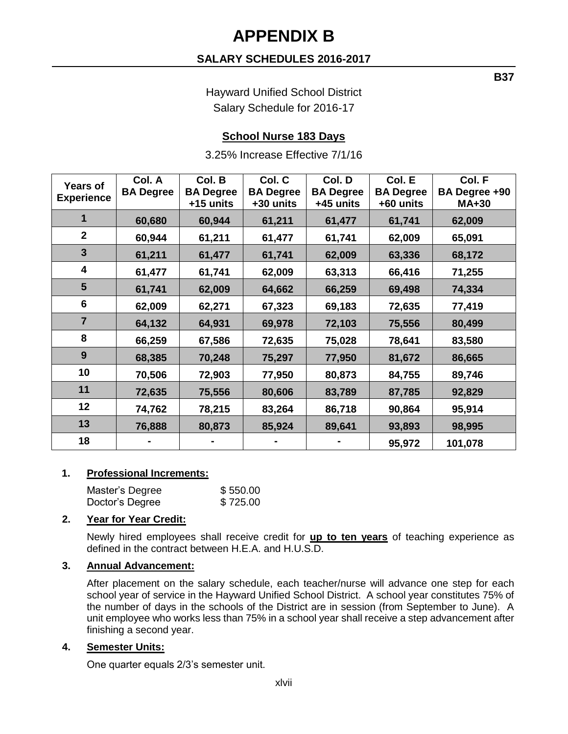# **SALARY SCHEDULES 2016-2017**

**B37**

Hayward Unified School District Salary Schedule for 2016-17

## **School Nurse 183 Days**

3.25% Increase Effective 7/1/16

| <b>Years of</b>         | Col. A           | Col. B           | Col. C           | Col. D           | Col. E           | Col. F        |
|-------------------------|------------------|------------------|------------------|------------------|------------------|---------------|
| <b>Experience</b>       | <b>BA Degree</b> | <b>BA Degree</b> | <b>BA Degree</b> | <b>BA Degree</b> | <b>BA Degree</b> | BA Degree +90 |
|                         |                  | +15 units        | +30 units        | +45 units        | +60 units        | <b>MA+30</b>  |
| 1                       | 60,680           | 60,944           | 61,211           | 61,477           | 61,741           | 62,009        |
| $\overline{2}$          | 60,944           | 61,211           | 61,477           | 61,741           | 62,009           | 65,091        |
| $\mathbf{3}$            | 61,211           | 61,477           | 61,741           | 62,009           | 63,336           | 68,172        |
| $\overline{\mathbf{4}}$ | 61,477           | 61,741           | 62,009           | 63,313           | 66,416           | 71,255        |
| $5\phantom{1}$          | 61,741           | 62,009           | 64,662           | 66,259           | 69,498           | 74,334        |
| 6                       | 62,009           | 62,271           | 67,323           | 69,183           | 72,635           | 77,419        |
| $\overline{7}$          | 64,132           | 64,931           | 69,978           | 72,103           | 75,556           | 80,499        |
| 8                       | 66,259           | 67,586           | 72,635           | 75,028           | 78,641           | 83,580        |
| 9                       | 68,385           | 70,248           | 75,297           | 77,950           | 81,672           | 86,665        |
| 10                      | 70,506           | 72,903           | 77,950           | 80,873           | 84,755           | 89,746        |
| 11                      | 72,635           | 75,556           | 80,606           | 83,789           | 87,785           | 92,829        |
| 12                      | 74,762           | 78,215           | 83,264           | 86,718           | 90,864           | 95,914        |
| 13                      | 76,888           | 80,873           | 85,924           | 89,641           | 93,893           | 98,995        |
| 18                      |                  |                  |                  |                  | 95,972           | 101,078       |

## **1. Professional Increments:**

| Master's Degree | \$550.00 |
|-----------------|----------|
| Doctor's Degree | \$725.00 |

## **2. Year for Year Credit:**

Newly hired employees shall receive credit for **up to ten years** of teaching experience as defined in the contract between H.E.A. and H.U.S.D.

### **3. Annual Advancement:**

After placement on the salary schedule, each teacher/nurse will advance one step for each school year of service in the Hayward Unified School District. A school year constitutes 75% of the number of days in the schools of the District are in session (from September to June). A unit employee who works less than 75% in a school year shall receive a step advancement after finishing a second year.

## **4. Semester Units:**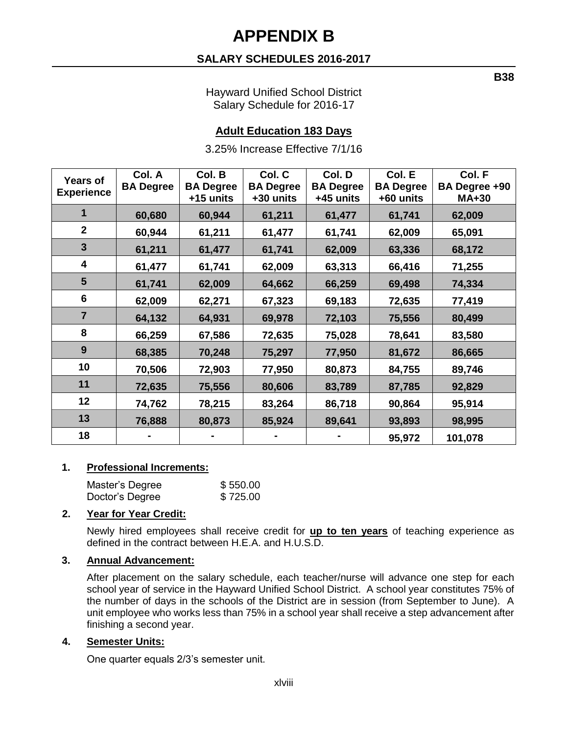## **SALARY SCHEDULES 2016-2017**

**B38**

Hayward Unified School District Salary Schedule for 2016-17

## **Adult Education 183 Days**

3.25% Increase Effective 7/1/16

| <b>Years of</b><br><b>Experience</b> | Col. A<br><b>BA Degree</b> | Col. B<br><b>BA Degree</b><br>+15 units | Col. C<br><b>BA Degree</b><br>+30 units | Col. D<br><b>BA Degree</b><br>+45 units | Col. E<br><b>BA Degree</b><br>+60 units | Col. F<br>BA Degree +90<br><b>MA+30</b> |
|--------------------------------------|----------------------------|-----------------------------------------|-----------------------------------------|-----------------------------------------|-----------------------------------------|-----------------------------------------|
| 1                                    | 60,680                     | 60,944                                  | 61,211                                  | 61,477                                  | 61,741                                  | 62,009                                  |
| $\mathbf{2}$                         | 60,944                     | 61,211                                  | 61,477                                  | 61,741                                  | 62,009                                  | 65,091                                  |
| $\mathbf{3}$                         | 61,211                     | 61,477                                  | 61,741                                  | 62,009                                  | 63,336                                  | 68,172                                  |
| 4                                    | 61,477                     | 61,741                                  | 62,009                                  | 63,313                                  | 66,416                                  | 71,255                                  |
| $5\phantom{1}$                       | 61,741                     | 62,009                                  | 64,662                                  | 66,259                                  | 69,498                                  | 74,334                                  |
| $6\phantom{1}$                       | 62,009                     | 62,271                                  | 67,323                                  | 69,183                                  | 72,635                                  | 77,419                                  |
| $\overline{7}$                       | 64,132                     | 64,931                                  | 69,978                                  | 72,103                                  | 75,556                                  | 80,499                                  |
| 8                                    | 66,259                     | 67,586                                  | 72,635                                  | 75,028                                  | 78,641                                  | 83,580                                  |
| 9                                    | 68,385                     | 70,248                                  | 75,297                                  | 77,950                                  | 81,672                                  | 86,665                                  |
| 10                                   | 70,506                     | 72,903                                  | 77,950                                  | 80,873                                  | 84,755                                  | 89,746                                  |
| 11                                   | 72,635                     | 75,556                                  | 80,606                                  | 83,789                                  | 87,785                                  | 92,829                                  |
| 12                                   | 74,762                     | 78,215                                  | 83,264                                  | 86,718                                  | 90,864                                  | 95,914                                  |
| 13                                   | 76,888                     | 80,873                                  | 85,924                                  | 89,641                                  | 93,893                                  | 98,995                                  |
| 18                                   |                            |                                         |                                         |                                         | 95,972                                  | 101,078                                 |

#### **1. Professional Increments:**

| Master's Degree | \$550.00 |
|-----------------|----------|
| Doctor's Degree | \$725.00 |

#### **2. Year for Year Credit:**

Newly hired employees shall receive credit for **up to ten years** of teaching experience as defined in the contract between H.E.A. and H.U.S.D.

#### **3. Annual Advancement:**

After placement on the salary schedule, each teacher/nurse will advance one step for each school year of service in the Hayward Unified School District. A school year constitutes 75% of the number of days in the schools of the District are in session (from September to June). A unit employee who works less than 75% in a school year shall receive a step advancement after finishing a second year.

#### **4. Semester Units:**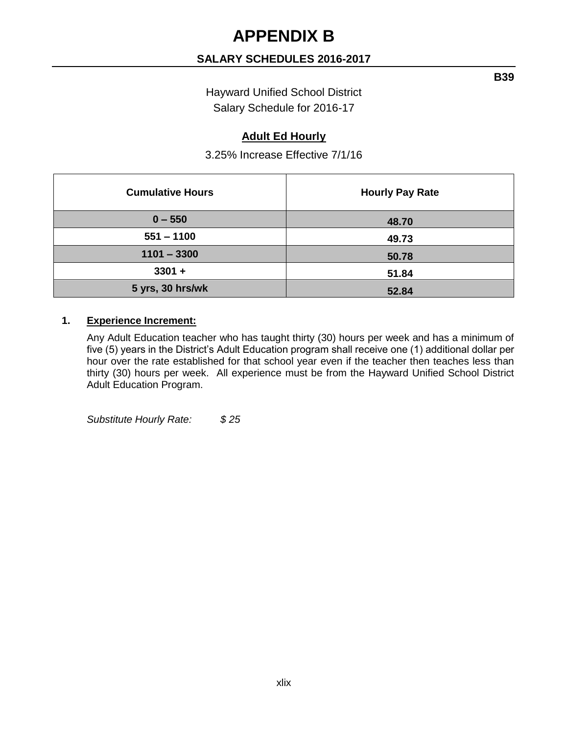# **SALARY SCHEDULES 2016-2017**

Hayward Unified School District Salary Schedule for 2016-17

# **Adult Ed Hourly**

## 3.25% Increase Effective 7/1/16

| <b>Cumulative Hours</b> | <b>Hourly Pay Rate</b> |
|-------------------------|------------------------|
| $0 - 550$               | 48.70                  |
| $551 - 1100$            | 49.73                  |
| $1101 - 3300$           | 50.78                  |
| $3301 +$                | 51.84                  |
| 5 yrs, 30 hrs/wk        | 52.84                  |

## **1. Experience Increment:**

Any Adult Education teacher who has taught thirty (30) hours per week and has a minimum of five (5) years in the District's Adult Education program shall receive one (1) additional dollar per hour over the rate established for that school year even if the teacher then teaches less than thirty (30) hours per week. All experience must be from the Hayward Unified School District Adult Education Program.

*Substitute Hourly Rate: \$ 25*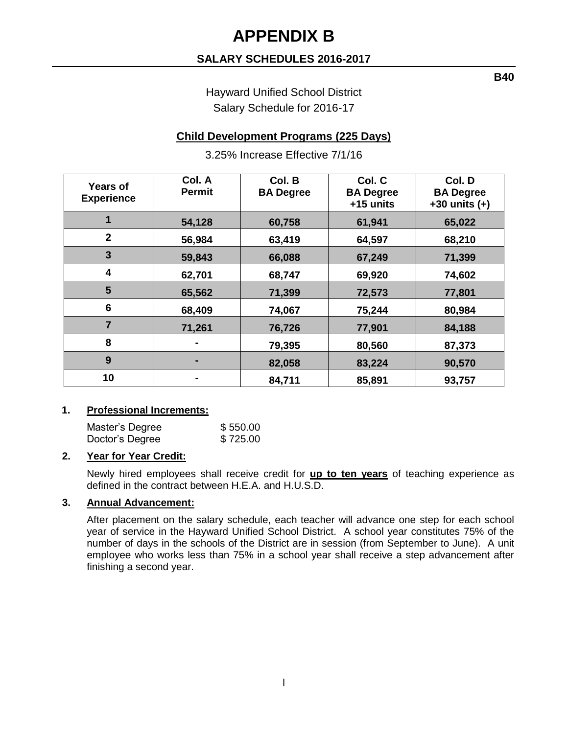## **SALARY SCHEDULES 2016-2017**

**B40**

Hayward Unified School District Salary Schedule for 2016-17

## **Child Development Programs (225 Days)**

3.25% Increase Effective 7/1/16

| <b>Years of</b><br><b>Experience</b> | Col. A<br><b>Permit</b> | Col. B<br><b>BA Degree</b> | Col. C<br><b>BA Degree</b><br>+15 units | Col. D<br><b>BA Degree</b><br>$+30$ units $(+)$ |
|--------------------------------------|-------------------------|----------------------------|-----------------------------------------|-------------------------------------------------|
|                                      | 54,128                  | 60,758                     | 61,941                                  | 65,022                                          |
| $\overline{2}$                       | 56,984                  | 63,419                     | 64,597                                  | 68,210                                          |
| $\mathbf{3}$                         | 59,843                  | 66,088                     | 67,249                                  | 71,399                                          |
| 4                                    | 62,701                  | 68,747                     | 69,920                                  | 74,602                                          |
| $5\phantom{1}$                       | 65,562                  | 71,399                     | 72,573                                  | 77,801                                          |
| $6\phantom{1}6$                      | 68,409                  | 74,067                     | 75,244                                  | 80,984                                          |
| $\overline{7}$                       | 71,261                  | 76,726                     | 77,901                                  | 84,188                                          |
| 8                                    |                         | 79,395                     | 80,560                                  | 87,373                                          |
| 9                                    |                         | 82,058                     | 83,224                                  | 90,570                                          |
| 10                                   |                         | 84,711                     | 85,891                                  | 93,757                                          |

#### **1. Professional Increments:**

| Master's Degree | \$550.00 |
|-----------------|----------|
| Doctor's Degree | \$725.00 |

## **2. Year for Year Credit:**

Newly hired employees shall receive credit for **up to ten years** of teaching experience as defined in the contract between H.E.A. and H.U.S.D.

#### **3. Annual Advancement:**

After placement on the salary schedule, each teacher will advance one step for each school year of service in the Hayward Unified School District. A school year constitutes 75% of the number of days in the schools of the District are in session (from September to June). A unit employee who works less than 75% in a school year shall receive a step advancement after finishing a second year.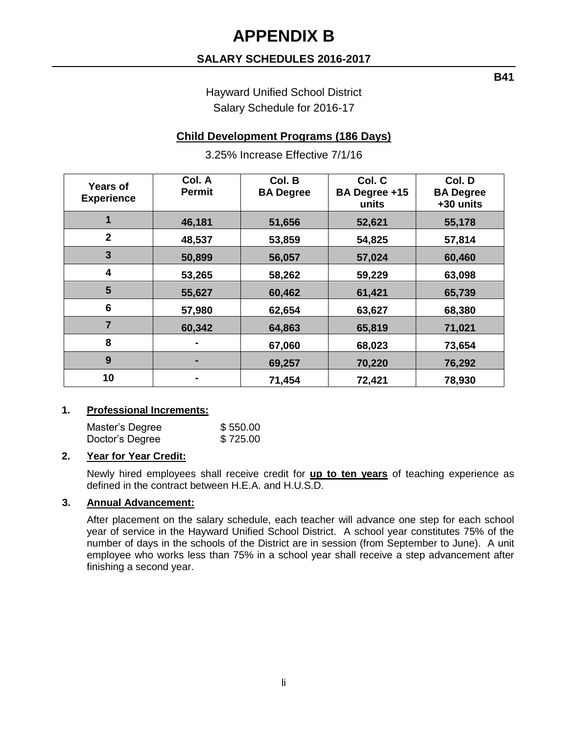## **SALARY SCHEDULES 2016-2017**

**B41**

Hayward Unified School District Salary Schedule for 2016-17

## **Child Development Programs (186 Days)**

3.25% Increase Effective 7/1/16

| <b>Years of</b><br><b>Experience</b> | Col. A<br><b>Permit</b> | Col. B<br><b>BA Degree</b> | Col. C<br>BA Degree +15<br>units | Col. D<br><b>BA Degree</b><br>+30 units |
|--------------------------------------|-------------------------|----------------------------|----------------------------------|-----------------------------------------|
|                                      | 46,181                  | 51,656                     | 52,621                           | 55,178                                  |
| $\overline{2}$                       | 48,537                  | 53,859                     | 54,825                           | 57,814                                  |
| 3                                    | 50,899                  | 56,057                     | 57,024                           | 60,460                                  |
| 4                                    | 53,265                  | 58,262                     | 59,229                           | 63,098                                  |
| 5                                    | 55,627                  | 60,462                     | 61,421                           | 65,739                                  |
| 6                                    | 57,980                  | 62,654                     | 63,627                           | 68,380                                  |
| $\overline{7}$                       | 60,342                  | 64,863                     | 65,819                           | 71,021                                  |
| 8                                    |                         | 67,060                     | 68,023                           | 73,654                                  |
| 9                                    |                         | 69,257                     | 70,220                           | 76,292                                  |
| 10                                   |                         | 71,454                     | 72,421                           | 78,930                                  |

## **1. Professional Increments:**

| Master's Degree | \$550.00 |
|-----------------|----------|
| Doctor's Degree | \$725.00 |

## **2. Year for Year Credit:**

Newly hired employees shall receive credit for **up to ten years** of teaching experience as defined in the contract between H.E.A. and H.U.S.D.

## **3. Annual Advancement:**

After placement on the salary schedule, each teacher will advance one step for each school year of service in the Hayward Unified School District. A school year constitutes 75% of the number of days in the schools of the District are in session (from September to June). A unit employee who works less than 75% in a school year shall receive a step advancement after finishing a second year.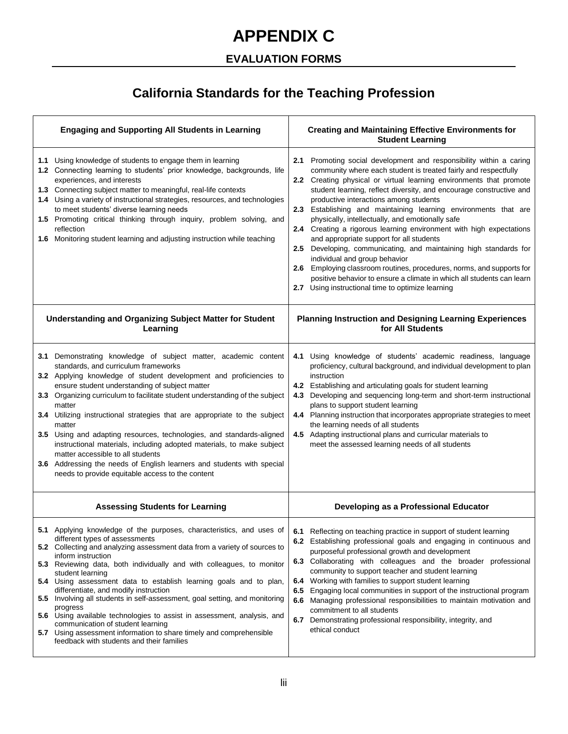## **EVALUATION FORMS**

# **California Standards for the Teaching Profession**

| <b>Engaging and Supporting All Students in Learning</b>                                                                                                                                                                                                                                                                                                                                                                                                                                                                                                                                                                                                                                                                                                                                                                   | <b>Creating and Maintaining Effective Environments for</b><br><b>Student Learning</b>                                                                                                                                                                                                                                                                                                                                                                                                                                                                                                                                                                                                                                                                                                                                                                                                    |
|---------------------------------------------------------------------------------------------------------------------------------------------------------------------------------------------------------------------------------------------------------------------------------------------------------------------------------------------------------------------------------------------------------------------------------------------------------------------------------------------------------------------------------------------------------------------------------------------------------------------------------------------------------------------------------------------------------------------------------------------------------------------------------------------------------------------------|------------------------------------------------------------------------------------------------------------------------------------------------------------------------------------------------------------------------------------------------------------------------------------------------------------------------------------------------------------------------------------------------------------------------------------------------------------------------------------------------------------------------------------------------------------------------------------------------------------------------------------------------------------------------------------------------------------------------------------------------------------------------------------------------------------------------------------------------------------------------------------------|
| 1.1 Using knowledge of students to engage them in learning<br>1.2 Connecting learning to students' prior knowledge, backgrounds, life<br>experiences, and interests<br>1.3 Connecting subject matter to meaningful, real-life contexts<br>1.4 Using a variety of instructional strategies, resources, and technologies<br>to meet students' diverse learning needs<br>1.5 Promoting critical thinking through inquiry, problem solving, and<br>reflection<br>1.6 Monitoring student learning and adjusting instruction while teaching                                                                                                                                                                                                                                                                                     | 2.1 Promoting social development and responsibility within a caring<br>community where each student is treated fairly and respectfully<br>2.2 Creating physical or virtual learning environments that promote<br>student learning, reflect diversity, and encourage constructive and<br>productive interactions among students<br>2.3 Establishing and maintaining learning environments that are<br>physically, intellectually, and emotionally safe<br>2.4 Creating a rigorous learning environment with high expectations<br>and appropriate support for all students<br>2.5 Developing, communicating, and maintaining high standards for<br>individual and group behavior<br>Employing classroom routines, procedures, norms, and supports for<br>2.6<br>positive behavior to ensure a climate in which all students can learn<br>2.7 Using instructional time to optimize learning |
| <b>Understanding and Organizing Subject Matter for Student</b><br>Learning                                                                                                                                                                                                                                                                                                                                                                                                                                                                                                                                                                                                                                                                                                                                                | <b>Planning Instruction and Designing Learning Experiences</b><br>for All Students                                                                                                                                                                                                                                                                                                                                                                                                                                                                                                                                                                                                                                                                                                                                                                                                       |
| 3.1 Demonstrating knowledge of subject matter, academic content<br>standards, and curriculum frameworks<br>3.2 Applying knowledge of student development and proficiencies to<br>ensure student understanding of subject matter<br>3.3 Organizing curriculum to facilitate student understanding of the subject<br>matter<br>3.4 Utilizing instructional strategies that are appropriate to the subject<br>matter<br>3.5 Using and adapting resources, technologies, and standards-aligned<br>instructional materials, including adopted materials, to make subject<br>matter accessible to all students<br>3.6 Addressing the needs of English learners and students with special<br>needs to provide equitable access to the content                                                                                    | 4.1 Using knowledge of students' academic readiness, language<br>proficiency, cultural background, and individual development to plan<br>instruction<br>4.2 Establishing and articulating goals for student learning<br>Developing and sequencing long-term and short-term instructional<br>4.3<br>plans to support student learning<br>4.4 Planning instruction that incorporates appropriate strategies to meet<br>the learning needs of all students<br>4.5 Adapting instructional plans and curricular materials to<br>meet the assessed learning needs of all students                                                                                                                                                                                                                                                                                                              |
| <b>Assessing Students for Learning</b>                                                                                                                                                                                                                                                                                                                                                                                                                                                                                                                                                                                                                                                                                                                                                                                    | Developing as a Professional Educator                                                                                                                                                                                                                                                                                                                                                                                                                                                                                                                                                                                                                                                                                                                                                                                                                                                    |
| 5.1 Applying knowledge of the purposes, characteristics, and uses of   6.1 Reflecting on teaching practice in support of student learning<br>different types of assessments<br>5.2 Collecting and analyzing assessment data from a variety of sources to<br>inform instruction<br>5.3 Reviewing data, both individually and with colleagues, to monitor<br>student learning<br>5.4 Using assessment data to establish learning goals and to plan,<br>differentiate, and modify instruction<br>5.5 Involving all students in self-assessment, goal setting, and monitoring<br>progress<br>5.6 Using available technologies to assist in assessment, analysis, and<br>communication of student learning<br>5.7 Using assessment information to share timely and comprehensible<br>feedback with students and their families | 6.2 Establishing professional goals and engaging in continuous and<br>purposeful professional growth and development<br>6.3 Collaborating with colleagues and the broader professional<br>community to support teacher and student learning<br>6.4 Working with families to support student learning<br>6.5 Engaging local communities in support of the instructional program<br>6.6 Managing professional responsibilities to maintain motivation and<br>commitment to all students<br>6.7 Demonstrating professional responsibility, integrity, and<br>ethical conduct                                                                                                                                                                                                                                                                                                                |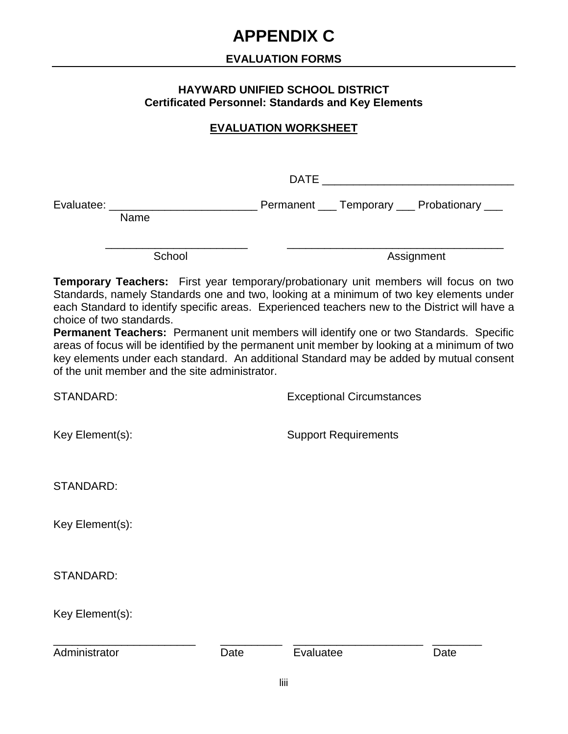# **EVALUATION FORMS**

## **HAYWARD UNIFIED SCHOOL DISTRICT Certificated Personnel: Standards and Key Elements**

## **EVALUATION WORKSHEET**

| Name                                                                       |                                                                                                                                                                                                                                                                                                                                                                                                                                                                                                                                                                                 |  |
|----------------------------------------------------------------------------|---------------------------------------------------------------------------------------------------------------------------------------------------------------------------------------------------------------------------------------------------------------------------------------------------------------------------------------------------------------------------------------------------------------------------------------------------------------------------------------------------------------------------------------------------------------------------------|--|
| School                                                                     | Assignment                                                                                                                                                                                                                                                                                                                                                                                                                                                                                                                                                                      |  |
| choice of two standards.<br>of the unit member and the site administrator. | <b>Temporary Teachers:</b> First year temporary/probationary unit members will focus on two<br>Standards, namely Standards one and two, looking at a minimum of two key elements under<br>each Standard to identify specific areas. Experienced teachers new to the District will have a<br>Permanent Teachers: Permanent unit members will identify one or two Standards. Specific<br>areas of focus will be identified by the permanent unit member by looking at a minimum of two<br>key elements under each standard. An additional Standard may be added by mutual consent |  |
| STANDARD:                                                                  | <b>Exceptional Circumstances</b>                                                                                                                                                                                                                                                                                                                                                                                                                                                                                                                                                |  |
| Key Element(s):                                                            | <b>Support Requirements</b>                                                                                                                                                                                                                                                                                                                                                                                                                                                                                                                                                     |  |
| STANDARD:                                                                  |                                                                                                                                                                                                                                                                                                                                                                                                                                                                                                                                                                                 |  |
| Key Element(s):                                                            |                                                                                                                                                                                                                                                                                                                                                                                                                                                                                                                                                                                 |  |
| STANDARD:                                                                  |                                                                                                                                                                                                                                                                                                                                                                                                                                                                                                                                                                                 |  |
| Key Element(s):                                                            |                                                                                                                                                                                                                                                                                                                                                                                                                                                                                                                                                                                 |  |
| Administrator<br>Date                                                      | Evaluatee<br>Date<br>liii                                                                                                                                                                                                                                                                                                                                                                                                                                                                                                                                                       |  |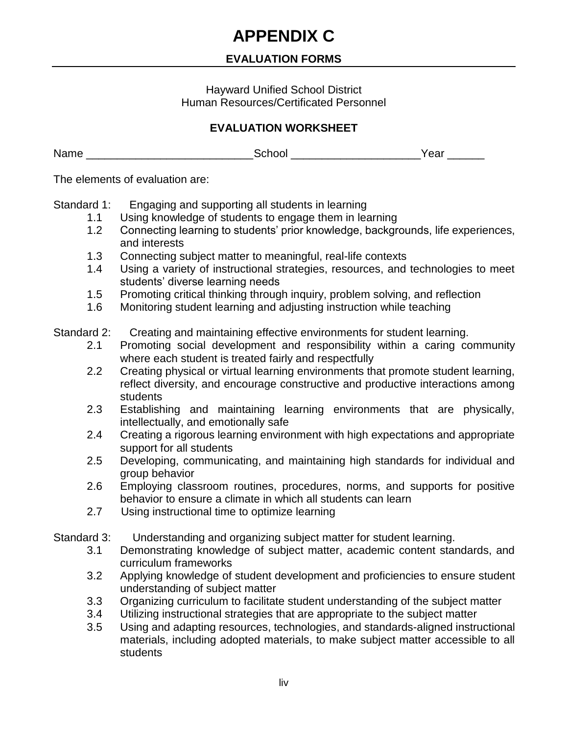# **EVALUATION FORMS**

Hayward Unified School District Human Resources/Certificated Personnel

## **EVALUATION WORKSHEET**

| Name<br>. | $  -$<br>- |
|-----------|------------|
|           |            |

The elements of evaluation are:

Standard 1: Engaging and supporting all students in learning

- 1.1 Using knowledge of students to engage them in learning
- 1.2 Connecting learning to students' prior knowledge, backgrounds, life experiences, and interests
- 1.3 Connecting subject matter to meaningful, real-life contexts
- 1.4 Using a variety of instructional strategies, resources, and technologies to meet students' diverse learning needs
- 1.5 Promoting critical thinking through inquiry, problem solving, and reflection
- 1.6 Monitoring student learning and adjusting instruction while teaching

Standard 2: Creating and maintaining effective environments for student learning.

- 2.1 Promoting social development and responsibility within a caring community where each student is treated fairly and respectfully
- 2.2 Creating physical or virtual learning environments that promote student learning, reflect diversity, and encourage constructive and productive interactions among students
- 2.3 Establishing and maintaining learning environments that are physically, intellectually, and emotionally safe
- 2.4 Creating a rigorous learning environment with high expectations and appropriate support for all students
- 2.5 Developing, communicating, and maintaining high standards for individual and group behavior
- 2.6 Employing classroom routines, procedures, norms, and supports for positive behavior to ensure a climate in which all students can learn
- 2.7 Using instructional time to optimize learning
- Standard 3: Understanding and organizing subject matter for student learning.
	- 3.1 Demonstrating knowledge of subject matter, academic content standards, and curriculum frameworks
	- 3.2 Applying knowledge of student development and proficiencies to ensure student understanding of subject matter
	- 3.3 Organizing curriculum to facilitate student understanding of the subject matter
	- 3.4 Utilizing instructional strategies that are appropriate to the subject matter
	- 3.5 Using and adapting resources, technologies, and standards-aligned instructional materials, including adopted materials, to make subject matter accessible to all students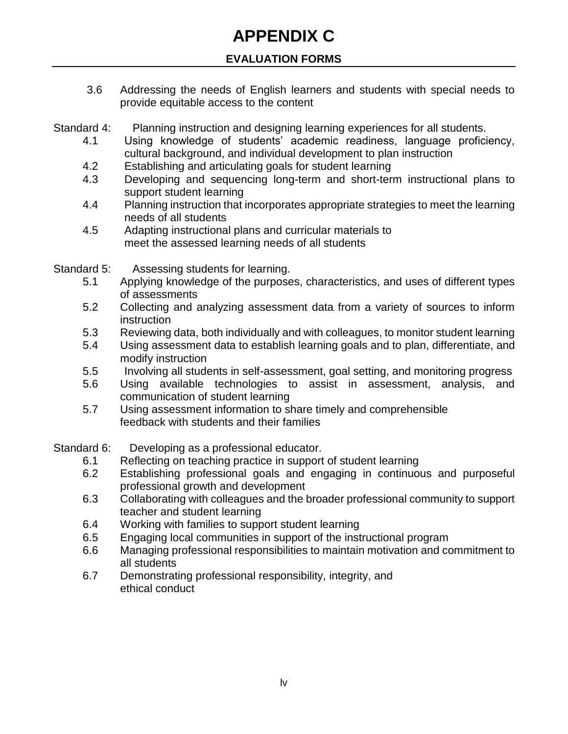# **EVALUATION FORMS**

- 3.6 Addressing the needs of English learners and students with special needs to provide equitable access to the content
- Standard 4: Planning instruction and designing learning experiences for all students.
	- 4.1 Using knowledge of students' academic readiness, language proficiency, cultural background, and individual development to plan instruction
	- 4.2 Establishing and articulating goals for student learning
	- 4.3 Developing and sequencing long-term and short-term instructional plans to support student learning
	- 4.4 Planning instruction that incorporates appropriate strategies to meet the learning needs of all students
	- 4.5 Adapting instructional plans and curricular materials to meet the assessed learning needs of all students

Standard 5: Assessing students for learning.

- 5.1 Applying knowledge of the purposes, characteristics, and uses of different types of assessments
- 5.2 Collecting and analyzing assessment data from a variety of sources to inform instruction
- 5.3 Reviewing data, both individually and with colleagues, to monitor student learning
- 5.4 Using assessment data to establish learning goals and to plan, differentiate, and modify instruction
- 5.5 Involving all students in self-assessment, goal setting, and monitoring progress
- 5.6 Using available technologies to assist in assessment, analysis, and communication of student learning
- 5.7 Using assessment information to share timely and comprehensible feedback with students and their families

## Standard 6: Developing as a professional educator.

- 6.1 Reflecting on teaching practice in support of student learning
- 6.2 Establishing professional goals and engaging in continuous and purposeful professional growth and development
- 6.3 Collaborating with colleagues and the broader professional community to support teacher and student learning
- 6.4 Working with families to support student learning
- 6.5 Engaging local communities in support of the instructional program
- 6.6 Managing professional responsibilities to maintain motivation and commitment to all students
- 6.7 Demonstrating professional responsibility, integrity, and ethical conduct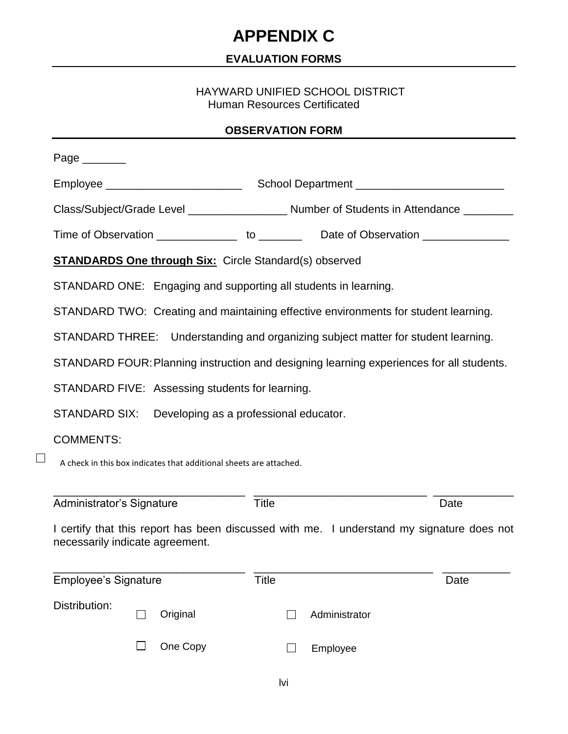# **EVALUATION FORMS**

## HAYWARD UNIFIED SCHOOL DISTRICT Human Resources Certificated

# **OBSERVATION FORM**

| Page _______                    |                                                                    |              |                                                                                                               |      |
|---------------------------------|--------------------------------------------------------------------|--------------|---------------------------------------------------------------------------------------------------------------|------|
|                                 |                                                                    |              |                                                                                                               |      |
|                                 |                                                                    |              | Class/Subject/Grade Level ____________________ Number of Students in Attendance ________                      |      |
|                                 |                                                                    |              | Time of Observation ________________ to _______________Date of Observation __________________________________ |      |
|                                 | <b>STANDARDS One through Six:</b> Circle Standard(s) observed      |              |                                                                                                               |      |
|                                 | STANDARD ONE: Engaging and supporting all students in learning.    |              |                                                                                                               |      |
|                                 |                                                                    |              | STANDARD TWO: Creating and maintaining effective environments for student learning.                           |      |
|                                 |                                                                    |              | STANDARD THREE: Understanding and organizing subject matter for student learning.                             |      |
|                                 |                                                                    |              | STANDARD FOUR: Planning instruction and designing learning experiences for all students.                      |      |
|                                 | STANDARD FIVE: Assessing students for learning.                    |              |                                                                                                               |      |
|                                 | STANDARD SIX: Developing as a professional educator.               |              |                                                                                                               |      |
| <b>COMMENTS:</b>                |                                                                    |              |                                                                                                               |      |
|                                 | A check in this box indicates that additional sheets are attached. |              |                                                                                                               |      |
| Administrator's Signature       |                                                                    | Title        |                                                                                                               | Date |
|                                 |                                                                    |              |                                                                                                               |      |
| necessarily indicate agreement. |                                                                    |              | I certify that this report has been discussed with me. I understand my signature does not                     |      |
| <b>Employee's Signature</b>     |                                                                    | <b>Title</b> |                                                                                                               | Date |
| Distribution:                   | Original                                                           |              | Administrator                                                                                                 |      |
|                                 | One Copy                                                           | $\mathsf{L}$ | Employee                                                                                                      |      |

 $\Box$ 

lvi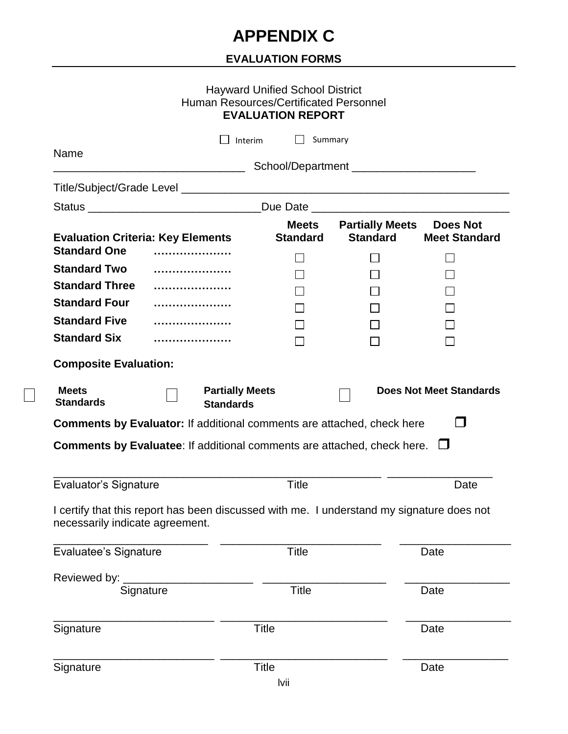# **EVALUATION FORMS**

| <b>Hayward Unified School District</b><br><b>Human Resources/Certificated Personnel</b><br><b>EVALUATION REPORT</b> |                                                                                           |                             |                                                                                                                                                                                                                                |                                |  |
|---------------------------------------------------------------------------------------------------------------------|-------------------------------------------------------------------------------------------|-----------------------------|--------------------------------------------------------------------------------------------------------------------------------------------------------------------------------------------------------------------------------|--------------------------------|--|
|                                                                                                                     | $\Box$ Interim                                                                            | Summary                     |                                                                                                                                                                                                                                |                                |  |
| Name                                                                                                                |                                                                                           |                             | School/Department ______________________                                                                                                                                                                                       |                                |  |
|                                                                                                                     |                                                                                           |                             |                                                                                                                                                                                                                                |                                |  |
|                                                                                                                     |                                                                                           |                             | Due Date Late Due of the Contract of the Date Late of the Contract of the Contract of the Contract of the Contract of the Contract of the Contract of the Contract of the Contract of the Contract of the Contract of the Cont |                                |  |
|                                                                                                                     |                                                                                           | Meets                       | <b>Partially Meets</b>                                                                                                                                                                                                         | <b>Does Not</b>                |  |
| <b>Evaluation Criteria: Key Elements</b>                                                                            |                                                                                           | <b>Standard</b>             | <b>Standard</b>                                                                                                                                                                                                                | <b>Meet Standard</b>           |  |
| <b>Standard One</b>                                                                                                 |                                                                                           |                             |                                                                                                                                                                                                                                |                                |  |
| <b>Standard Two</b>                                                                                                 |                                                                                           |                             |                                                                                                                                                                                                                                |                                |  |
| <b>Standard Three</b>                                                                                               |                                                                                           |                             |                                                                                                                                                                                                                                |                                |  |
| <b>Standard Four</b>                                                                                                |                                                                                           |                             |                                                                                                                                                                                                                                |                                |  |
| <b>Standard Five</b>                                                                                                |                                                                                           |                             |                                                                                                                                                                                                                                |                                |  |
| <b>Standard Six</b>                                                                                                 |                                                                                           |                             |                                                                                                                                                                                                                                |                                |  |
| <b>Composite Evaluation:</b>                                                                                        |                                                                                           |                             |                                                                                                                                                                                                                                |                                |  |
| <b>Meets</b><br><b>Standards</b>                                                                                    | <b>Partially Meets</b><br><b>Standards</b>                                                |                             |                                                                                                                                                                                                                                | <b>Does Not Meet Standards</b> |  |
|                                                                                                                     | <b>Comments by Evaluator: If additional comments are attached, check here</b>             |                             |                                                                                                                                                                                                                                |                                |  |
|                                                                                                                     | <b>Comments by Evaluatee: If additional comments are attached, check here.</b>            |                             |                                                                                                                                                                                                                                |                                |  |
| <b>Evaluator's Signature</b>                                                                                        |                                                                                           | <b>Title</b>                |                                                                                                                                                                                                                                | Date                           |  |
| necessarily indicate agreement.                                                                                     | I certify that this report has been discussed with me. I understand my signature does not |                             |                                                                                                                                                                                                                                |                                |  |
| <b>Evaluatee's Signature</b>                                                                                        |                                                                                           | <b>Title</b>                |                                                                                                                                                                                                                                | Date                           |  |
| Reviewed by:                                                                                                        |                                                                                           |                             |                                                                                                                                                                                                                                |                                |  |
| Signature                                                                                                           |                                                                                           | <b>Title</b>                |                                                                                                                                                                                                                                | Date                           |  |
| Signature                                                                                                           |                                                                                           | <b>Title</b>                |                                                                                                                                                                                                                                | Date                           |  |
| Signature                                                                                                           |                                                                                           | <b>Title</b><br><b>Ivii</b> |                                                                                                                                                                                                                                | Date                           |  |

 $\overline{\phantom{a}}$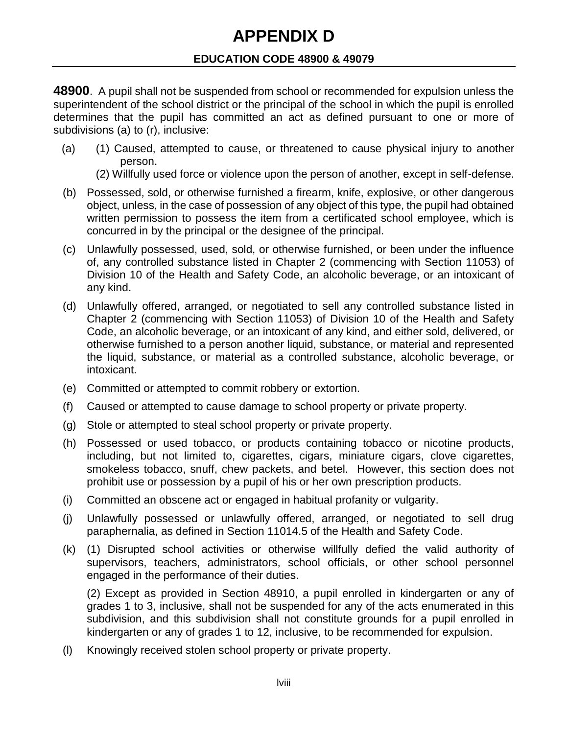## **EDUCATION CODE 48900 & 49079**

**48900**. A pupil shall not be suspended from school or recommended for expulsion unless the superintendent of the school district or the principal of the school in which the pupil is enrolled determines that the pupil has committed an act as defined pursuant to one or more of subdivisions (a) to (r), inclusive:

- (a) (1) Caused, attempted to cause, or threatened to cause physical injury to another person.
	- (2) Willfully used force or violence upon the person of another, except in self-defense.
- (b) Possessed, sold, or otherwise furnished a firearm, knife, explosive, or other dangerous object, unless, in the case of possession of any object of this type, the pupil had obtained written permission to possess the item from a certificated school employee, which is concurred in by the principal or the designee of the principal.
- (c) Unlawfully possessed, used, sold, or otherwise furnished, or been under the influence of, any controlled substance listed in Chapter 2 (commencing with Section 11053) of Division 10 of the Health and Safety Code, an alcoholic beverage, or an intoxicant of any kind.
- (d) Unlawfully offered, arranged, or negotiated to sell any controlled substance listed in Chapter 2 (commencing with Section 11053) of Division 10 of the Health and Safety Code, an alcoholic beverage, or an intoxicant of any kind, and either sold, delivered, or otherwise furnished to a person another liquid, substance, or material and represented the liquid, substance, or material as a controlled substance, alcoholic beverage, or intoxicant.
- (e) Committed or attempted to commit robbery or extortion.
- (f) Caused or attempted to cause damage to school property or private property.
- (g) Stole or attempted to steal school property or private property.
- (h) Possessed or used tobacco, or products containing tobacco or nicotine products, including, but not limited to, cigarettes, cigars, miniature cigars, clove cigarettes, smokeless tobacco, snuff, chew packets, and betel. However, this section does not prohibit use or possession by a pupil of his or her own prescription products.
- (i) Committed an obscene act or engaged in habitual profanity or vulgarity.
- (j) Unlawfully possessed or unlawfully offered, arranged, or negotiated to sell drug paraphernalia, as defined in Section 11014.5 of the Health and Safety Code.
- (k) (1) Disrupted school activities or otherwise willfully defied the valid authority of supervisors, teachers, administrators, school officials, or other school personnel engaged in the performance of their duties.

(2) Except as provided in Section 48910, a pupil enrolled in kindergarten or any of grades 1 to 3, inclusive, shall not be suspended for any of the acts enumerated in this subdivision, and this subdivision shall not constitute grounds for a pupil enrolled in kindergarten or any of grades 1 to 12, inclusive, to be recommended for expulsion.

(l) Knowingly received stolen school property or private property.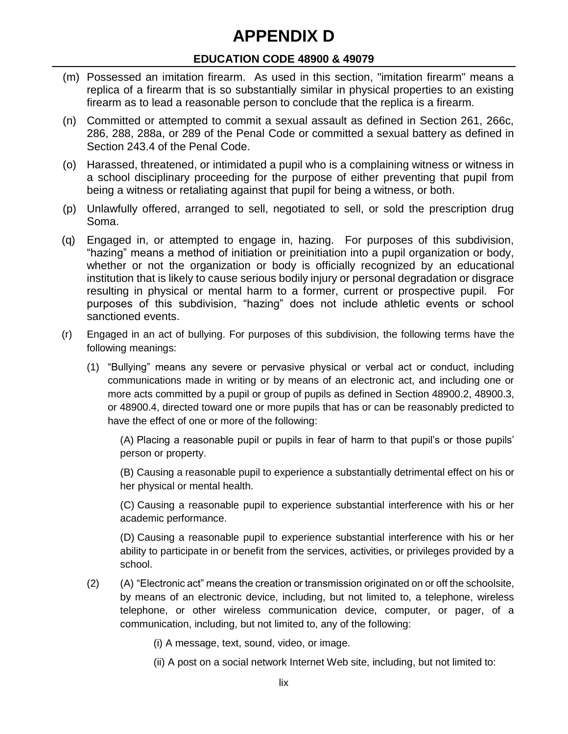## **EDUCATION CODE 48900 & 49079**

- (m) Possessed an imitation firearm. As used in this section, "imitation firearm" means a replica of a firearm that is so substantially similar in physical properties to an existing firearm as to lead a reasonable person to conclude that the replica is a firearm.
- (n) Committed or attempted to commit a sexual assault as defined in Section 261, 266c, 286, 288, 288a, or 289 of the Penal Code or committed a sexual battery as defined in Section 243.4 of the Penal Code.
- (o) Harassed, threatened, or intimidated a pupil who is a complaining witness or witness in a school disciplinary proceeding for the purpose of either preventing that pupil from being a witness or retaliating against that pupil for being a witness, or both.
- (p) Unlawfully offered, arranged to sell, negotiated to sell, or sold the prescription drug Soma.
- (q) Engaged in, or attempted to engage in, hazing. For purposes of this subdivision, "hazing" means a method of initiation or preinitiation into a pupil organization or body, whether or not the organization or body is officially recognized by an educational institution that is likely to cause serious bodily injury or personal degradation or disgrace resulting in physical or mental harm to a former, current or prospective pupil. For purposes of this subdivision, "hazing" does not include athletic events or school sanctioned events.
- (r) Engaged in an act of bullying. For purposes of this subdivision, the following terms have the following meanings:
	- (1) "Bullying" means any severe or pervasive physical or verbal act or conduct, including communications made in writing or by means of an electronic act, and including one or more acts committed by a pupil or group of pupils as defined in Section 48900.2, 48900.3, or 48900.4, directed toward one or more pupils that has or can be reasonably predicted to have the effect of one or more of the following:

(A) Placing a reasonable pupil or pupils in fear of harm to that pupil's or those pupils' person or property.

(B) Causing a reasonable pupil to experience a substantially detrimental effect on his or her physical or mental health.

(C) Causing a reasonable pupil to experience substantial interference with his or her academic performance.

(D) Causing a reasonable pupil to experience substantial interference with his or her ability to participate in or benefit from the services, activities, or privileges provided by a school.

(2) (A) "Electronic act" means the creation or transmission originated on or off the schoolsite, by means of an electronic device, including, but not limited to, a telephone, wireless telephone, or other wireless communication device, computer, or pager, of a communication, including, but not limited to, any of the following:

(i) A message, text, sound, video, or image.

(ii) A post on a social network Internet Web site, including, but not limited to: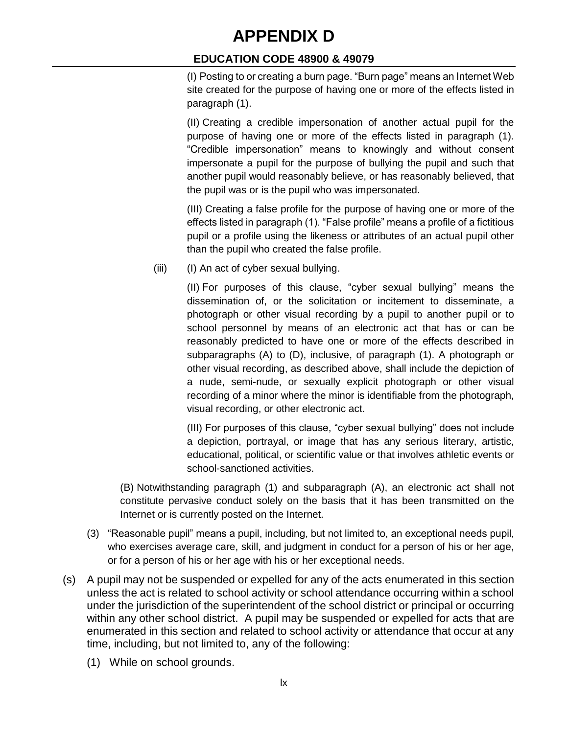## **EDUCATION CODE 48900 & 49079**

(I) Posting to or creating a burn page. "Burn page" means an Internet Web site created for the purpose of having one or more of the effects listed in paragraph (1).

(II) Creating a credible impersonation of another actual pupil for the purpose of having one or more of the effects listed in paragraph (1). "Credible impersonation" means to knowingly and without consent impersonate a pupil for the purpose of bullying the pupil and such that another pupil would reasonably believe, or has reasonably believed, that the pupil was or is the pupil who was impersonated.

(III) Creating a false profile for the purpose of having one or more of the effects listed in paragraph (1). "False profile" means a profile of a fictitious pupil or a profile using the likeness or attributes of an actual pupil other than the pupil who created the false profile.

(iii) (I) An act of cyber sexual bullying.

(II) For purposes of this clause, "cyber sexual bullying" means the dissemination of, or the solicitation or incitement to disseminate, a photograph or other visual recording by a pupil to another pupil or to school personnel by means of an electronic act that has or can be reasonably predicted to have one or more of the effects described in subparagraphs (A) to (D), inclusive, of paragraph (1). A photograph or other visual recording, as described above, shall include the depiction of a nude, semi-nude, or sexually explicit photograph or other visual recording of a minor where the minor is identifiable from the photograph, visual recording, or other electronic act.

(III) For purposes of this clause, "cyber sexual bullying" does not include a depiction, portrayal, or image that has any serious literary, artistic, educational, political, or scientific value or that involves athletic events or school-sanctioned activities.

(B) Notwithstanding paragraph (1) and subparagraph (A), an electronic act shall not constitute pervasive conduct solely on the basis that it has been transmitted on the Internet or is currently posted on the Internet.

- (3) "Reasonable pupil" means a pupil, including, but not limited to, an exceptional needs pupil, who exercises average care, skill, and judgment in conduct for a person of his or her age, or for a person of his or her age with his or her exceptional needs.
- (s) A pupil may not be suspended or expelled for any of the acts enumerated in this section unless the act is related to school activity or school attendance occurring within a school under the jurisdiction of the superintendent of the school district or principal or occurring within any other school district. A pupil may be suspended or expelled for acts that are enumerated in this section and related to school activity or attendance that occur at any time, including, but not limited to, any of the following:
	- (1) While on school grounds.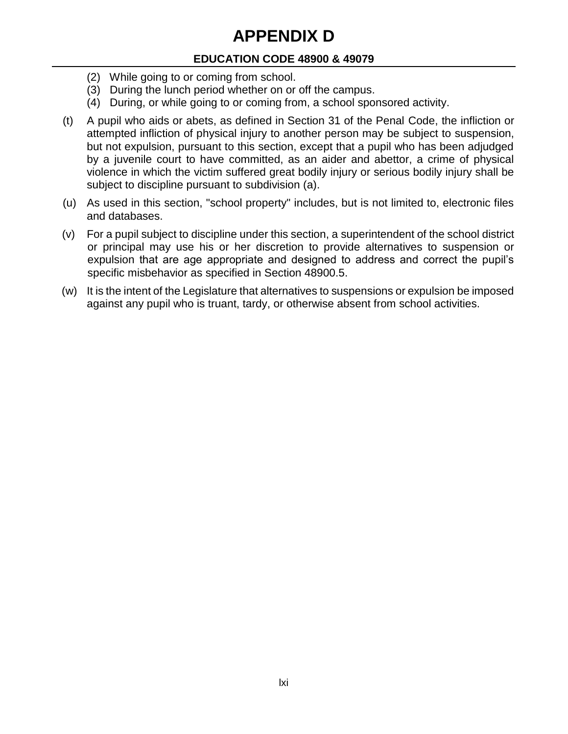## **EDUCATION CODE 48900 & 49079**

- (2) While going to or coming from school.
- (3) During the lunch period whether on or off the campus.
- (4) During, or while going to or coming from, a school sponsored activity.
- (t) A pupil who aids or abets, as defined in Section 31 of the Penal Code, the infliction or attempted infliction of physical injury to another person may be subject to suspension, but not expulsion, pursuant to this section, except that a pupil who has been adjudged by a juvenile court to have committed, as an aider and abettor, a crime of physical violence in which the victim suffered great bodily injury or serious bodily injury shall be subject to discipline pursuant to subdivision (a).
- (u) As used in this section, "school property" includes, but is not limited to, electronic files and databases.
- (v) For a pupil subject to discipline under this section, a superintendent of the school district or principal may use his or her discretion to provide alternatives to suspension or expulsion that are age appropriate and designed to address and correct the pupil's specific misbehavior as specified in Section 48900.5.
- (w) It is the intent of the Legislature that alternatives to suspensions or expulsion be imposed against any pupil who is truant, tardy, or otherwise absent from school activities.